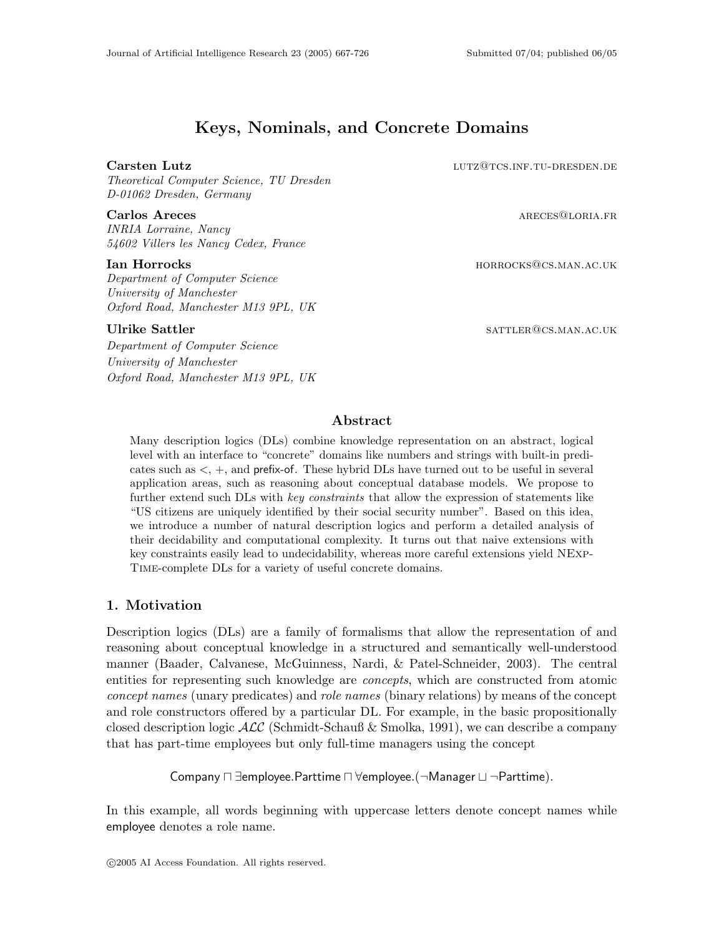# Keys, Nominals, and Concrete Domains

### Carsten Lutz lutz@tcs.inf.tu-dresden.de

Theoretical Computer Science, TU Dresden D-01062 Dresden, Germany

#### **Carlos Areces** ARECES ARECES ARECES ARECES ARECES ARECES ARECES ARECES OF ARECES OF A RECESS OF A RECESS OF A RECESS OF A RECESS OF A RECESS OF A RECESS OF A RECESS OF A RECESS OF A RECESS OF A RECESS OF A RECESS OF A REC

INRIA Lorraine, Nancy 54602 Villers les Nancy Cedex, France

Department of Computer Science University of Manchester Oxford Road, Manchester M13 9PL, UK

Department of Computer Science University of Manchester Oxford Road, Manchester M13 9PL, UK

**Ian Horrocks** horrocks horrocks horrocks horrocks horrocks horrocks horrocks horrocks horrocks horrocks horrocks horrocks horrors horrors horrors horrors horrors horrors horrors horrors horrors horrors horrors horrors hor

Ulrike Sattler sattler sattler sattler sattler sattler sattler sattler sattler sattler samples sattler samples

# Abstract

Many description logics (DLs) combine knowledge representation on an abstract, logical level with an interface to "concrete" domains like numbers and strings with built-in predicates such as <, +, and prefix-of. These hybrid DLs have turned out to be useful in several application areas, such as reasoning about conceptual database models. We propose to further extend such DLs with key constraints that allow the expression of statements like "US citizens are uniquely identified by their social security number". Based on this idea, we introduce a number of natural description logics and perform a detailed analysis of their decidability and computational complexity. It turns out that naive extensions with key constraints easily lead to undecidability, whereas more careful extensions yield NExp-Time-complete DLs for a variety of useful concrete domains.

# 1. Motivation

Description logics (DLs) are a family of formalisms that allow the representation of and reasoning about conceptual knowledge in a structured and semantically well-understood manner (Baader, Calvanese, McGuinness, Nardi, & Patel-Schneider, 2003). The central entities for representing such knowledge are *concepts*, which are constructed from atomic concept names (unary predicates) and role names (binary relations) by means of the concept and role constructors offered by a particular DL. For example, in the basic propositionally closed description logic  $\mathcal{ALC}$  (Schmidt-Schauß & Smolka, 1991), we can describe a company that has part-time employees but only full-time managers using the concept

Company  $\sqcap \exists$ employee.Parttime  $\sqcap \forall$ employee.(¬Manager  $\sqcup \neg$ Parttime).

In this example, all words beginning with uppercase letters denote concept names while employee denotes a role name.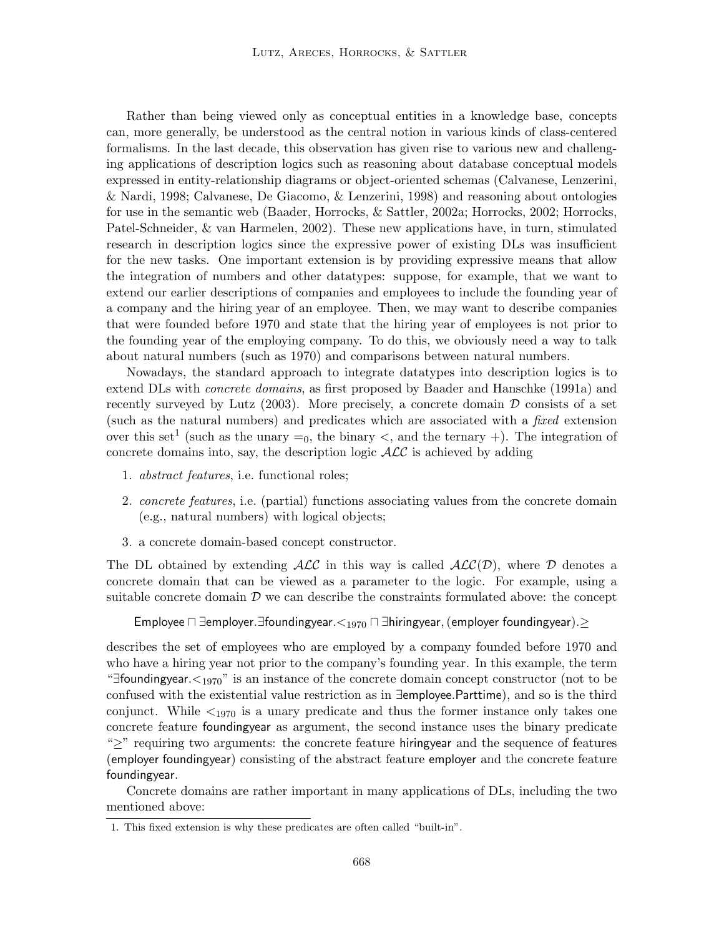Rather than being viewed only as conceptual entities in a knowledge base, concepts can, more generally, be understood as the central notion in various kinds of class-centered formalisms. In the last decade, this observation has given rise to various new and challenging applications of description logics such as reasoning about database conceptual models expressed in entity-relationship diagrams or object-oriented schemas (Calvanese, Lenzerini, & Nardi, 1998; Calvanese, De Giacomo, & Lenzerini, 1998) and reasoning about ontologies for use in the semantic web (Baader, Horrocks, & Sattler, 2002a; Horrocks, 2002; Horrocks, Patel-Schneider, & van Harmelen, 2002). These new applications have, in turn, stimulated research in description logics since the expressive power of existing DLs was insufficient for the new tasks. One important extension is by providing expressive means that allow the integration of numbers and other datatypes: suppose, for example, that we want to extend our earlier descriptions of companies and employees to include the founding year of a company and the hiring year of an employee. Then, we may want to describe companies that were founded before 1970 and state that the hiring year of employees is not prior to the founding year of the employing company. To do this, we obviously need a way to talk about natural numbers (such as 1970) and comparisons between natural numbers.

Nowadays, the standard approach to integrate datatypes into description logics is to extend DLs with concrete domains, as first proposed by Baader and Hanschke (1991a) and recently surveyed by Lutz (2003). More precisely, a concrete domain  $\mathcal D$  consists of a set (such as the natural numbers) and predicates which are associated with a fixed extension over this set<sup>1</sup> (such as the unary  $=_0$ , the binary  $\lt$ , and the ternary  $+$ ). The integration of concrete domains into, say, the description logic  $\mathcal{ALC}$  is achieved by adding

- 1. abstract features, i.e. functional roles;
- 2. concrete features, i.e. (partial) functions associating values from the concrete domain (e.g., natural numbers) with logical objects;
- 3. a concrete domain-based concept constructor.

The DL obtained by extending  $\mathcal{ALC}$  in this way is called  $\mathcal{ALC}(\mathcal{D})$ , where  $\mathcal D$  denotes a concrete domain that can be viewed as a parameter to the logic. For example, using a suitable concrete domain  $D$  we can describe the constraints formulated above: the concept

```
Employee \sqcap ∃employer.∃foundingyear.<_{1970} \sqcap ∃hiringyear, (employer foundingyear).\geq
```
describes the set of employees who are employed by a company founded before 1970 and who have a hiring year not prior to the company's founding year. In this example, the term "∃foundingyear. $\lt_{1970}$ " is an instance of the concrete domain concept constructor (not to be confused with the existential value restriction as in ∃employee.Parttime), and so is the third conjunct. While  $\leq_{1970}$  is a unary predicate and thus the former instance only takes one concrete feature foundingyear as argument, the second instance uses the binary predicate "≥" requiring two arguments: the concrete feature hiringyear and the sequence of features (employer foundingyear) consisting of the abstract feature employer and the concrete feature foundingyear.

Concrete domains are rather important in many applications of DLs, including the two mentioned above:

<sup>1.</sup> This fixed extension is why these predicates are often called "built-in".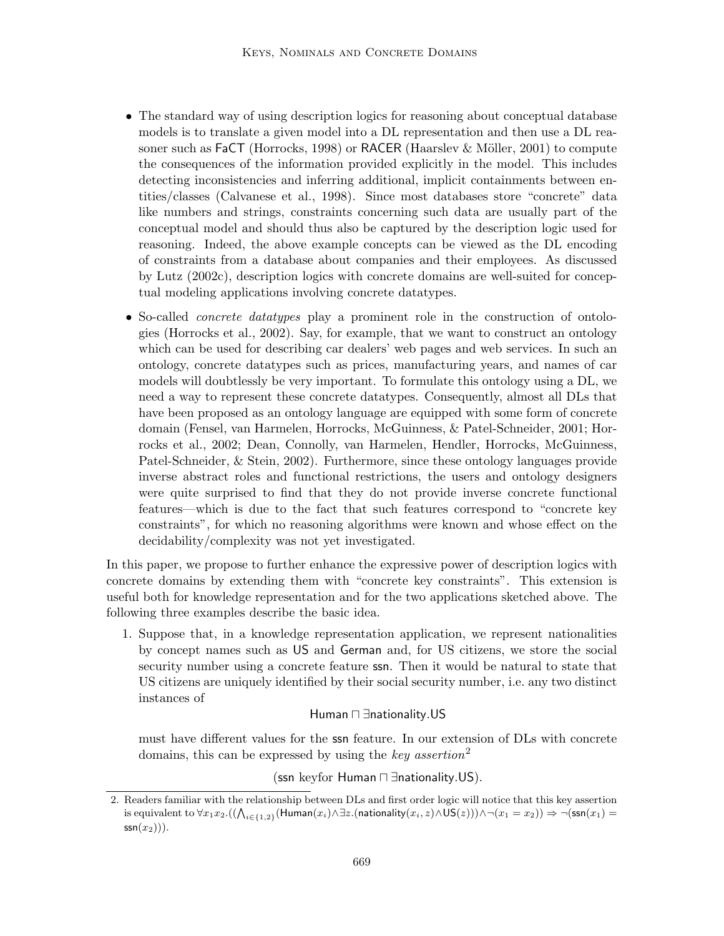- The standard way of using description logics for reasoning about conceptual database models is to translate a given model into a DL representation and then use a DL reasoner such as  $FaCT$  (Horrocks, 1998) or RACER (Haarslev & Möller, 2001) to compute the consequences of the information provided explicitly in the model. This includes detecting inconsistencies and inferring additional, implicit containments between entities/classes (Calvanese et al., 1998). Since most databases store "concrete" data like numbers and strings, constraints concerning such data are usually part of the conceptual model and should thus also be captured by the description logic used for reasoning. Indeed, the above example concepts can be viewed as the DL encoding of constraints from a database about companies and their employees. As discussed by Lutz (2002c), description logics with concrete domains are well-suited for conceptual modeling applications involving concrete datatypes.
- So-called *concrete datatypes* play a prominent role in the construction of ontologies (Horrocks et al., 2002). Say, for example, that we want to construct an ontology which can be used for describing car dealers' web pages and web services. In such an ontology, concrete datatypes such as prices, manufacturing years, and names of car models will doubtlessly be very important. To formulate this ontology using a DL, we need a way to represent these concrete datatypes. Consequently, almost all DLs that have been proposed as an ontology language are equipped with some form of concrete domain (Fensel, van Harmelen, Horrocks, McGuinness, & Patel-Schneider, 2001; Horrocks et al., 2002; Dean, Connolly, van Harmelen, Hendler, Horrocks, McGuinness, Patel-Schneider, & Stein, 2002). Furthermore, since these ontology languages provide inverse abstract roles and functional restrictions, the users and ontology designers were quite surprised to find that they do not provide inverse concrete functional features—which is due to the fact that such features correspond to "concrete key constraints", for which no reasoning algorithms were known and whose effect on the decidability/complexity was not yet investigated.

In this paper, we propose to further enhance the expressive power of description logics with concrete domains by extending them with "concrete key constraints". This extension is useful both for knowledge representation and for the two applications sketched above. The following three examples describe the basic idea.

1. Suppose that, in a knowledge representation application, we represent nationalities by concept names such as US and German and, for US citizens, we store the social security number using a concrete feature ssn. Then it would be natural to state that US citizens are uniquely identified by their social security number, i.e. any two distinct instances of

#### Human n ∃nationality.US

must have different values for the ssn feature. In our extension of DLs with concrete domains, this can be expressed by using the key assertion<sup>2</sup>

(ssn keyfor Human <sub>□</sub> ∃nationality.US).

<sup>2.</sup> Readers familiar with the relationship between DLs and first order logic will notice that this key assertion is equivalent to  $\forall x_1x_2.((\bigwedge_{i\in\{1,2\}} (\textsf{Human}(x_i)\wedge\exists z.(\textsf{nationality}(x_i,z)\wedge\textsf{US}(z)))\wedge\neg(x_1=x_2))\Rightarrow \neg(\textsf{ssn}(x_1)=x_2)$  $\mathsf{ssn}(x_2))$ .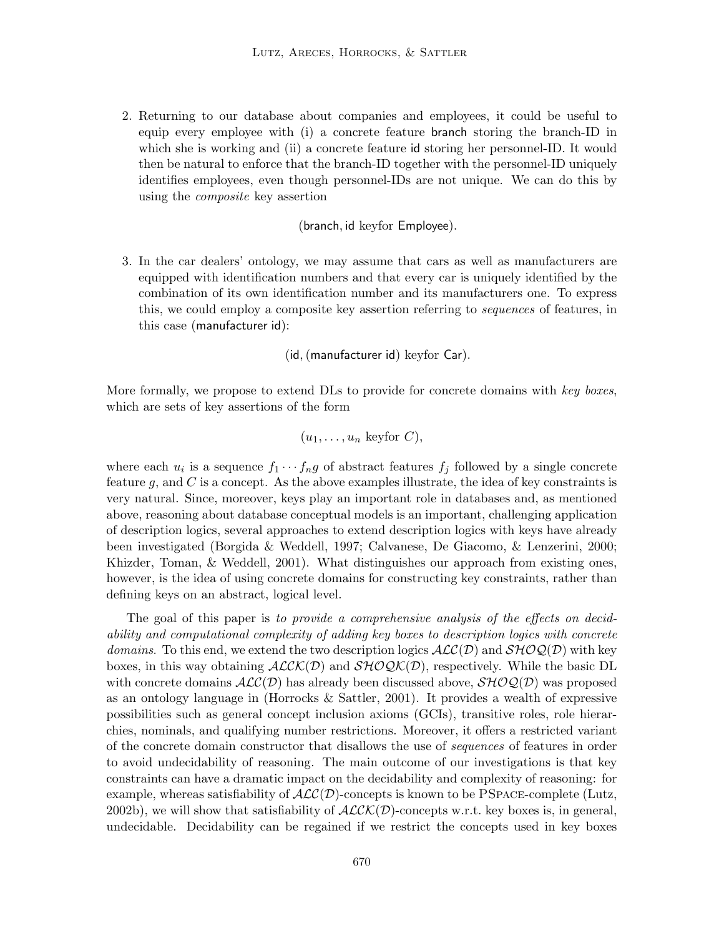2. Returning to our database about companies and employees, it could be useful to equip every employee with (i) a concrete feature branch storing the branch-ID in which she is working and (ii) a concrete feature id storing her personnel-ID. It would then be natural to enforce that the branch-ID together with the personnel-ID uniquely identifies employees, even though personnel-IDs are not unique. We can do this by using the composite key assertion

(branch, id keyfor Employee).

3. In the car dealers' ontology, we may assume that cars as well as manufacturers are equipped with identification numbers and that every car is uniquely identified by the combination of its own identification number and its manufacturers one. To express this, we could employ a composite key assertion referring to sequences of features, in this case (manufacturer id):

(id,(manufacturer id) keyfor Car).

More formally, we propose to extend DLs to provide for concrete domains with key boxes, which are sets of key assertions of the form

$$
(u_1, \ldots, u_n \text{ keyfor } C),
$$

where each  $u_i$  is a sequence  $f_1 \cdots f_n g$  of abstract features  $f_j$  followed by a single concrete feature g, and  $C$  is a concept. As the above examples illustrate, the idea of key constraints is very natural. Since, moreover, keys play an important role in databases and, as mentioned above, reasoning about database conceptual models is an important, challenging application of description logics, several approaches to extend description logics with keys have already been investigated (Borgida & Weddell, 1997; Calvanese, De Giacomo, & Lenzerini, 2000; Khizder, Toman, & Weddell, 2001). What distinguishes our approach from existing ones, however, is the idea of using concrete domains for constructing key constraints, rather than defining keys on an abstract, logical level.

The goal of this paper is to provide a comprehensive analysis of the effects on decidability and computational complexity of adding key boxes to description logics with concrete domains. To this end, we extend the two description logics  $\mathcal{ALC}(D)$  and  $\mathcal{SHOQ}(D)$  with key boxes, in this way obtaining  $ALCK(\mathcal{D})$  and  $SHOQK(\mathcal{D})$ , respectively. While the basic DL with concrete domains  $ALC(\mathcal{D})$  has already been discussed above,  $\mathcal{SHOQ}(\mathcal{D})$  was proposed as an ontology language in (Horrocks & Sattler, 2001). It provides a wealth of expressive possibilities such as general concept inclusion axioms (GCIs), transitive roles, role hierarchies, nominals, and qualifying number restrictions. Moreover, it offers a restricted variant of the concrete domain constructor that disallows the use of sequences of features in order to avoid undecidability of reasoning. The main outcome of our investigations is that key constraints can have a dramatic impact on the decidability and complexity of reasoning: for example, whereas satisfiability of  $\mathcal{ALC}(D)$ -concepts is known to be PSPACE-complete (Lutz, 2002b), we will show that satisfiability of  $ALCK(D)$ -concepts w.r.t. key boxes is, in general, undecidable. Decidability can be regained if we restrict the concepts used in key boxes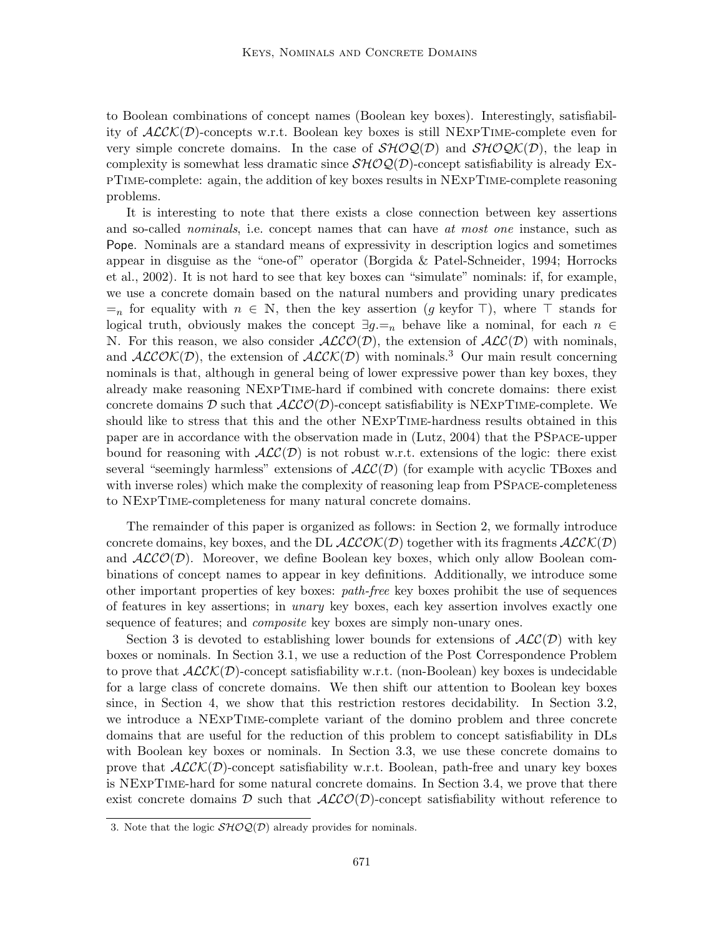to Boolean combinations of concept names (Boolean key boxes). Interestingly, satisfiability of  $ALCK(D)$ -concepts w.r.t. Boolean key boxes is still NEXPTIME-complete even for very simple concrete domains. In the case of  $\mathcal{SHOQ}(\mathcal{D})$  and  $\mathcal{SHOQK}(\mathcal{D})$ , the leap in complexity is somewhat less dramatic since  $\mathcal{SHOQ}(\mathcal{D})$ -concept satisfiability is already ExpTime-complete: again, the addition of key boxes results in NExpTime-complete reasoning problems.

It is interesting to note that there exists a close connection between key assertions and so-called *nominals*, i.e. concept names that can have *at most one* instance, such as Pope. Nominals are a standard means of expressivity in description logics and sometimes appear in disguise as the "one-of" operator (Borgida & Patel-Schneider, 1994; Horrocks et al., 2002). It is not hard to see that key boxes can "simulate" nominals: if, for example, we use a concrete domain based on the natural numbers and providing unary predicates  $=$ <sub>n</sub> for equality with  $n \in \mathbb{N}$ , then the key assertion (g keyfor  $\top$ ), where  $\top$  stands for logical truth, obviously makes the concept  $\exists g = n$  behave like a nominal, for each  $n \in$ N. For this reason, we also consider  $ALCO(\mathcal{D})$ , the extension of  $ALC(\mathcal{D})$  with nominals, and  $ALCOK(D)$ , the extension of  $ALCK(D)$  with nominals.<sup>3</sup> Our main result concerning nominals is that, although in general being of lower expressive power than key boxes, they already make reasoning NExpTime-hard if combined with concrete domains: there exist concrete domains D such that  $ALCO(\mathcal{D})$ -concept satisfiability is NEXPTIME-complete. We should like to stress that this and the other NExpTime-hardness results obtained in this paper are in accordance with the observation made in (Lutz, 2004) that the PSpace-upper bound for reasoning with  $ALC(\mathcal{D})$  is not robust w.r.t. extensions of the logic: there exist several "seemingly harmless" extensions of  $ALC(\mathcal{D})$  (for example with acyclic TBoxes and with inverse roles) which make the complexity of reasoning leap from PSPACE-completeness to NExpTime-completeness for many natural concrete domains.

The remainder of this paper is organized as follows: in Section 2, we formally introduce concrete domains, key boxes, and the DL  $ALCOK(\mathcal{D})$  together with its fragments  $ALCK(\mathcal{D})$ and  $ALCO(\mathcal{D})$ . Moreover, we define Boolean key boxes, which only allow Boolean combinations of concept names to appear in key definitions. Additionally, we introduce some other important properties of key boxes: path-free key boxes prohibit the use of sequences of features in key assertions; in unary key boxes, each key assertion involves exactly one sequence of features; and *composite* key boxes are simply non-unary ones.

Section 3 is devoted to establishing lower bounds for extensions of  $\text{ALC}(\mathcal{D})$  with key boxes or nominals. In Section 3.1, we use a reduction of the Post Correspondence Problem to prove that  $ALCK(\mathcal{D})$ -concept satisfiability w.r.t. (non-Boolean) key boxes is undecidable for a large class of concrete domains. We then shift our attention to Boolean key boxes since, in Section 4, we show that this restriction restores decidability. In Section 3.2, we introduce a NExpTime-complete variant of the domino problem and three concrete domains that are useful for the reduction of this problem to concept satisfiability in DLs with Boolean key boxes or nominals. In Section 3.3, we use these concrete domains to prove that  $ALCK(\mathcal{D})$ -concept satisfiability w.r.t. Boolean, path-free and unary key boxes is NExpTime-hard for some natural concrete domains. In Section 3.4, we prove that there exist concrete domains D such that  $ALCO(\mathcal{D})$ -concept satisfiability without reference to

<sup>3.</sup> Note that the logic  $\mathcal{SHOQ}(\mathcal{D})$  already provides for nominals.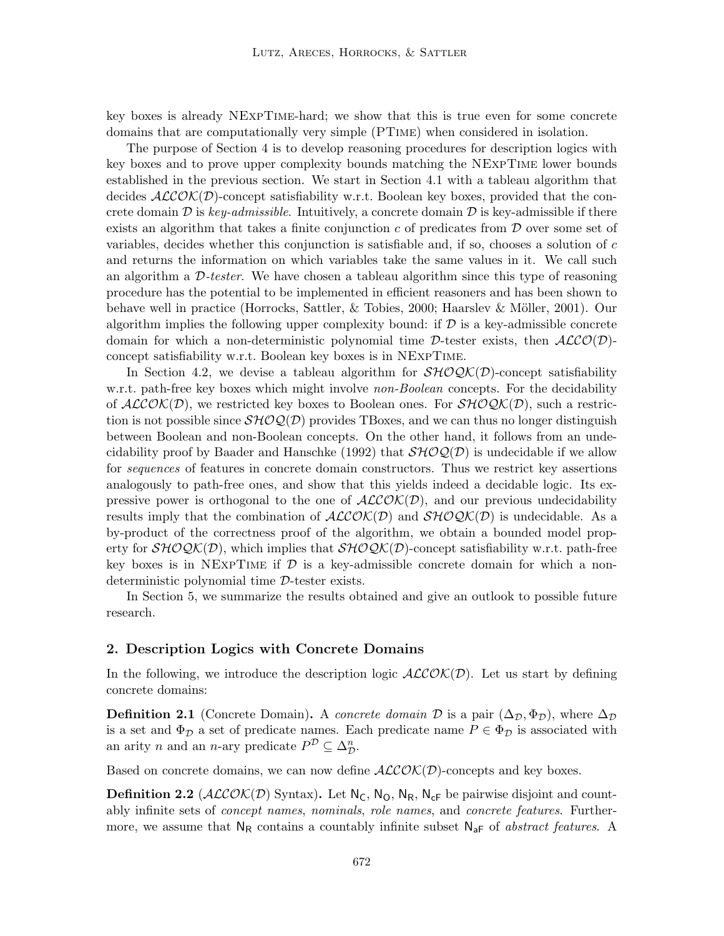key boxes is already NExpTime-hard; we show that this is true even for some concrete domains that are computationally very simple (PTime) when considered in isolation.

The purpose of Section 4 is to develop reasoning procedures for description logics with key boxes and to prove upper complexity bounds matching the NExpTime lower bounds established in the previous section. We start in Section 4.1 with a tableau algorithm that decides  $ALCOK(D)$ -concept satisfiability w.r.t. Boolean key boxes, provided that the concrete domain D is key-admissible. Intuitively, a concrete domain D is key-admissible if there exists an algorithm that takes a finite conjunction  $c$  of predicates from  $\mathcal D$  over some set of variables, decides whether this conjunction is satisfiable and, if so, chooses a solution of  $c$ and returns the information on which variables take the same values in it. We call such an algorithm a  $D$ -tester. We have chosen a tableau algorithm since this type of reasoning procedure has the potential to be implemented in efficient reasoners and has been shown to behave well in practice (Horrocks, Sattler, & Tobies, 2000; Haarslev & Möller, 2001). Our algorithm implies the following upper complexity bound: if  $D$  is a key-admissible concrete domain for which a non-deterministic polynomial time D-tester exists, then  $ALCO(\mathcal{D})$ concept satisfiability w.r.t. Boolean key boxes is in NExpTime.

In Section 4.2, we devise a tableau algorithm for  $\mathcal{SHOQK}(D)$ -concept satisfiability w.r.t. path-free key boxes which might involve *non-Boolean* concepts. For the decidability of  $ALCOK(D)$ , we restricted key boxes to Boolean ones. For  $SHOQK(D)$ , such a restriction is not possible since  $\mathcal{SHOQ}(\mathcal{D})$  provides TBoxes, and we can thus no longer distinguish between Boolean and non-Boolean concepts. On the other hand, it follows from an undecidability proof by Baader and Hanschke (1992) that  $\mathcal{SHOQ}(\mathcal{D})$  is undecidable if we allow for sequences of features in concrete domain constructors. Thus we restrict key assertions analogously to path-free ones, and show that this yields indeed a decidable logic. Its expressive power is orthogonal to the one of  $ALCOK(\mathcal{D})$ , and our previous undecidability results imply that the combination of  $ALCOK(D)$  and  $SHOQK(D)$  is undecidable. As a by-product of the correctness proof of the algorithm, we obtain a bounded model property for  $\mathcal{SHOQK}(D)$ , which implies that  $\mathcal{SHOQK}(D)$ -concept satisfiability w.r.t. path-free key boxes is in NEXPTIME if  $\mathcal D$  is a key-admissible concrete domain for which a nondeterministic polynomial time D-tester exists.

In Section 5, we summarize the results obtained and give an outlook to possible future research.

### 2. Description Logics with Concrete Domains

In the following, we introduce the description logic  $\text{ALCOK}(\mathcal{D})$ . Let us start by defining concrete domains:

**Definition 2.1** (Concrete Domain). A concrete domain  $\mathcal{D}$  is a pair  $(\Delta_{\mathcal{D}}, \Phi_{\mathcal{D}})$ , where  $\Delta_{\mathcal{D}}$ is a set and  $\Phi_{\mathcal{D}}$  a set of predicate names. Each predicate name  $P \in \Phi_{\mathcal{D}}$  is associated with an arity *n* and an *n*-ary predicate  $P^{\mathcal{D}} \subseteq \Delta_{\mathcal{D}}^n$ .

Based on concrete domains, we can now define  $ALCOK(D)$ -concepts and key boxes.

**Definition 2.2** ( $\mathcal{ALCOK}(D)$  Syntax). Let  $N_c$ ,  $N_o$ ,  $N_g$ ,  $N_{cf}$  be pairwise disjoint and countably infinite sets of *concept names, nominals, role names,* and *concrete features*. Furthermore, we assume that  $N_R$  contains a countably infinite subset  $N_{aF}$  of abstract features. A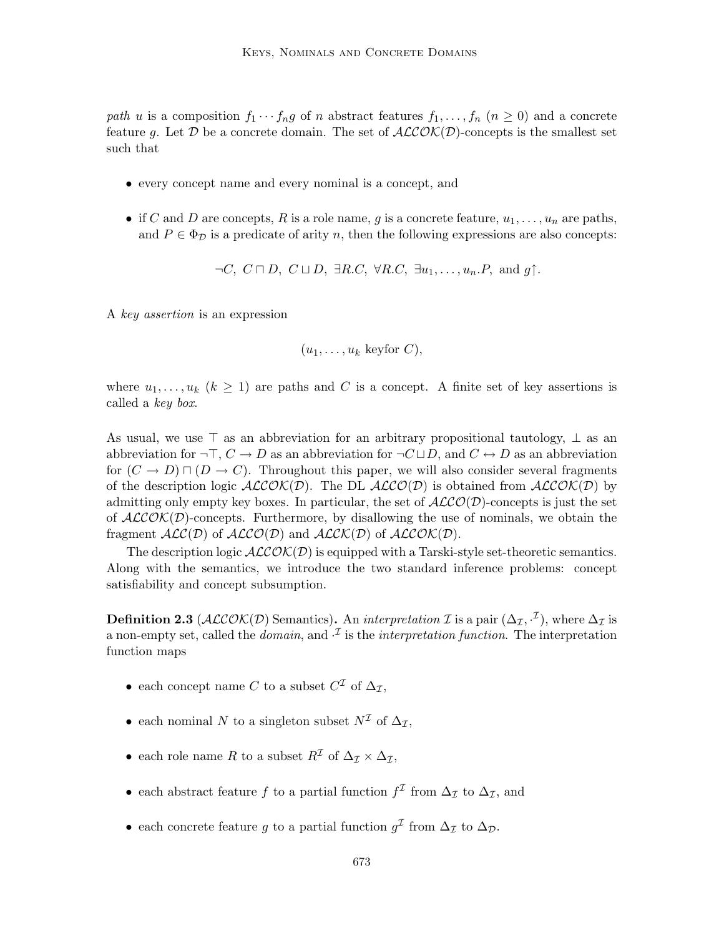path u is a composition  $f_1 \cdots f_n g$  of n abstract features  $f_1, \ldots, f_n$   $(n \geq 0)$  and a concrete feature g. Let D be a concrete domain. The set of  $ALCOK(D)$ -concepts is the smallest set such that

- every concept name and every nominal is a concept, and
- if C and D are concepts, R is a role name, g is a concrete feature,  $u_1, \ldots, u_n$  are paths, and  $P \in \Phi_{\mathcal{D}}$  is a predicate of arity n, then the following expressions are also concepts:

 $\neg C, C \sqcap D, C \sqcup D, \exists R.C, \forall R.C, \exists u_1, \ldots, u_n.P, \text{ and } q \uparrow.$ 

A key assertion is an expression

 $(u_1, \ldots, u_k \text{ keyfor } C),$ 

where  $u_1, \ldots, u_k$   $(k \geq 1)$  are paths and C is a concept. A finite set of key assertions is called a key box.

As usual, we use  $\top$  as an abbreviation for an arbitrary propositional tautology,  $\bot$  as an abbreviation for  $\neg \top, C \to D$  as an abbreviation for  $\neg C \sqcup D$ , and  $C \leftrightarrow D$  as an abbreviation for  $(C \to D) \sqcap (D \to C)$ . Throughout this paper, we will also consider several fragments of the description logic  $ALCOK(D)$ . The DL  $ALCO(D)$  is obtained from  $ALCOK(D)$  by admitting only empty key boxes. In particular, the set of  $\mathcal{ALCO}(\mathcal{D})$ -concepts is just the set of  $ALCOK(D)$ -concepts. Furthermore, by disallowing the use of nominals, we obtain the fragment  $ALC(\mathcal{D})$  of  $ALCO(\mathcal{D})$  and  $ALCK(\mathcal{D})$  of  $ALCOK(\mathcal{D})$ .

The description logic  $ALCOK(D)$  is equipped with a Tarski-style set-theoretic semantics. Along with the semantics, we introduce the two standard inference problems: concept satisfiability and concept subsumption.

**Definition 2.3** ( $\mathcal{ALCOK}(\mathcal{D})$  Semantics). An *interpretation I* is a pair  $(\Delta_{\mathcal{I}}, \cdot^{\mathcal{I}})$ , where  $\Delta_{\mathcal{I}}$  is a non-empty set, called the *domain*, and  $\cdot^{\mathcal{I}}$  is the *interpretation function*. The interpretation function maps

- each concept name C to a subset  $C^{\mathcal{I}}$  of  $\Delta_{\mathcal{I}}$ ,
- each nominal N to a singleton subset  $N^{\mathcal{I}}$  of  $\Delta_{\mathcal{I}}$ ,
- each role name R to a subset  $R^{\mathcal{I}}$  of  $\Delta_{\mathcal{I}} \times \Delta_{\mathcal{I}}$ ,
- each abstract feature f to a partial function  $f^{\mathcal{I}}$  from  $\Delta_{\mathcal{I}}$  to  $\Delta_{\mathcal{I}}$ , and
- each concrete feature g to a partial function  $g^{\mathcal{I}}$  from  $\Delta_{\mathcal{I}}$  to  $\Delta_{\mathcal{D}}$ .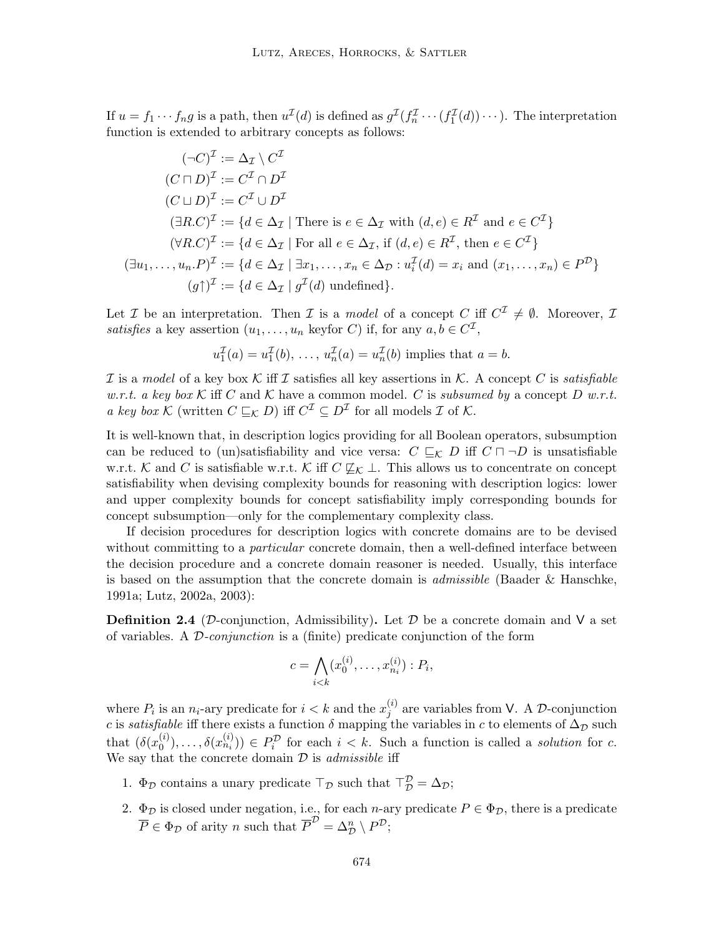If  $u = f_1 \cdots f_n g$  is a path, then  $u^{\mathcal{I}}(d)$  is defined as  $g^{\mathcal{I}}(f_n^{\mathcal{I}} \cdots (f_1^{\mathcal{I}}(d)) \cdots)$ . The interpretation function is extended to arbitrary concepts as follows:

$$
(\neg C)^{\mathcal{I}} := \Delta_{\mathcal{I}} \setminus C^{\mathcal{I}}
$$
  
\n
$$
(C \sqcap D)^{\mathcal{I}} := C^{\mathcal{I}} \cap D^{\mathcal{I}}
$$
  
\n
$$
(C \sqcup D)^{\mathcal{I}} := C^{\mathcal{I}} \cup D^{\mathcal{I}}
$$
  
\n
$$
(\exists R.C)^{\mathcal{I}} := \{d \in \Delta_{\mathcal{I}} \mid \text{There is } e \in \Delta_{\mathcal{I}} \text{ with } (d, e) \in R^{\mathcal{I}} \text{ and } e \in C^{\mathcal{I}}\}
$$
  
\n
$$
(\forall R.C)^{\mathcal{I}} := \{d \in \Delta_{\mathcal{I}} \mid \text{For all } e \in \Delta_{\mathcal{I}}, \text{ if } (d, e) \in R^{\mathcal{I}}, \text{ then } e \in C^{\mathcal{I}}\}
$$
  
\n
$$
(\exists u_1, \dots, u_n.P)^{\mathcal{I}} := \{d \in \Delta_{\mathcal{I}} \mid \exists x_1, \dots, x_n \in \Delta_{\mathcal{D}} : u_i^{\mathcal{I}}(d) = x_i \text{ and } (x_1, \dots, x_n) \in P^{\mathcal{D}}\}
$$
  
\n
$$
(g\uparrow)^{\mathcal{I}} := \{d \in \Delta_{\mathcal{I}} \mid g^{\mathcal{I}}(d) \text{ undefined}\}.
$$

Let *I* be an interpretation. Then *I* is a *model* of a concept *C* iff  $C^{\mathcal{I}} \neq \emptyset$ . Moreover, *I* satisfies a key assertion  $(u_1, \ldots, u_n$  keyfor C) if, for any  $a, b \in C^{\mathcal{I}},$ 

$$
u_1^{\mathcal{I}}(a) = u_1^{\mathcal{I}}(b), \ldots, u_n^{\mathcal{I}}(a) = u_n^{\mathcal{I}}(b)
$$
 implies that  $a = b$ .

I is a model of a key box K iff I satisfies all key assertions in K. A concept C is satisfiable w.r.t. a key box K iff C and K have a common model. C is subsumed by a concept D w.r.t. a key box K (written  $C \sqsubseteq_K D$ ) iff  $C^{\mathcal{I}} \subseteq D^{\mathcal{I}}$  for all models  $\mathcal{I}$  of  $\mathcal{K}$ .

It is well-known that, in description logics providing for all Boolean operators, subsumption can be reduced to (un)satisfiability and vice versa:  $C \subseteq_K D$  iff  $C \sqcap \neg D$  is unsatisfiable w.r.t. K and C is satisfiable w.r.t. K iff  $C \not\sqsubseteq_K \bot$ . This allows us to concentrate on concept satisfiability when devising complexity bounds for reasoning with description logics: lower and upper complexity bounds for concept satisfiability imply corresponding bounds for concept subsumption—only for the complementary complexity class.

If decision procedures for description logics with concrete domains are to be devised without committing to a *particular* concrete domain, then a well-defined interface between the decision procedure and a concrete domain reasoner is needed. Usually, this interface is based on the assumption that the concrete domain is admissible (Baader & Hanschke, 1991a; Lutz, 2002a, 2003):

**Definition 2.4** (D-conjunction, Admissibility). Let D be a concrete domain and V a set of variables. A D-conjunction is a (finite) predicate conjunction of the form

$$
c = \bigwedge_{i < k} (x_0^{(i)}, \dots, x_{n_i}^{(i)}) : P_i,
$$

where  $P_i$  is an  $n_i$ -ary predicate for  $i < k$  and the  $x_j^{(i)}$  $j^{(i)}$  are variables from V. A D-conjunction c is satisfiable iff there exists a function  $\delta$  mapping the variables in c to elements of  $\Delta_{\mathcal{D}}$  such that  $(\delta(x_0^{(i)})$  $(0,0),\ldots,\delta(x_{n_i}^{(i)}))\in P_i^{\mathcal{D}}$  for each  $i < k$ . Such a function is called a *solution* for c. We say that the concrete domain  $D$  is *admissible* iff

- 1.  $\Phi_{\mathcal{D}}$  contains a unary predicate  $\top_{\mathcal{D}}$  such that  $\top_{\mathcal{D}}^{\mathcal{D}} = \Delta_{\mathcal{D}}$ ;
- 2.  $\Phi_{\mathcal{D}}$  is closed under negation, i.e., for each *n*-ary predicate  $P \in \Phi_{\mathcal{D}}$ , there is a predicate  $\overline{P} \in \Phi_{\mathcal{D}}$  of arity *n* such that  $\overline{P}^{\mathcal{D}} = \Delta_{\mathcal{D}}^n \setminus P^{\mathcal{D}}$ ;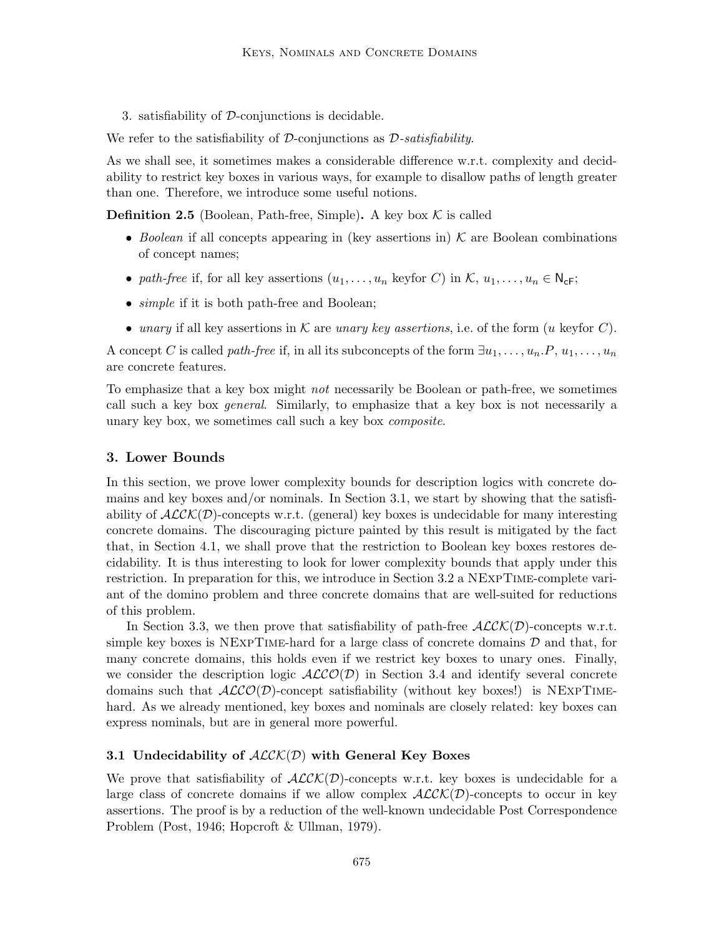3. satisfiability of D-conjunctions is decidable.

We refer to the satisfiability of D-conjunctions as  $\mathcal{D}$ -satisfiability.

As we shall see, it sometimes makes a considerable difference w.r.t. complexity and decidability to restrict key boxes in various ways, for example to disallow paths of length greater than one. Therefore, we introduce some useful notions.

**Definition 2.5** (Boolean, Path-free, Simple). A key box  $K$  is called

- Boolean if all concepts appearing in (key assertions in)  $K$  are Boolean combinations of concept names;
- path-free if, for all key assertions  $(u_1, \ldots, u_n$  keyfor C) in K,  $u_1, \ldots, u_n \in N_{\mathsf{cF}}$ ;
- *simple* if it is both path-free and Boolean;
- unary if all key assertions in K are unary key assertions, i.e. of the form  $(u \text{ keyfor } C)$ .

A concept C is called *path-free* if, in all its subconcepts of the form  $\exists u_1, \ldots, u_n \ldotp P, u_1, \ldots, u_n$ are concrete features.

To emphasize that a key box might *not* necessarily be Boolean or path-free, we sometimes call such a key box *general*. Similarly, to emphasize that a key box is not necessarily a unary key box, we sometimes call such a key box composite.

### 3. Lower Bounds

In this section, we prove lower complexity bounds for description logics with concrete domains and key boxes and/or nominals. In Section 3.1, we start by showing that the satisfiability of  $ALCK(\mathcal{D})$ -concepts w.r.t. (general) key boxes is undecidable for many interesting concrete domains. The discouraging picture painted by this result is mitigated by the fact that, in Section 4.1, we shall prove that the restriction to Boolean key boxes restores decidability. It is thus interesting to look for lower complexity bounds that apply under this restriction. In preparation for this, we introduce in Section 3.2 a NExpTime-complete variant of the domino problem and three concrete domains that are well-suited for reductions of this problem.

In Section 3.3, we then prove that satisfiability of path-free  $\text{ALCK}(D)$ -concepts w.r.t. simple key boxes is NEXPTIME-hard for a large class of concrete domains  $D$  and that, for many concrete domains, this holds even if we restrict key boxes to unary ones. Finally, we consider the description logic  $ALCO(\mathcal{D})$  in Section 3.4 and identify several concrete domains such that  $ALCO(\mathcal{D})$ -concept satisfiability (without key boxes!) is NEXPTIMEhard. As we already mentioned, key boxes and nominals are closely related: key boxes can express nominals, but are in general more powerful.

# 3.1 Undecidability of  $ALCK(D)$  with General Key Boxes

We prove that satisfiability of  $ALCK(D)$ -concepts w.r.t. key boxes is undecidable for a large class of concrete domains if we allow complex  $ALCK(\mathcal{D})$ -concepts to occur in key assertions. The proof is by a reduction of the well-known undecidable Post Correspondence Problem (Post, 1946; Hopcroft & Ullman, 1979).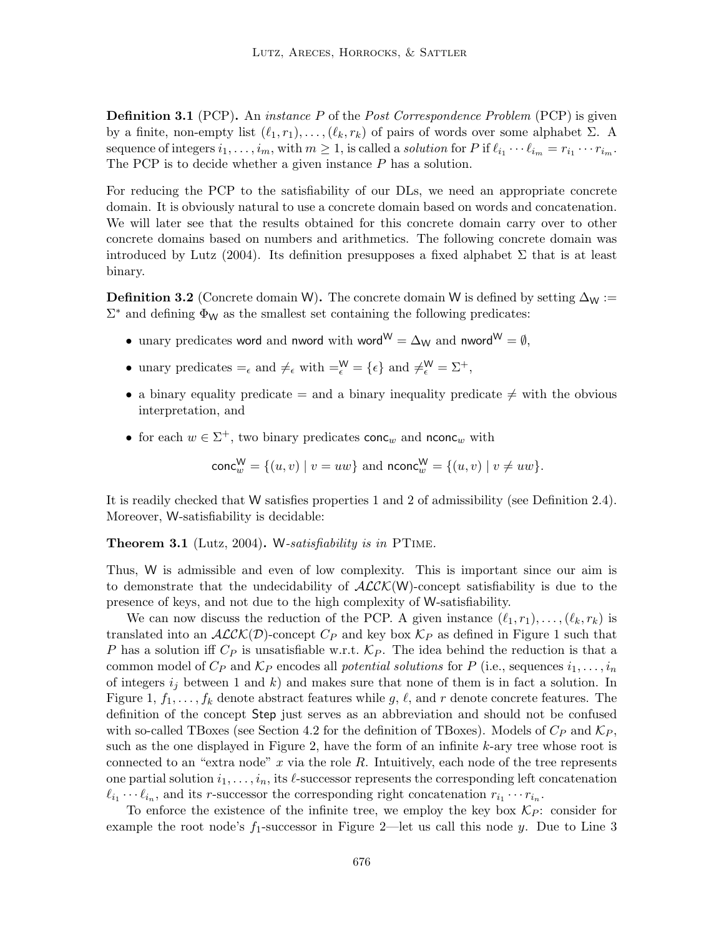**Definition 3.1** (PCP). An *instance P* of the *Post Correspondence Problem* (PCP) is given by a finite, non-empty list  $(\ell_1, r_1), \ldots, (\ell_k, r_k)$  of pairs of words over some alphabet  $\Sigma$ . A sequence of integers  $i_1, \ldots, i_m$ , with  $m \ge 1$ , is called a solution for P if  $\ell_{i_1} \cdots \ell_{i_m} = r_{i_1} \cdots r_{i_m}$ . The PCP is to decide whether a given instance P has a solution.

For reducing the PCP to the satisfiability of our DLs, we need an appropriate concrete domain. It is obviously natural to use a concrete domain based on words and concatenation. We will later see that the results obtained for this concrete domain carry over to other concrete domains based on numbers and arithmetics. The following concrete domain was introduced by Lutz (2004). Its definition presupposes a fixed alphabet  $\Sigma$  that is at least binary.

**Definition 3.2** (Concrete domain W). The concrete domain W is defined by setting  $\Delta_W$  :=  $\Sigma^*$  and defining  $\Phi_W$  as the smallest set containing the following predicates:

- unary predicates word and nword with word<sup>W</sup> =  $\Delta_W$  and nword<sup>W</sup> =  $\emptyset$ ,
- unary predicates  $=_{\epsilon}$  and  $\neq_{\epsilon}$  with  $=\epsilon^{\mathsf{W}}_{\epsilon} = \{\epsilon\}$  and  $\neq_{\epsilon}^{\mathsf{W}} = \Sigma^{+}$ ,
- a binary equality predicate  $=$  and a binary inequality predicate  $\neq$  with the obvious interpretation, and
- for each  $w \in \Sigma^+$ , two binary predicates conc<sub>w</sub> and nconc<sub>w</sub> with

$$
\text{conc}_{w}^{W} = \{(u, v) | v = uw\}
$$
 and  $\text{nconc}_{w}^{W} = \{(u, v) | v \neq uw\}.$ 

It is readily checked that W satisfies properties 1 and 2 of admissibility (see Definition 2.4). Moreover, W-satisfiability is decidable:

Theorem 3.1 (Lutz, 2004). W-satisfiability is in PTIME.

Thus, W is admissible and even of low complexity. This is important since our aim is to demonstrate that the undecidability of  $ALCK(W)$ -concept satisfiability is due to the presence of keys, and not due to the high complexity of W-satisfiability.

We can now discuss the reduction of the PCP. A given instance  $(\ell_1, r_1), \ldots, (\ell_k, r_k)$  is translated into an  $ALCK(\mathcal{D})$ -concept  $C_P$  and key box  $\mathcal{K}_P$  as defined in Figure 1 such that P has a solution iff  $C_P$  is unsatisfiable w.r.t.  $K_P$ . The idea behind the reduction is that a common model of  $C_P$  and  $K_P$  encodes all *potential solutions* for P (i.e., sequences  $i_1, \ldots, i_n$ of integers  $i_j$  between 1 and k) and makes sure that none of them is in fact a solution. In Figure 1,  $f_1, \ldots, f_k$  denote abstract features while g,  $\ell$ , and r denote concrete features. The definition of the concept Step just serves as an abbreviation and should not be confused with so-called TBoxes (see Section 4.2 for the definition of TBoxes). Models of  $C_P$  and  $\mathcal{K}_P$ , such as the one displayed in Figure 2, have the form of an infinite  $k$ -ary tree whose root is connected to an "extra node"  $x$  via the role  $R$ . Intuitively, each node of the tree represents one partial solution  $i_1, \ldots, i_n$ , its  $\ell$ -successor represents the corresponding left concatenation  $\ell_{i_1} \cdots \ell_{i_n}$ , and its r-successor the corresponding right concatenation  $r_{i_1} \cdots r_{i_n}$ .

To enforce the existence of the infinite tree, we employ the key box  $\mathcal{K}_P$ : consider for example the root node's  $f_1$ -successor in Figure 2—let us call this node y. Due to Line 3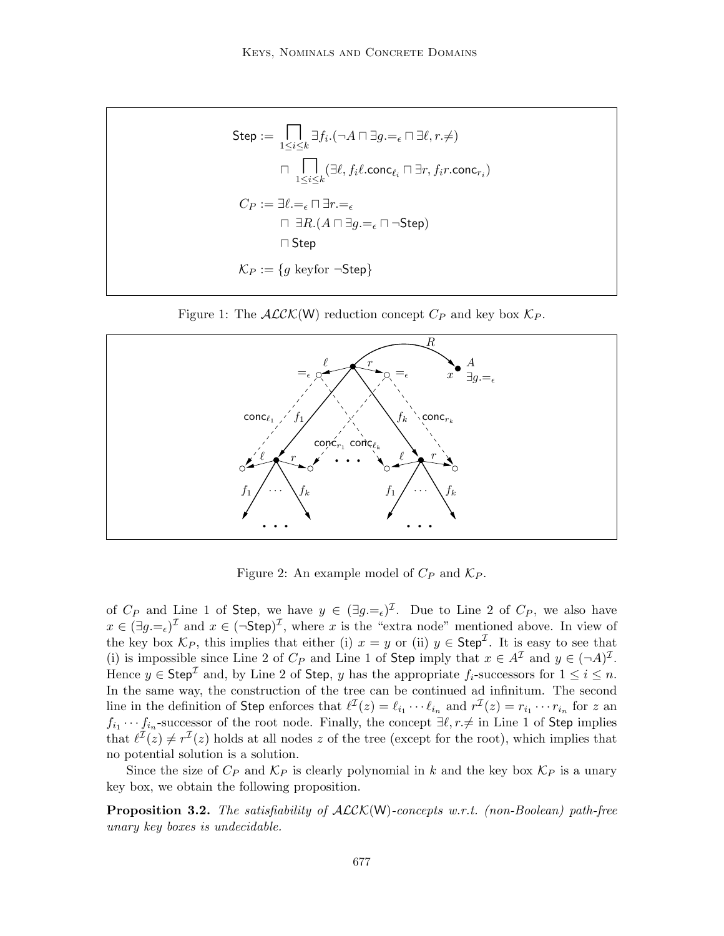$$
\begin{aligned} \mathsf{Step} &:= \bigcap_{1 \leq i \leq k} \exists f_i.(\neg A \sqcap \exists g. =_{\epsilon} \sqcap \exists \ell, r. \neq) \\ &\qquad \qquad \sqcap \bigcap_{1 \leq i \leq k} (\exists \ell, f_i \ell.\mathsf{conc}_{\ell_i} \sqcap \exists r, f_i r.\mathsf{conc}_{r_i}) \\ C_P &:= \exists \ell. =_{\epsilon} \sqcap \exists r. =_{\epsilon} \\ &\qquad \sqcap \exists R. (A \sqcap \exists g. =_{\epsilon} \sqcap \neg \mathsf{Step}) \\ &\qquad \sqcap \mathsf{Step} \\ \mathcal{K}_P &:= \{g \text{ keyfor } \neg \mathsf{Step}\} \end{aligned}
$$





Figure 2: An example model of  $C_P$  and  $\mathcal{K}_P$ .

of  $C_P$  and Line 1 of Step, we have  $y \in (\exists g = \epsilon)^{\mathcal{I}}$ . Due to Line 2 of  $C_P$ , we also have  $x \in (\exists g = \epsilon)^{\mathcal{I}}$  and  $x \in (\neg \mathsf{Step})^{\mathcal{I}}$ , where x is the "extra node" mentioned above. In view of the key box  $\mathcal{K}_P$ , this implies that either (i)  $x = y$  or (ii)  $y \in \mathsf{Step}^\mathcal{I}$ . It is easy to see that (i) is impossible since Line 2 of  $C_P$  and Line 1 of Step imply that  $x \in A^{\mathcal{I}}$  and  $y \in (\neg A)^{\mathcal{I}}$ . Hence  $y \in \mathsf{Step}^{\mathcal{I}}$  and, by Line 2 of Step, y has the appropriate  $f_i$ -successors for  $1 \leq i \leq n$ . In the same way, the construction of the tree can be continued ad infinitum. The second line in the definition of Step enforces that  $\ell^{\mathcal{I}}(z) = \ell_{i_1} \cdots \ell_{i_n}$  and  $r^{\mathcal{I}}(z) = r_{i_1} \cdots r_{i_n}$  for z and  $f_{i_1}\cdots f_{i_n}$ -successor of the root node. Finally, the concept  $\exists \ell, r \neq \text{in Line 1 of Step implies}$ that  $\ell^{\mathcal{I}}(z) \neq r^{\mathcal{I}}(z)$  holds at all nodes z of the tree (except for the root), which implies that no potential solution is a solution.

Since the size of  $C_P$  and  $K_P$  is clearly polynomial in k and the key box  $K_P$  is a unary key box, we obtain the following proposition.

**Proposition 3.2.** The satisfiability of  $\text{ALCK}(W)$ -concepts w.r.t. (non-Boolean) path-free unary key boxes is undecidable.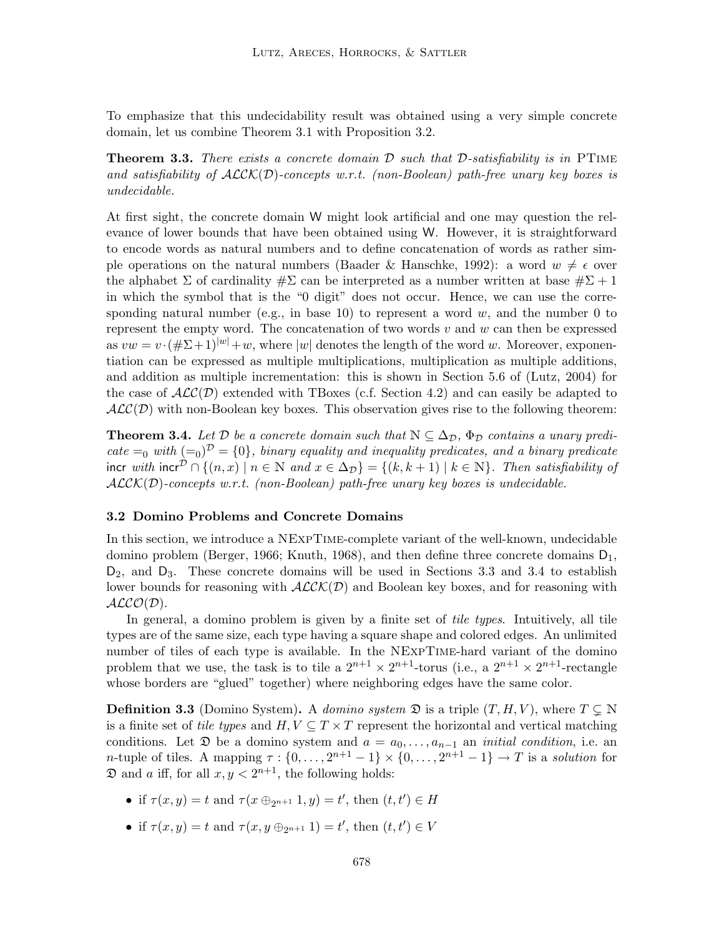To emphasize that this undecidability result was obtained using a very simple concrete domain, let us combine Theorem 3.1 with Proposition 3.2.

**Theorem 3.3.** There exists a concrete domain  $\mathcal{D}$  such that  $\mathcal{D}$ -satisfiability is in PTIME and satisfiability of  $ALCK(\mathcal{D})$ -concepts w.r.t. (non-Boolean) path-free unary key boxes is undecidable.

At first sight, the concrete domain W might look artificial and one may question the relevance of lower bounds that have been obtained using W. However, it is straightforward to encode words as natural numbers and to define concatenation of words as rather simple operations on the natural numbers (Baader & Hanschke, 1992): a word  $w \neq \epsilon$  over the alphabet  $\Sigma$  of cardinality  $\#\Sigma$  can be interpreted as a number written at base  $\#\Sigma$  + 1 in which the symbol that is the "0 digit" does not occur. Hence, we can use the corresponding natural number (e.g., in base 10) to represent a word  $w$ , and the number 0 to represent the empty word. The concatenation of two words  $v$  and  $w$  can then be expressed as  $vw = v \cdot (\# \Sigma + 1)^{|w|} + w$ , where |w| denotes the length of the word w. Moreover, exponentiation can be expressed as multiple multiplications, multiplication as multiple additions, and addition as multiple incrementation: this is shown in Section 5.6 of (Lutz, 2004) for the case of  $\mathcal{ALC}(\mathcal{D})$  extended with TBoxes (c.f. Section 4.2) and can easily be adapted to  $ALC(\mathcal{D})$  with non-Boolean key boxes. This observation gives rise to the following theorem:

**Theorem 3.4.** Let D be a concrete domain such that  $N \subseteq \Delta_{\mathcal{D}}$ ,  $\Phi_{\mathcal{D}}$  contains a unary predicate  $=_0$  with  $(=_0)^{\mathcal{D}} = \{0\}$ , binary equality and inequality predicates, and a binary predicate incr with incr<sup>D</sup> ∩ { $(n, x)$  |  $n \in \mathbb{N}$  and  $x \in \Delta_{\mathcal{D}}$ } = { $(k, k + 1)$  |  $k \in \mathbb{N}$ }. Then satisfiability of  $ALCK(D)$ -concepts w.r.t. (non-Boolean) path-free unary key boxes is undecidable.

### 3.2 Domino Problems and Concrete Domains

In this section, we introduce a NExpTime-complete variant of the well-known, undecidable domino problem (Berger, 1966; Knuth, 1968), and then define three concrete domains  $D_1$ ,  $D_2$ , and  $D_3$ . These concrete domains will be used in Sections 3.3 and 3.4 to establish lower bounds for reasoning with  $ALCK(\mathcal{D})$  and Boolean key boxes, and for reasoning with  $ALCO(D)$ .

In general, a domino problem is given by a finite set of *tile types*. Intuitively, all tile types are of the same size, each type having a square shape and colored edges. An unlimited number of tiles of each type is available. In the NExpTime-hard variant of the domino problem that we use, the task is to tile a  $2^{n+1} \times 2^{n+1}$ -torus (i.e., a  $2^{n+1} \times 2^{n+1}$ -rectangle whose borders are "glued" together) where neighboring edges have the same color.

**Definition 3.3** (Domino System). A domino system  $\mathfrak{D}$  is a triple  $(T, H, V)$ , where  $T \subseteq \mathbb{N}$ is a finite set of tile types and  $H, V \subseteq T \times T$  represent the horizontal and vertical matching conditions. Let  $\mathfrak D$  be a domino system and  $a = a_0, \ldots, a_{n-1}$  an *initial condition*, i.e. an *n*-tuple of tiles. A mapping  $\tau : \{0, \ldots, 2^{n+1} - 1\} \times \{0, \ldots, 2^{n+1} - 1\} \to T$  is a *solution* for  $\mathfrak D$  and a iff, for all  $x, y < 2^{n+1}$ , the following holds:

- if  $\tau(x, y) = t$  and  $\tau(x \oplus_{2^{n+1}} 1, y) = t'$ , then  $(t, t') \in H$
- if  $\tau(x, y) = t$  and  $\tau(x, y \oplus_{2^{n+1}} 1) = t'$ , then  $(t, t') \in V$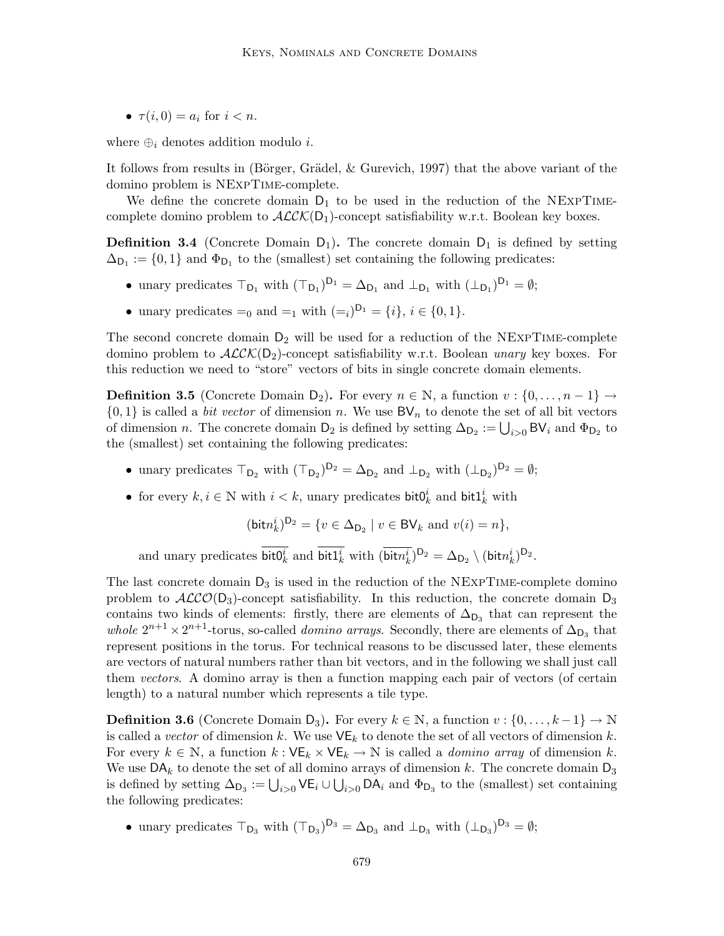•  $\tau(i, 0) = a_i$  for  $i < n$ .

where  $\oplus_i$  denotes addition modulo *i*.

It follows from results in (Börger, Grädel,  $\&$  Gurevich, 1997) that the above variant of the domino problem is NExpTime-complete.

We define the concrete domain  $D_1$  to be used in the reduction of the NEXPTIMEcomplete domino problem to  $\mathcal{ALCK}(D_1)$ -concept satisfiability w.r.t. Boolean key boxes.

**Definition 3.4** (Concrete Domain  $D_1$ ). The concrete domain  $D_1$  is defined by setting  $\Delta_{\mathsf{D}_1} := \{0,1\}$  and  $\Phi_{\mathsf{D}_1}$  to the (smallest) set containing the following predicates:

- unary predicates  $\top_{D_1}$  with  $(\top_{D_1})^{D_1} = \Delta_{D_1}$  and  $\bot_{D_1}$  with  $(\bot_{D_1})^{D_1} = \emptyset$ ;
- unary predicates  $=_0$  and  $=_1$  with  $(=_i)^{D_1} = \{i\}, i \in \{0, 1\}.$

The second concrete domain  $D_2$  will be used for a reduction of the NEXPTIME-complete domino problem to  $\mathcal{ALCK}(\mathsf{D}_2)$ -concept satisfiability w.r.t. Boolean unary key boxes. For this reduction we need to "store" vectors of bits in single concrete domain elements.

**Definition 3.5** (Concrete Domain D<sub>2</sub>). For every  $n \in \mathbb{N}$ , a function  $v : \{0, \ldots, n-1\} \rightarrow$  $\{0,1\}$  is called a *bit vector* of dimension n. We use  $BV_n$  to denote the set of all bit vectors of dimension *n*. The concrete domain D<sub>2</sub> is defined by setting  $\Delta_{D_2} := \bigcup_{i>0} BV_i$  and  $\Phi_{D_2}$  to the (smallest) set containing the following predicates:

- unary predicates  $\top_{\mathsf{D}_2}$  with  $(\top_{\mathsf{D}_2})^{\mathsf{D}_2} = \Delta_{\mathsf{D}_2}$  and  $\bot_{\mathsf{D}_2}$  with  $(\bot_{\mathsf{D}_2})^{\mathsf{D}_2} = \emptyset$ ;
- for every  $k, i \in \mathbb{N}$  with  $i < k$ , unary predicates bit $0_k^i$  and bit $1_k^i$  with

$$
(\text{bit}n_k^i)^{D_2} = \{ v \in \Delta_{D_2} \mid v \in \text{BV}_k \text{ and } v(i) = n \},
$$

and unary predicates  $\text{bit0}_k^i$  and  $\text{bit1}_k^i$  with  $(\overline{\text{bit}n_k^i})^{D_2} = \Delta_{D_2} \setminus (\text{bit}n_k^i)^{D_2}$ .

The last concrete domain  $D_3$  is used in the reduction of the NEXPTIME-complete domino problem to  $ALCO(D_3)$ -concept satisfiability. In this reduction, the concrete domain  $D_3$ contains two kinds of elements: firstly, there are elements of  $\Delta_{D_3}$  that can represent the whole  $2^{n+1} \times 2^{n+1}$ -torus, so-called *domino arrays*. Secondly, there are elements of  $\Delta_{\text{D}_3}$  that represent positions in the torus. For technical reasons to be discussed later, these elements are vectors of natural numbers rather than bit vectors, and in the following we shall just call them vectors. A domino array is then a function mapping each pair of vectors (of certain length) to a natural number which represents a tile type.

**Definition 3.6** (Concrete Domain D<sub>3</sub>). For every  $k \in \mathbb{N}$ , a function  $v : \{0, \ldots, k-1\} \to \mathbb{N}$ is called a vector of dimension k. We use  $VE<sub>k</sub>$  to denote the set of all vectors of dimension k. For every  $k \in \mathbb{N}$ , a function  $k : VE_k \times VE_k \rightarrow \mathbb{N}$  is called a *domino array* of dimension k. We use  $\mathsf{DA}_k$  to denote the set of all domino arrays of dimension k. The concrete domain  $\mathsf{D}_3$ is defined by setting  $\Delta_{D_3} := \bigcup_{i>0} \mathsf{VE}_i \cup \bigcup_{i>0} \mathsf{DA}_i$  and  $\Phi_{D_3}$  to the (smallest) set containing the following predicates:

• unary predicates  $\top_{\mathsf{D}_3}$  with  $(\top_{\mathsf{D}_3})^{\mathsf{D}_3} = \Delta_{\mathsf{D}_3}$  and  $\bot_{\mathsf{D}_3}$  with  $(\bot_{\mathsf{D}_3})^{\mathsf{D}_3} = \emptyset$ ;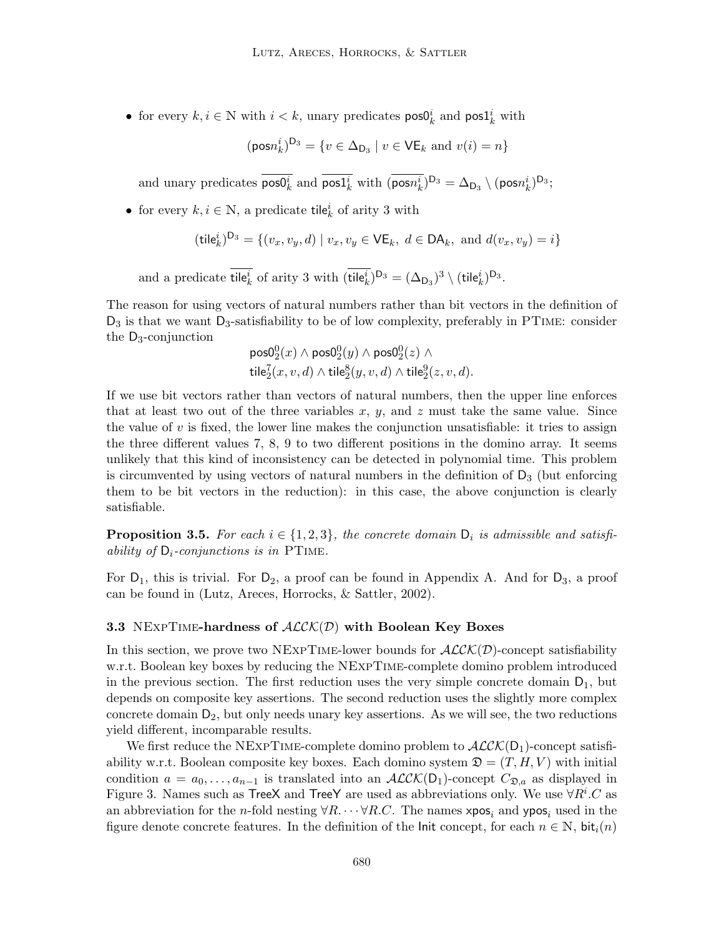• for every  $k, i \in \mathbb{N}$  with  $i < k$ , unary predicates  $\text{pos0}_k^i$  and  $\text{pos1}_k^i$  with

$$
(\text{pos} n_k^i)^{D_3} = \{ v \in \Delta_{D_3} \mid v \in \mathsf{VE}_k \text{ and } v(i) = n \}
$$

and unary predicates  $\text{pos0}_k^i$  and  $\text{pos1}_k^i$  with  $(\overline{\text{posn}_k^i})^{D_3} = \Delta_{D_3} \setminus (\text{posn}_k^i)^{D_3};$ 

• for every  $k, i \in \mathbb{N}$ , a predicate tile<sup>*i*</sup><sub>*k*</sub> of arity 3 with

$$
(\mathsf{tile}_{k}^{i})^{D_{3}} = \{ (v_{x}, v_{y}, d) \mid v_{x}, v_{y} \in \mathsf{VE}_{k}, d \in \mathsf{DA}_{k}, \text{ and } d(v_{x}, v_{y}) = i \}
$$

and a predicate tile<sup>*i*</sup><sub>*k*</sub> of arity 3 with  $(\text{tile}_k^i)^{D_3} = (\Delta_{D_3})^3 \setminus (\text{tile}_k^i)^{D_3}$ .

The reason for using vectors of natural numbers rather than bit vectors in the definition of  $D_3$  is that we want  $D_3$ -satisfiability to be of low complexity, preferably in PTIME: consider the D3-conjunction

$$
\begin{array}{l} \mathsf{pos0}^0_2(x) \wedge \mathsf{pos0}^0_2(y) \wedge \mathsf{pos0}^0_2(z) \wedge \\ \mathsf{tile}^7_2(x,v,d) \wedge \mathsf{tile}^8_2(y,v,d) \wedge \mathsf{tile}^9_2(z,v,d).\end{array}
$$

If we use bit vectors rather than vectors of natural numbers, then the upper line enforces that at least two out of the three variables x, y, and z must take the same value. Since the value of  $v$  is fixed, the lower line makes the conjunction unsatisfiable: it tries to assign the three different values 7, 8, 9 to two different positions in the domino array. It seems unlikely that this kind of inconsistency can be detected in polynomial time. This problem is circumvented by using vectors of natural numbers in the definition of  $D_3$  (but enforcing them to be bit vectors in the reduction): in this case, the above conjunction is clearly satisfiable.

**Proposition 3.5.** For each  $i \in \{1, 2, 3\}$ , the concrete domain  $D_i$  is admissible and satisfiability of  $D_i$ -conjunctions is in PTIME.

For  $D_1$ , this is trivial. For  $D_2$ , a proof can be found in Appendix A. And for  $D_3$ , a proof can be found in (Lutz, Areces, Horrocks, & Sattler, 2002).

### 3.3 NEXPTIME-hardness of  $ALCK(D)$  with Boolean Key Boxes

In this section, we prove two NEXPTIME-lower bounds for  $ALCK(\mathcal{D})$ -concept satisfiability w.r.t. Boolean key boxes by reducing the NExpTime-complete domino problem introduced in the previous section. The first reduction uses the very simple concrete domain  $D_1$ , but depends on composite key assertions. The second reduction uses the slightly more complex concrete domain  $D_2$ , but only needs unary key assertions. As we will see, the two reductions yield different, incomparable results.

We first reduce the NEXPTIME-complete domino problem to  $\mathcal{ALCK}(D_1)$ -concept satisfiability w.r.t. Boolean composite key boxes. Each domino system  $\mathfrak{D} = (T, H, V)$  with initial condition  $a = a_0, \ldots, a_{n-1}$  is translated into an  $ALCK(D_1)$ -concept  $C_{\mathfrak{D},a}$  as displayed in Figure 3. Names such as TreeX and TreeY are used as abbreviations only. We use  $\forall R^i.C$  as an abbreviation for the n-fold nesting  $\forall R.\cdots \forall R.C.$  The names  $xpos_i$  and  $ypos_i$  used in the figure denote concrete features. In the definition of the Init concept, for each  $n \in \mathbb{N}$ , bit<sub>i</sub> $(n)$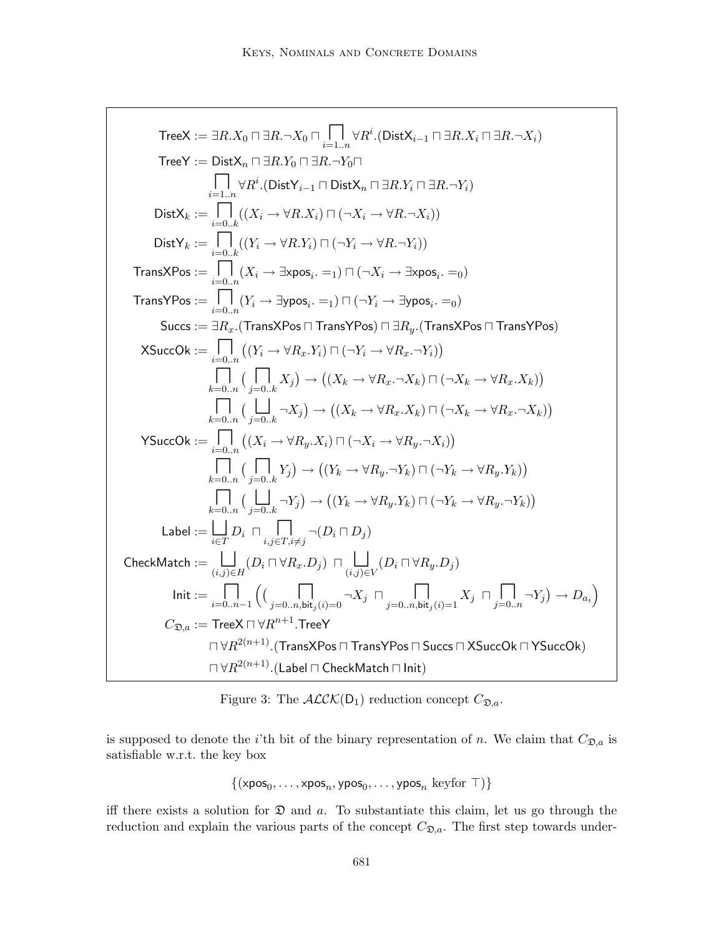$$
\begin{array}{c} \mathsf{TreeX} := \exists R.X_0 \sqcap \exists R.\neg X_0 \sqcap \prod_{i=1..n} \forall R^i . (\mathsf{DistX}_{i-1} \sqcap \exists R.X_i \sqcap \exists R.\neg X_i) \\ \mathsf{TreeY} := \mathsf{DistX}_n \sqcap \exists R.Y_0 \sqcap \exists R.\neg Y_0 \sqcap \\ \qquad \qquad \prod_{i=1..n} \forall R^i . (\mathsf{DistX}_{i-1} \sqcap \mathsf{DistX}_n \sqcap \exists R.Y_i \sqcap \exists R.\neg Y_i) \\ \mathsf{DistX}_k := \prod_{i=0..k} ((X_i \rightarrow \forall R.X_i) \sqcap (\neg X_i \rightarrow \forall R.\neg X_i)) \\ \mathsf{DistY}_k := \prod_{i=0..k} ((Y_i \rightarrow \forall R.Y_i) \sqcap (\neg Y_i \rightarrow \forall R.\neg Y_i)) \\ \mathsf{TransXPos} := \prod_{i=0..n} (X_i \rightarrow \exists x \text{pos}_i. =_1) \sqcap (\neg X_i \rightarrow \exists x \text{pos}_i. =_0) \\ \mathsf{TransYPos} := \prod_{i=0..n} (Y_i \rightarrow \exists y \text{pos}_i. =_1) \sqcap (\neg Y_i \rightarrow \exists y \text{pos}_i. =_0) \\ \mathsf{Succ}: = \mathsf{Bar}_{x} . (\mathsf{TransXPos} \sqcap \mathsf{TransYPos}) \sqcap \exists R_{y} . (\mathsf{TransXPos} \sqcap \mathsf{TransYPos}) \\ \mathsf{XSuccOk} := \prod_{i=0..n} ((Y_i \rightarrow \forall R_x.Y_i) \sqcap (\neg Y_i \rightarrow \forall R_x.\neg Y_i)) \\ \qquad \qquad \prod_{k=0..n} ((\prod_{i=0..k} X_j) \rightarrow ((X_k \rightarrow \forall R_x.\neg X_k) \sqcap (\neg X_k \rightarrow \forall R_x.X_k)) \\ \qquad \qquad \prod_{k=0..n} ((\prod_{i=0..n} X_j) \rightarrow ((X_k \rightarrow \forall R_x.X_k) \sqcap (\neg X_k \rightarrow \forall R_x.X_k)) ) \\ \mathsf{YSuccOk} := \prod_{i=0..n} ((\prod_{i=0..n} X_j) \rightarrow ((Y_k \rightarrow \forall R_y.\neg Y_k) \sqcap (\neg Y_k \rightarrow \forall R_y.X_k)) ) \\ \qquad \qquad \prod_{k=0..n} ((\prod_{j=0..k} Y_j) \rightarrow ((Y_k \rightarrow \forall R_y.Y_k) \sqcap (\neg Y_k \rightarrow \forall R_y.Y_k
$$

Figure 3: The  $ALCK(D_1)$  reduction concept  $C_{\mathfrak{D},a}$ .

is supposed to denote the *i*'th bit of the binary representation of *n*. We claim that  $C_{\mathfrak{D},a}$  is satisfiable w.r.t. the key box

$$
\{(\textup{xpos}_0, \dots, \textup{xpos}_n, \textup{ypos}_0, \dots, \textup{ypos}_n \ \textup{keyfor} \ \top)\}
$$

iff there exists a solution for  $\mathfrak D$  and a. To substantiate this claim, let us go through the reduction and explain the various parts of the concept  $C_{\mathfrak{D},a}$ . The first step towards under-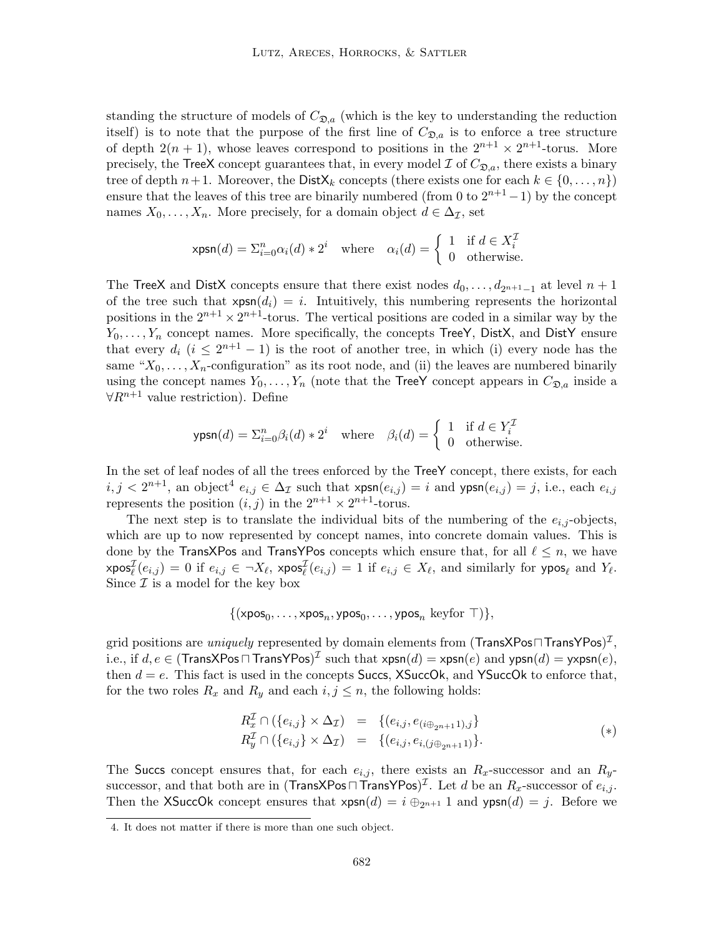standing the structure of models of  $C_{\mathfrak{D},a}$  (which is the key to understanding the reduction itself) is to note that the purpose of the first line of  $C_{\mathfrak{D},a}$  is to enforce a tree structure of depth  $2(n + 1)$ , whose leaves correspond to positions in the  $2^{n+1} \times 2^{n+1}$ -torus. More precisely, the TreeX concept guarantees that, in every model  $\mathcal I$  of  $C_{\mathfrak{D},a}$ , there exists a binary tree of depth  $n+1$ . Moreover, the Dist $X_k$  concepts (there exists one for each  $k \in \{0, \ldots, n\}$ ) ensure that the leaves of this tree are binarily numbered (from 0 to  $2^{n+1} - 1$ ) by the concept names  $X_0, \ldots, X_n$ . More precisely, for a domain object  $d \in \Delta_{\mathcal{I}}$ , set

$$
\mathsf{xpsn}(d) = \Sigma_{i=0}^n \alpha_i(d) * 2^i \quad \text{where} \quad \alpha_i(d) = \begin{cases} 1 & \text{if } d \in X_i^{\mathcal{I}} \\ 0 & \text{otherwise.} \end{cases}
$$

The TreeX and DistX concepts ensure that there exist nodes  $d_0, \ldots, d_{2^{n+1}-1}$  at level  $n+1$ of the tree such that  $xpsn(d_i) = i$ . Intuitively, this numbering represents the horizontal positions in the  $2^{n+1} \times 2^{n+1}$ -torus. The vertical positions are coded in a similar way by the  $Y_0, \ldots, Y_n$  concept names. More specifically, the concepts TreeY, DistX, and DistY ensure that every  $d_i$   $(i \leq 2^{n+1} - 1)$  is the root of another tree, in which (i) every node has the same " $X_0, \ldots, X_n$ -configuration" as its root node, and (ii) the leaves are numbered binarily using the concept names  $Y_0, \ldots, Y_n$  (note that the TreeY concept appears in  $C_{\mathfrak{D},a}$  inside a  $\forall R^{n+1}$  value restriction). Define

$$
\text{ypsn}(d) = \sum_{i=0}^{n} \beta_i(d) * 2^i \quad \text{where} \quad \beta_i(d) = \begin{cases} 1 & \text{if } d \in Y_i^{\mathcal{I}} \\ 0 & \text{otherwise.} \end{cases}
$$

In the set of leaf nodes of all the trees enforced by the TreeY concept, there exists, for each  $i, j < 2^{n+1}$ , an object<sup>4</sup>  $e_{i,j} \in \Delta_{\mathcal{I}}$  such that  $\mathsf{xpsn}(e_{i,j}) = i$  and  $\mathsf{ypsn}(e_{i,j}) = j$ , i.e., each  $e_{i,j}$ represents the position  $(i, j)$  in the  $2^{n+1} \times 2^{n+1}$ -torus.

The next step is to translate the individual bits of the numbering of the  $e_{i,j}$ -objects, which are up to now represented by concept names, into concrete domain values. This is done by the TransXPos and TransYPos concepts which ensure that, for all  $\ell \leq n$ , we have  $xpos_{\ell}^{\mathcal{I}}(e_{i,j}) = 0$  if  $e_{i,j} \in \neg X_{\ell}$ ,  $xpos_{\ell}^{\mathcal{I}}(e_{i,j}) = 1$  if  $e_{i,j} \in X_{\ell}$ , and similarly for  $ypos_{\ell}$  and  $Y_{\ell}$ . Since  $\mathcal I$  is a model for the key box

$$
\{(\textup{xpos}_0, \ldots, \textup{xpos}_n, \textup{ypos}_0, \ldots, \textup{ypos}_n \ \textup{keyfor} \ \top)\},
$$

grid positions are  $\it uniquely$  represented by domain elements from (TransXPos $\sqcap$ TransYPos) $^{\cal I},$ i.e., if  $d, e \in (\mathsf{TransXPos} \sqcap \mathsf{TransYPos})^\mathcal{I}$  such that  $\mathsf{xpsn}(d) = \mathsf{xpsn}(e)$  and  $\mathsf{ypsn}(d) = \mathsf{y}\mathsf{xpsn}(e),$ then  $d = e$ . This fact is used in the concepts Succs, XSuccOk, and YSuccOk to enforce that, for the two roles  $R_x$  and  $R_y$  and each  $i, j \leq n$ , the following holds:

$$
R_x^{\mathcal{I}} \cap (\{e_{i,j}\} \times \Delta_{\mathcal{I}}) = \{(e_{i,j}, e_{(i \oplus_{2^{n+1}} 1),j}\}\n R_y^{\mathcal{I}} \cap (\{e_{i,j}\} \times \Delta_{\mathcal{I}}) = \{(e_{i,j}, e_{i,(j \oplus_{2^{n+1}} 1)}\}.
$$
\n
$$
(*)
$$

The Succs concept ensures that, for each  $e_{i,j}$ , there exists an  $R_x$ -successor and an  $R_y$ successor, and that both are in (TransXPos $\Box$ TransYPos)<sup>T</sup>. Let d be an  $R_x$ -successor of  $e_{i,j}$ . Then the XSuccOk concept ensures that  $xpsn(d) = i \bigoplus_{2n+1} 1$  and  $ypsn(d) = j$ . Before we

<sup>4.</sup> It does not matter if there is more than one such object.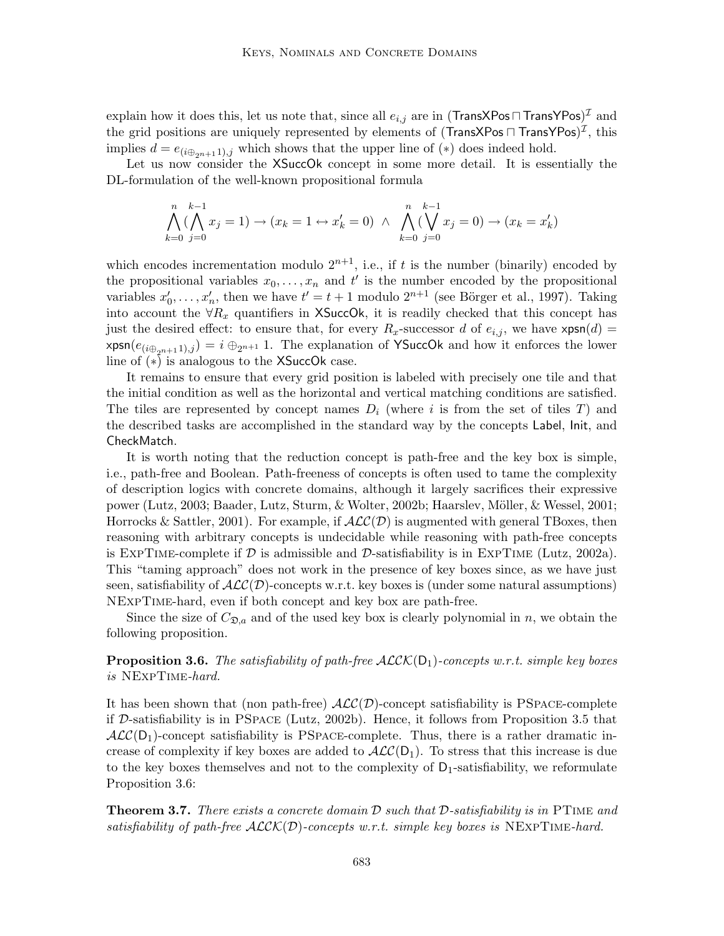explain how it does this, let us note that, since all  $e_{i,j}$  are in (TransXPos $\sqcap$ TransYPos) $^\mathcal{I}$  and the grid positions are uniquely represented by elements of (TransXPos  $\sqcap$  TransYPos) $^\mathcal{I},$  this implies  $d = e_{(i \oplus_{2n+1}),j}$  which shows that the upper line of  $(*)$  does indeed hold.

Let us now consider the XSuccOk concept in some more detail. It is essentially the DL-formulation of the well-known propositional formula

$$
\bigwedge_{k=0}^{n} (\bigwedge_{j=0}^{k-1} x_j = 1) \to (x_k = 1 \leftrightarrow x'_k = 0) \land \bigwedge_{k=0}^{n} (\bigvee_{j=0}^{k-1} x_j = 0) \to (x_k = x'_k)
$$

which encodes incrementation modulo  $2^{n+1}$ , i.e., if t is the number (binarily) encoded by the propositional variables  $x_0, \ldots, x_n$  and t' is the number encoded by the propositional variables  $x'_0, \ldots, x'_n$ , then we have  $t' = t + 1$  modulo  $2^{n+1}$  (see Börger et al., 1997). Taking into account the  $\forall R_x$  quantifiers in XSuccOk, it is readily checked that this concept has just the desired effect: to ensure that, for every  $R_x$ -successor d of  $e_{i,j}$ , we have  $xpsn(d) =$  $xpsn(e_{(i\oplus_{2n+1} 1),j}) = i \oplus_{2n+1} 1$ . The explanation of YSuccOk and how it enforces the lower line of (∗) is analogous to the XSuccOk case.

It remains to ensure that every grid position is labeled with precisely one tile and that the initial condition as well as the horizontal and vertical matching conditions are satisfied. The tiles are represented by concept names  $D_i$  (where i is from the set of tiles T) and the described tasks are accomplished in the standard way by the concepts Label, Init, and CheckMatch.

It is worth noting that the reduction concept is path-free and the key box is simple, i.e., path-free and Boolean. Path-freeness of concepts is often used to tame the complexity of description logics with concrete domains, although it largely sacrifices their expressive power (Lutz, 2003; Baader, Lutz, Sturm, & Wolter, 2002b; Haarslev, M¨oller, & Wessel, 2001; Horrocks & Sattler, 2001). For example, if  $\text{ACC}(\mathcal{D})$  is augmented with general TBoxes, then reasoning with arbitrary concepts is undecidable while reasoning with path-free concepts is EXPTIME-complete if  $\mathcal D$  is admissible and  $\mathcal D$ -satisfiability is in EXPTIME (Lutz, 2002a). This "taming approach" does not work in the presence of key boxes since, as we have just seen, satisfiability of  $\text{ACC}(\mathcal{D})$ -concepts w.r.t. key boxes is (under some natural assumptions) NExpTime-hard, even if both concept and key box are path-free.

Since the size of  $C_{\mathfrak{D},a}$  and of the used key box is clearly polynomial in n, we obtain the following proposition.

**Proposition 3.6.** The satisfiability of path-free  $ALCK(D_1)$ -concepts w.r.t. simple key boxes is NExpTime-hard.

It has been shown that (non path-free)  $\text{ALC}(\mathcal{D})$ -concept satisfiability is PSPACE-complete if D-satisfiability is in PSpace (Lutz, 2002b). Hence, it follows from Proposition 3.5 that  $\mathcal{ALC}(\mathsf{D}_1)$ -concept satisfiability is PSPACE-complete. Thus, there is a rather dramatic increase of complexity if key boxes are added to  $\text{ACC}(D_1)$ . To stress that this increase is due to the key boxes themselves and not to the complexity of  $D_1$ -satisfiability, we reformulate Proposition 3.6:

**Theorem 3.7.** There exists a concrete domain  $\mathcal{D}$  such that  $\mathcal{D}$ -satisfiability is in PTIME and satisfiability of path-free  $ALCK(D)$ -concepts w.r.t. simple key boxes is NEXPTIME-hard.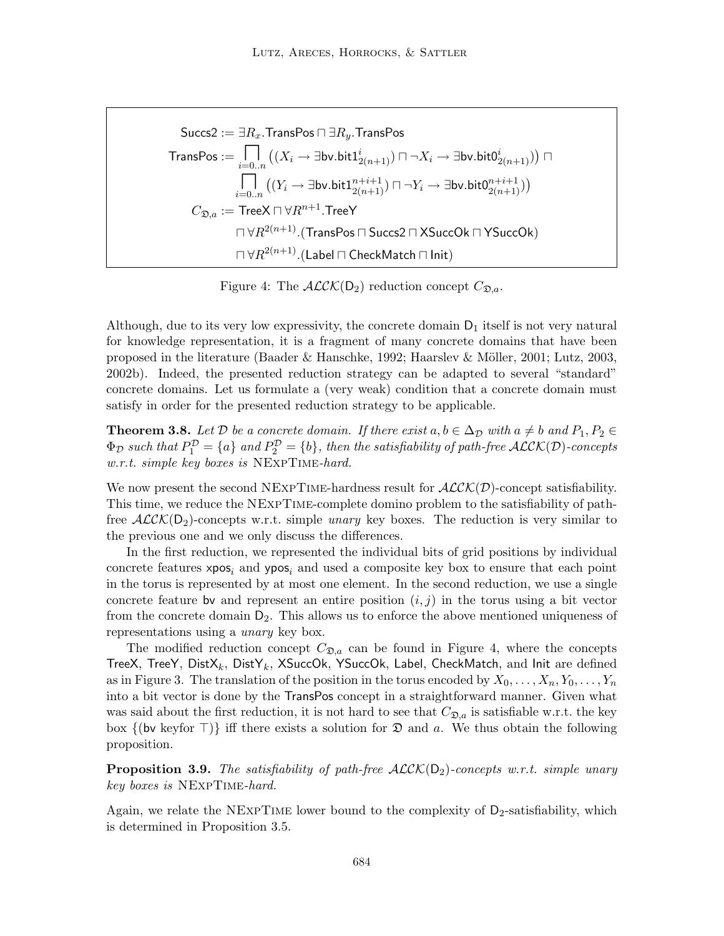$$
\begin{aligned} \mathsf{Succs2} &:= \exists R_x.\mathsf{TransPos} \sqcap \exists R_y.\mathsf{TransPos} \\ \mathsf{TransPos} &:= \bigcap_{i=0..n} \left( (X_i \to \exists \mathsf{bv}.\mathsf{bit1}_{2(n+1)}^i) \sqcap \neg X_i \to \exists \mathsf{bv}.\mathsf{bit0}_{2(n+1)}^i) \right) \sqcap \\ & \bigcap_{i=0..n} \left( (Y_i \to \exists \mathsf{bv}.\mathsf{bit1}_{2(n+1)}^{n+i+1}) \sqcap \neg Y_i \to \exists \mathsf{bv}.\mathsf{bit0}_{2(n+1)}^{n+i+1}) \right) \\ C_{\mathfrak{D},a} &:= \mathsf{TreeX} \sqcap \forall R^{n+1}.\mathsf{TreeY} \\ & \qquad \qquad \sqcap \forall R^{2(n+1)}.(\mathsf{TransPos} \sqcap \mathsf{Success2} \sqcap \mathsf{XSuccOk} \sqcap \mathsf{YSuccOk}) \\ & \qquad \qquad \sqcap \forall R^{2(n+1)}.(\mathsf{Label} \sqcap \mathsf{CheckMatch} \sqcap \mathsf{Init}) \end{aligned}
$$

Figure 4: The  $ALCK(D_2)$  reduction concept  $C_{\mathfrak{D},a}$ .

Although, due to its very low expressivity, the concrete domain  $D_1$  itself is not very natural for knowledge representation, it is a fragment of many concrete domains that have been proposed in the literature (Baader & Hanschke, 1992; Haarslev & Möller, 2001; Lutz, 2003, 2002b). Indeed, the presented reduction strategy can be adapted to several "standard" concrete domains. Let us formulate a (very weak) condition that a concrete domain must satisfy in order for the presented reduction strategy to be applicable.

**Theorem 3.8.** Let D be a concrete domain. If there exist  $a, b \in \Delta_{\mathcal{D}}$  with  $a \neq b$  and  $P_1, P_2 \in$  $\Phi_{\mathcal{D}}$  such that  $P_1^{\mathcal{D}} = \{a\}$  and  $P_2^{\mathcal{D}} = \{b\}$ , then the satisfiability of path-free  $\mathcal{ALCK}(\mathcal{D})$ -concepts w.r.t. simple key boxes is NExpTime-hard.

We now present the second NEXPTIME-hardness result for  $ALCK(\mathcal{D})$ -concept satisfiability. This time, we reduce the NExpTime-complete domino problem to the satisfiability of pathfree  $ALCK(D_2)$ -concepts w.r.t. simple *unary* key boxes. The reduction is very similar to the previous one and we only discuss the differences.

In the first reduction, we represented the individual bits of grid positions by individual concrete features  $xpos_i$  and  $ypos_i$  and used a composite key box to ensure that each point in the torus is represented by at most one element. In the second reduction, we use a single concrete feature by and represent an entire position  $(i, j)$  in the torus using a bit vector from the concrete domain  $D_2$ . This allows us to enforce the above mentioned uniqueness of representations using a unary key box.

The modified reduction concept  $C_{\mathfrak{D},a}$  can be found in Figure 4, where the concepts TreeX, TreeY,  $DistX_k$ ,  $DistY_k$ ,  $XSuccOk$ ,  $YSuccOk$ ,  $Labelk$ ,  $CheckMatchk$ , and  $Init$  are defined as in Figure 3. The translation of the position in the torus encoded by  $X_0, \ldots, X_n, Y_0, \ldots, Y_n$ into a bit vector is done by the TransPos concept in a straightforward manner. Given what was said about the first reduction, it is not hard to see that  $C_{\mathfrak{D},a}$  is satisfiable w.r.t. the key box  $\{(\mathsf{bv} \; \text{keyfor} \; \top)\}\;$  iff there exists a solution for  $\mathfrak D$  and a. We thus obtain the following proposition.

**Proposition 3.9.** The satisfiability of path-free  $ALCK(D_2)$ -concepts w.r.t. simple unary key boxes is NExpTime-hard.

Again, we relate the NEXPTIME lower bound to the complexity of  $D<sub>2</sub>$ -satisfiability, which is determined in Proposition 3.5.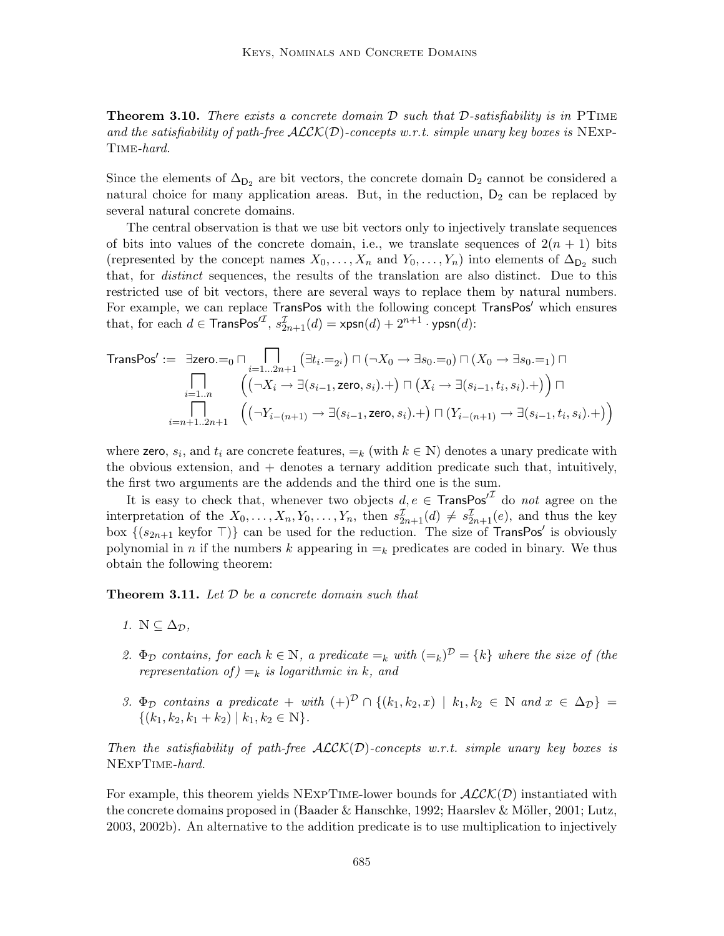**Theorem 3.10.** There exists a concrete domain  $D$  such that  $D$ -satisfiability is in PTIME and the satisfiability of path-free  $\text{ALCK}(D)$ -concepts w.r.t. simple unary key boxes is NEXP-Time-hard.

Since the elements of  $\Delta_{D_2}$  are bit vectors, the concrete domain  $D_2$  cannot be considered a natural choice for many application areas. But, in the reduction,  $D_2$  can be replaced by several natural concrete domains.

The central observation is that we use bit vectors only to injectively translate sequences of bits into values of the concrete domain, i.e., we translate sequences of  $2(n + 1)$  bits (represented by the concept names  $X_0, \ldots, X_n$  and  $Y_0, \ldots, Y_n$ ) into elements of  $\Delta_{\mathsf{D}_2}$  such that, for distinct sequences, the results of the translation are also distinct. Due to this restricted use of bit vectors, there are several ways to replace them by natural numbers. For example, we can replace TransPos with the following concept TransPos' which ensures that, for each  $d \in$  TransPos<sup> $\mathcal{T}$ </sup>,  $s_{2n+1}^{\mathcal{T}}(d) = \text{xpsn}(d) + 2^{n+1} \cdot \text{ypsn}(d)$ :

$$
\text{TransPos}' := \exists \text{zero.} =_0 \sqcap \bigcap_{i=1...2n+1} \left( \exists t_i :=_{2^i} \right) \sqcap \left( \neg X_0 \rightarrow \exists s_0 =_0 \right) \sqcap \left( X_0 \rightarrow \exists s_0 =_1 \right) \sqcap
$$
\n
$$
\bigcap_{i=1...n} \left( \left( \neg X_i \rightarrow \exists (s_{i-1}, \text{zero}, s_i) \dots \right) \sqcap \left( X_i \rightarrow \exists (s_{i-1}, t_i, s_i) \dots \right) \right) \sqcap
$$
\n
$$
\bigcap_{i=n+1...2n+1} \left( \left( \neg Y_{i-(n+1)} \rightarrow \exists (s_{i-1}, \text{zero}, s_i) \dots \right) \sqcap \left( Y_{i-(n+1)} \rightarrow \exists (s_{i-1}, t_i, s_i) \dots \right) \right)
$$

where zero,  $s_i$ , and  $t_i$  are concrete features,  $=_k$  (with  $k \in \mathbb{N}$ ) denotes a unary predicate with the obvious extension, and + denotes a ternary addition predicate such that, intuitively, the first two arguments are the addends and the third one is the sum.

It is easy to check that, whenever two objects  $d, e \in$  TransPos<sup> $I<sup>J</sup>$ </sup> do not agree on the interpretation of the  $X_0, \ldots, X_n, Y_0, \ldots, Y_n$ , then  $s_{2n+1}^{\mathcal{I}}(d) \neq s_{2n+1}^{\mathcal{I}}(e)$ , and thus the key box  $\{(s_{2n+1} \text{ keyfor } \top)\}\)$  can be used for the reduction. The size of TransPos' is obviously polynomial in n if the numbers k appearing in  $=_k$  predicates are coded in binary. We thus obtain the following theorem:

**Theorem 3.11.** Let  $D$  be a concrete domain such that

- 1.  $\mathbb{N} \subseteq \Delta_{\mathcal{D}}$ ,
- 2.  $\Phi_{\mathcal{D}}$  contains, for each  $k \in \mathbb{N}$ , a predicate  $=_{k}$  with  $(=_k)^{\mathcal{D}} = \{k\}$  where the size of (the representation of  $) = k$  is logarithmic in k, and
- 3.  $\Phi_{\mathcal{D}}$  contains a predicate + with  $(+)^{\mathcal{D}} \cap \{(k_1,k_2,x) \mid k_1,k_2 \in \mathbb{N} \text{ and } x \in \Delta_{\mathcal{D}}\}$  $\{(k_1, k_2, k_1 + k_2) | k_1, k_2 \in \mathbb{N}\}.$

Then the satisfiability of path-free  $\text{ALCK}(D)$ -concepts w.r.t. simple unary key boxes is NExpTime-hard.

For example, this theorem yields NEXPTIME-lower bounds for  $ALCK(D)$  instantiated with the concrete domains proposed in (Baader & Hanschke, 1992; Haarslev & Möller, 2001; Lutz, 2003, 2002b). An alternative to the addition predicate is to use multiplication to injectively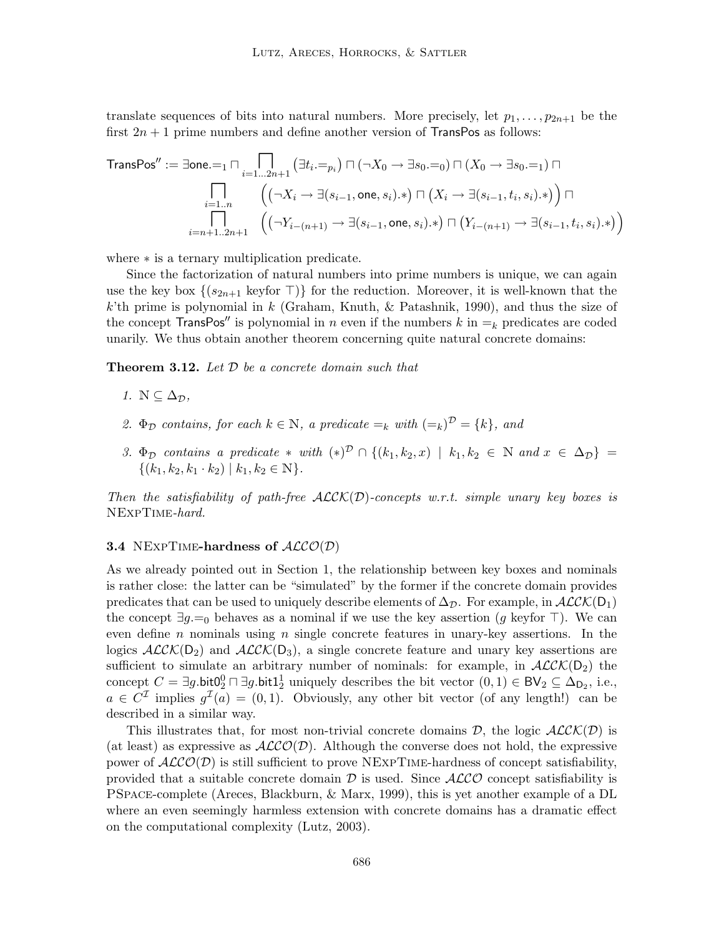translate sequences of bits into natural numbers. More precisely, let  $p_1, \ldots, p_{2n+1}$  be the first  $2n + 1$  prime numbers and define another version of TransPos as follows:

$$
\text{TransPos}'' := \exists \text{one.} =_1 \sqcap \prod_{i=1...2n+1} \left( \exists t_i =_{p_i} \right) \sqcap \left( \neg X_0 \rightarrow \exists s_0 =_0 \right) \sqcap \left( X_0 \rightarrow \exists s_0 =_1 \right) \sqcap
$$
\n
$$
\prod_{i=1...n} \left( \left( \neg X_i \rightarrow \exists (s_{i-1}, \text{one}, s_i) \cdot \ast \right) \sqcap \left( X_i \rightarrow \exists (s_{i-1}, t_i, s_i) \cdot \ast \right) \right) \sqcap
$$
\n
$$
\prod_{i=n+1..2n+1} \left( \left( \neg Y_{i-(n+1)} \rightarrow \exists (s_{i-1}, \text{one}, s_i) \cdot \ast \right) \sqcap \left( Y_{i-(n+1)} \rightarrow \exists (s_{i-1}, t_i, s_i) \cdot \ast \right) \right)
$$

where ∗ is a ternary multiplication predicate.

Since the factorization of natural numbers into prime numbers is unique, we can again use the key box  $\{(s_{2n+1} \text{ key for } \top)\}\$  for the reduction. Moreover, it is well-known that the k'th prime is polynomial in k (Graham, Knuth, & Patashnik, 1990), and thus the size of the concept TransPos'' is polynomial in n even if the numbers k in  $=_k$  predicates are coded unarily. We thus obtain another theorem concerning quite natural concrete domains:

**Theorem 3.12.** Let  $D$  be a concrete domain such that

- 1.  $\mathbb{N} \subseteq \Delta_{\mathcal{D}}$ ,
- 2.  $\Phi_{\mathcal{D}}$  contains, for each  $k \in \mathbb{N}$ , a predicate  $=_{k}$  with  $(=_k)^{\mathcal{D}} = \{k\}$ , and
- 3.  $\Phi_{\mathcal{D}}$  contains a predicate  $*$  with  $(*)^{\mathcal{D}} \cap \{(k_1,k_2,x) \mid k_1,k_2 \in \mathbb{N} \text{ and } x \in \Delta_{\mathcal{D}}\}$  $\{(k_1, k_2, k_1 \cdot k_2) | k_1, k_2 \in \mathbb{N}\}.$

Then the satisfiability of path-free  $\text{ALCK}(D)$ -concepts w.r.t. simple unary key boxes is NExpTime-hard.

### **3.4** NEXPTIME-hardness of  $ALCO(D)$

As we already pointed out in Section 1, the relationship between key boxes and nominals is rather close: the latter can be "simulated" by the former if the concrete domain provides predicates that can be used to uniquely describe elements of  $\Delta_{\mathcal{D}}$ . For example, in  $\mathcal{ALCK}(D_1)$ the concept  $\exists g =_0$  behaves as a nominal if we use the key assertion (g keyfor  $\top$ ). We can even define n nominals using n single concrete features in unary-key assertions. In the logics  $\mathcal{ALCK}(D_2)$  and  $\mathcal{ALCK}(D_3)$ , a single concrete feature and unary key assertions are sufficient to simulate an arbitrary number of nominals: for example, in  $ALCK(D_2)$  the concept  $C = \exists g \cdot \text{bit0}_2^0 \sqcap \exists g \cdot \text{bit1}_2^1$  uniquely describes the bit vector  $(0,1) \in BV_2 \subseteq \Delta_{D_2}$ , i.e.,  $a \in C^{\mathcal{I}}$  implies  $g^{\mathcal{I}}(a) = (0, 1)$ . Obviously, any other bit vector (of any length!) can be described in a similar way.

This illustrates that, for most non-trivial concrete domains  $D$ , the logic  $ALCK(D)$  is (at least) as expressive as  $ALCO(\mathcal{D})$ . Although the converse does not hold, the expressive power of  $ALCO(\mathcal{D})$  is still sufficient to prove NEXPTIME-hardness of concept satisfiability, provided that a suitable concrete domain  $\mathcal D$  is used. Since  $\mathcal{ALCO}$  concept satisfiability is PSpace-complete (Areces, Blackburn, & Marx, 1999), this is yet another example of a DL where an even seemingly harmless extension with concrete domains has a dramatic effect on the computational complexity (Lutz, 2003).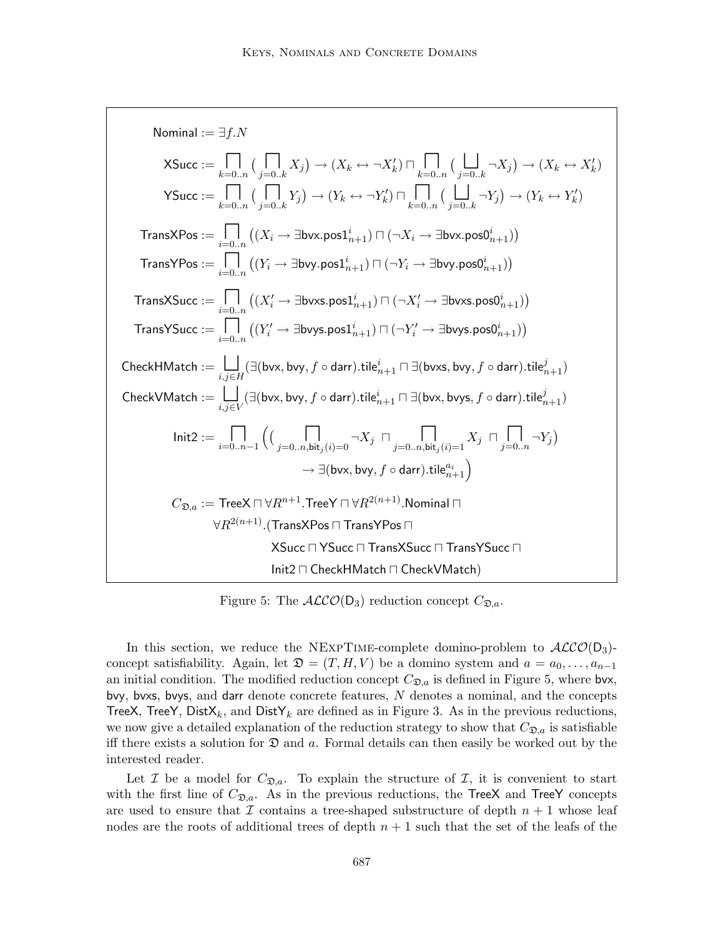Normal := ∃*f*.*N*

\nXSucc := 
$$
\prod_{k=0...n} \left( \prod_{j=0..k} X_j \right) \rightarrow (X_k \leftrightarrow \neg X'_k) \sqcap \prod_{k=0...n} \left( \prod_{j=0..k} \neg X_j \right) \rightarrow (X_k \leftrightarrow X'_k)
$$

\nYSucc := 
$$
\prod_{k=0...n} \left( \prod_{j=0..k} Y_j \right) \rightarrow (Y_k \leftrightarrow \neg Y'_k) \sqcap \prod_{k=0...n} \left( \prod_{j=0..k} \neg Y_j \right) \rightarrow (Y_k \leftrightarrow Y'_k)
$$

\nTransXPos := 
$$
\prod_{i=0...n} \left( (X_i \rightarrow \exists \text{bvx}.\text{pos1}_{n+1}^i) \sqcap (\neg X_i \rightarrow \exists \text{bvx}.\text{pos0}_{n+1}^i) \right)
$$

\nTransYPos := 
$$
\prod_{i=0...n} \left( (Y_i \rightarrow \exists \text{bvy}.\text{pos1}_{n+1}^i) \sqcap (\neg Y_i \rightarrow \exists \text{bvy}.\text{pos0}_{n+1}^i) \right)
$$

\nTransXSucc := 
$$
\prod_{i=0...n} \left( (X'_i \rightarrow \exists \text{bvxs}.\text{pos1}_{n+1}^i) \sqcap (\neg X'_i \rightarrow \exists \text{bvxs}.\text{pos0}_{n+1}^i) \right)
$$

\nTransYSucc := 
$$
\prod_{i=0...n} \left( (Y'_i \rightarrow \exists \text{bvys}.\text{pos1}_{n+1}^i) \sqcap (\neg Y'_i \rightarrow \exists \text{bvys}.\text{pos0}_{n+1}^i) \right)
$$

\nCheckHMatch := 
$$
\prod_{i,j \in H} (\exists (\text{bvx}, \text{bvy}, f \circ \text{darr}).\text{tile}_{n+1}^i \sqcap \exists (\text{bvx}, \text{bvy}, f \circ \text{darr}).\text{tile}_{n+1}^i)
$$

\nCheckVMatch = 
$$
\prod_{i,j \in V} (\exists (\text{bvx}, \text{bvy}, f \circ \text{darr}).\text{title}_{n+1}^i \sqcap \exists (\text{bvx}, \text{bvy}, f \circ \text{darr}).\text{title}_{n+1}^i)
$$

Figure 5: The  $ALCO(D_3)$  reduction concept  $C_{\mathfrak{D},a}$ .

In this section, we reduce the NEXPTIME-complete domino-problem to  $\mathcal{ALCO}(D_3)$ concept satisfiability. Again, let  $\mathfrak{D} = (T, H, V)$  be a domino system and  $a = a_0, \ldots, a_{n-1}$ an initial condition. The modified reduction concept  $C_{\mathfrak{D},a}$  is defined in Figure 5, where bvx, bvy, bvxs, bvys, and darr denote concrete features, N denotes a nominal, and the concepts TreeX, TreeY, Dist $X_k$ , and DistY<sub>k</sub> are defined as in Figure 3. As in the previous reductions, we now give a detailed explanation of the reduction strategy to show that  $C_{\mathfrak{D},a}$  is satisfiable iff there exists a solution for  $\mathfrak D$  and a. Formal details can then easily be worked out by the interested reader.

Let I be a model for  $C_{\mathfrak{D},a}$ . To explain the structure of I, it is convenient to start with the first line of  $C_{\mathfrak{D},a}$ . As in the previous reductions, the TreeX and TreeY concepts are used to ensure that  $\mathcal I$  contains a tree-shaped substructure of depth  $n+1$  whose leaf nodes are the roots of additional trees of depth  $n + 1$  such that the set of the leafs of the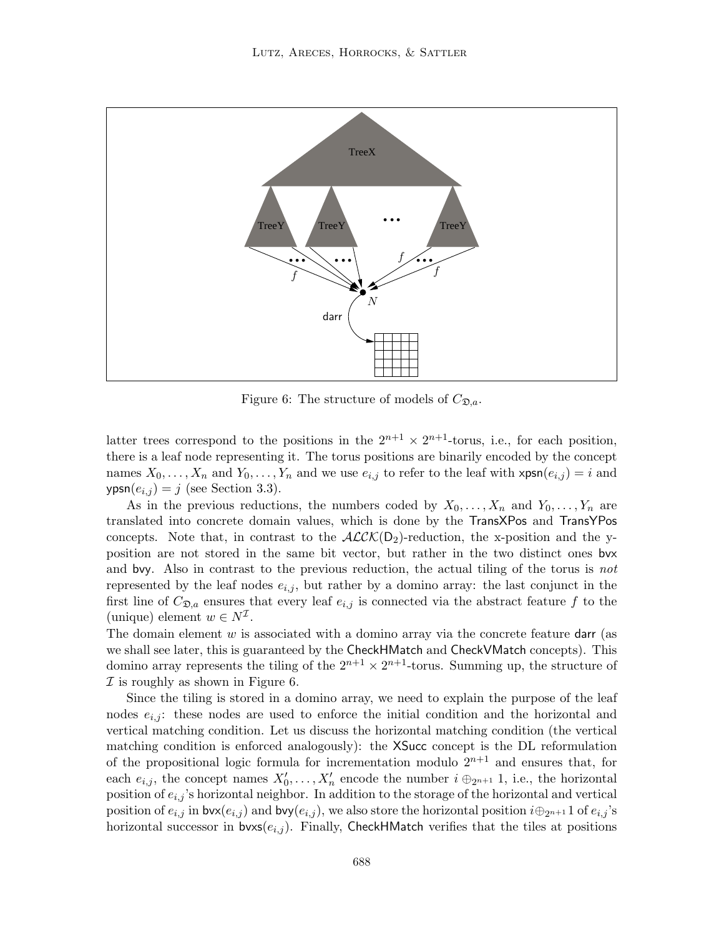

Figure 6: The structure of models of  $C_{\mathfrak{D},a}$ .

latter trees correspond to the positions in the  $2^{n+1} \times 2^{n+1}$ -torus, i.e., for each position, there is a leaf node representing it. The torus positions are binarily encoded by the concept names  $X_0, \ldots, X_n$  and  $Y_0, \ldots, Y_n$  and we use  $e_{i,j}$  to refer to the leaf with  $\mathsf{xpsn}(e_{i,j}) = i$  and  $ypsn(e_{i,j}) = j$  (see Section 3.3).

As in the previous reductions, the numbers coded by  $X_0, \ldots, X_n$  and  $Y_0, \ldots, Y_n$  are translated into concrete domain values, which is done by the TransXPos and TransYPos concepts. Note that, in contrast to the  $ALCK(D_2)$ -reduction, the x-position and the yposition are not stored in the same bit vector, but rather in the two distinct ones bvx and bvy. Also in contrast to the previous reduction, the actual tiling of the torus is not represented by the leaf nodes  $e_{i,j}$ , but rather by a domino array: the last conjunct in the first line of  $C_{\mathfrak{D},a}$  ensures that every leaf  $e_{i,j}$  is connected via the abstract feature f to the (unique) element  $w \in N^{\mathcal{I}}$ .

The domain element  $w$  is associated with a domino array via the concrete feature darr (as we shall see later, this is guaranteed by the CheckHMatch and CheckVMatch concepts). This domino array represents the tiling of the  $2^{n+1} \times 2^{n+1}$ -torus. Summing up, the structure of  $I$  is roughly as shown in Figure 6.

Since the tiling is stored in a domino array, we need to explain the purpose of the leaf nodes  $e_{i,j}$ : these nodes are used to enforce the initial condition and the horizontal and vertical matching condition. Let us discuss the horizontal matching condition (the vertical matching condition is enforced analogously): the XSucc concept is the DL reformulation of the propositional logic formula for incrementation modulo  $2^{n+1}$  and ensures that, for each  $e_{i,j}$ , the concept names  $X'_0, \ldots, X'_n$  encode the number  $i \oplus_{2^{n+1}} 1$ , i.e., the horizontal position of  $e_{i,j}$ 's horizontal neighbor. In addition to the storage of the horizontal and vertical position of  $e_{i,j}$  in bvx $(e_{i,j})$  and bvy $(e_{i,j})$ , we also store the horizontal position  $i\oplus_{2^{n+1}} 1$  of  $e_{i,j}$ 's horizontal successor in  $bvxs(e_{i,j})$ . Finally, CheckHMatch verifies that the tiles at positions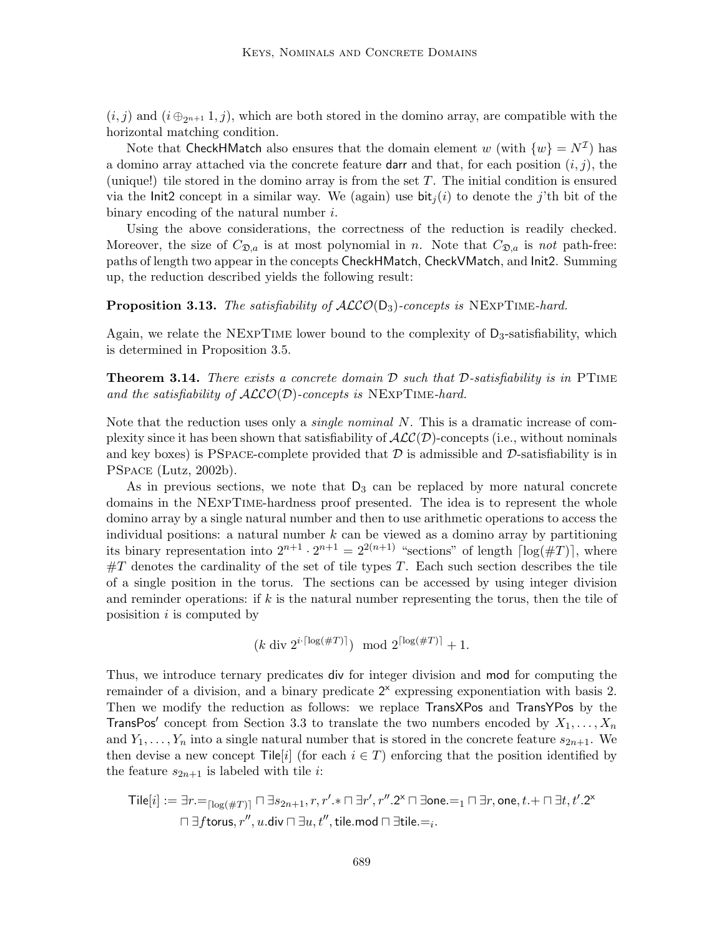$(i, j)$  and  $(i \oplus_{2^{n+1}} 1, j)$ , which are both stored in the domino array, are compatible with the horizontal matching condition.

Note that CheckHMatch also ensures that the domain element  $w$  (with  $\{w\} = N^{\mathcal{I}}$ ) has a domino array attached via the concrete feature darr and that, for each position  $(i, j)$ , the (unique!) tile stored in the domino array is from the set  $T$ . The initial condition is ensured via the Init2 concept in a similar way. We (again) use  $\text{bit}_i(i)$  to denote the j'th bit of the binary encoding of the natural number i.

Using the above considerations, the correctness of the reduction is readily checked. Moreover, the size of  $C_{\mathfrak{D},a}$  is at most polynomial in n. Note that  $C_{\mathfrak{D},a}$  is not path-free: paths of length two appear in the concepts CheckHMatch, CheckVMatch, and Init2. Summing up, the reduction described yields the following result:

# **Proposition 3.13.** The satisfiability of  $ALCO(D_3)$ -concepts is NEXPTIME-hard.

Again, we relate the NEXPTIME lower bound to the complexity of  $D_3$ -satisfiability, which is determined in Proposition 3.5.

**Theorem 3.14.** There exists a concrete domain  $D$  such that  $D$ -satisfiability is in PTIME and the satisfiability of  $ALCO(D)$ -concepts is NEXPTIME-hard.

Note that the reduction uses only a *single nominal*  $N$ . This is a dramatic increase of complexity since it has been shown that satisfiability of  $\mathcal{ALC}(\mathcal{D})$ -concepts (i.e., without nominals and key boxes) is PSPACE-complete provided that  $\mathcal D$  is admissible and  $\mathcal D$ -satisfiability is in PSpace (Lutz, 2002b).

As in previous sections, we note that  $D_3$  can be replaced by more natural concrete domains in the NExpTime-hardness proof presented. The idea is to represent the whole domino array by a single natural number and then to use arithmetic operations to access the individual positions: a natural number  $k$  can be viewed as a domino array by partitioning its binary representation into  $2^{n+1} \cdot 2^{n+1} = 2^{2(n+1)}$  "sections" of length  $\lceil \log(\#T) \rceil$ , where  $\#T$  denotes the cardinality of the set of tile types T. Each such section describes the tile of a single position in the torus. The sections can be accessed by using integer division and reminder operations: if  $k$  is the natural number representing the torus, then the tile of posisition  $i$  is computed by

$$
(k \operatorname{div} 2^{i \cdot \lceil \log (\#T) \rceil}) \mod 2^{\lceil \log (\#T) \rceil} + 1.
$$

Thus, we introduce ternary predicates div for integer division and mod for computing the remainder of a division, and a binary predicate  $2^x$  expressing exponentiation with basis 2. Then we modify the reduction as follows: we replace TransXPos and TransYPos by the TransPos' concept from Section 3.3 to translate the two numbers encoded by  $X_1, \ldots, X_n$ and  $Y_1, \ldots, Y_n$  into a single natural number that is stored in the concrete feature  $s_{2n+1}$ . We then devise a new concept Tile<sup>[i]</sup> (for each  $i \in T$ ) enforcing that the position identified by the feature  $s_{2n+1}$  is labeled with tile *i*:

$$
\text{Tile}[i] := \exists r =_{\lceil \log(\#T) \rceil} \sqcap \exists s_{2n+1}, r, r'.*\sqcap \exists r', r''.2^\times \sqcap \exists \text{one}.\texttt{=}_1 \sqcap \exists r, \text{one}, t.+\sqcap \exists t, t'.2^\times \sqcap \exists \text{forus}, r'', u.\text{div} \sqcap \exists u, t'', \text{tile}.\textcolor{red}{\sqcap \exists \text{tile}.\texttt{=}_i}.
$$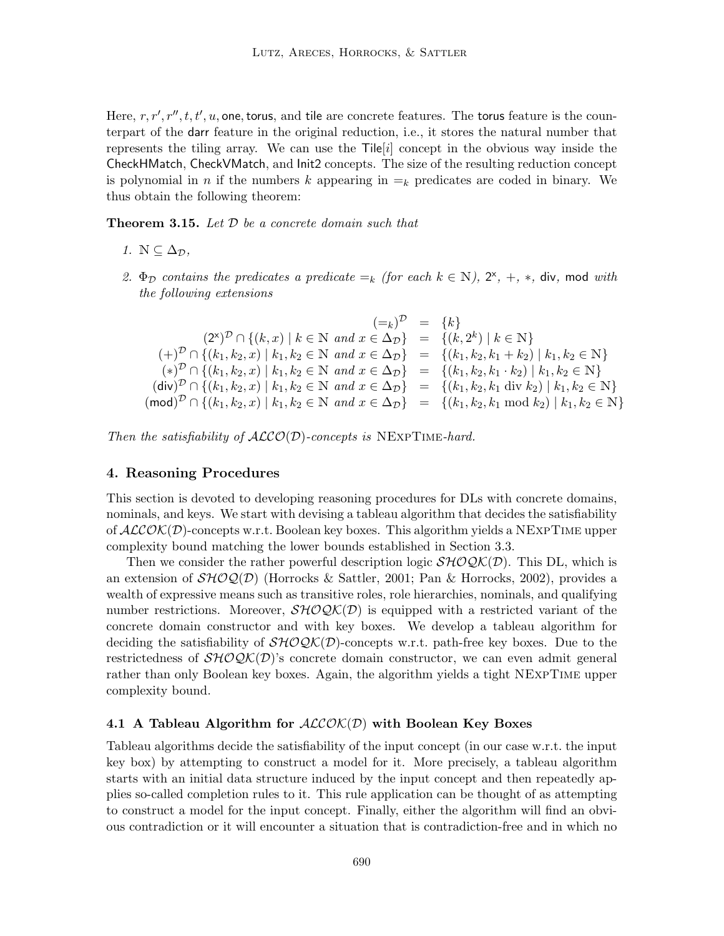Here,  $r, r', r'', t, t', u$ , one, torus, and tile are concrete features. The torus feature is the counterpart of the darr feature in the original reduction, i.e., it stores the natural number that represents the tiling array. We can use the  $\text{Tile}[i]$  concept in the obvious way inside the CheckHMatch, CheckVMatch, and Init2 concepts. The size of the resulting reduction concept is polynomial in n if the numbers k appearing in  $=_k$  predicates are coded in binary. We thus obtain the following theorem:

**Theorem 3.15.** Let  $D$  be a concrete domain such that

- 1.  $\mathbb{N} \subseteq \Delta_{\mathcal{D}}$ ,
- 2.  $\Phi_{\mathcal{D}}$  contains the predicates a predicate  $=_k$  (for each  $k \in \mathbb{N}$ ),  $2^{\times}$ ,  $+$ ,  $*$ , div, mod with the following extensions

$$
(\mathbf{z}^k)^{\mathcal{D}} \cap \{(k, x) \mid k \in \mathbb{N} \text{ and } x \in \Delta_{\mathcal{D}}\} = \{k\}
$$
  
\n
$$
(\mathbf{z}^k)^{\mathcal{D}} \cap \{(k_1, k_2, x) \mid k_1, k_2 \in \mathbb{N} \text{ and } x \in \Delta_{\mathcal{D}}\} = \{(k, 2^k) \mid k \in \mathbb{N}\}
$$
  
\n
$$
(\mathbf{z}^k)^{\mathcal{D}} \cap \{(k_1, k_2, x) \mid k_1, k_2 \in \mathbb{N} \text{ and } x \in \Delta_{\mathcal{D}}\} = \{(k_1, k_2, k_1 + k_2) \mid k_1, k_2 \in \mathbb{N}\}
$$
  
\n
$$
(\mathbf{div})^{\mathcal{D}} \cap \{(k_1, k_2, x) \mid k_1, k_2 \in \mathbb{N} \text{ and } x \in \Delta_{\mathcal{D}}\} = \{(k_1, k_2, k_1 \cdot k_2) \mid k_1, k_2 \in \mathbb{N}\}
$$
  
\n
$$
(\mathbf{div})^{\mathcal{D}} \cap \{(k_1, k_2, x) \mid k_1, k_2 \in \mathbb{N} \text{ and } x \in \Delta_{\mathcal{D}}\} = \{(k_1, k_2, k_1 \text{ div } k_2) \mid k_1, k_2 \in \mathbb{N}\}
$$
  
\n
$$
(\mathbf{mod})^{\mathcal{D}} \cap \{(k_1, k_2, x) \mid k_1, k_2 \in \mathbb{N} \text{ and } x \in \Delta_{\mathcal{D}}\} = \{(k_1, k_2, k_1 \text{ mod } k_2) \mid k_1, k_2 \in \mathbb{N}\}
$$

Then the satisfiability of  $ALCO(D)$ -concepts is NEXPTIME-hard.

# 4. Reasoning Procedures

This section is devoted to developing reasoning procedures for DLs with concrete domains, nominals, and keys. We start with devising a tableau algorithm that decides the satisfiability of  $ALCOK(D)$ -concepts w.r.t. Boolean key boxes. This algorithm yields a NEXPTIME upper complexity bound matching the lower bounds established in Section 3.3.

Then we consider the rather powerful description logic  $\mathcal{SHOQK}(D)$ . This DL, which is an extension of  $\mathcal{SHOQ}(\mathcal{D})$  (Horrocks & Sattler, 2001; Pan & Horrocks, 2002), provides a wealth of expressive means such as transitive roles, role hierarchies, nominals, and qualifying number restrictions. Moreover,  $\mathcal{SHOQK}(D)$  is equipped with a restricted variant of the concrete domain constructor and with key boxes. We develop a tableau algorithm for deciding the satisfiability of  $\mathcal{SHOQK}(D)$ -concepts w.r.t. path-free key boxes. Due to the restrictedness of  $\mathcal{SHOQK}(D)$ 's concrete domain constructor, we can even admit general rather than only Boolean key boxes. Again, the algorithm yields a tight NExpTime upper complexity bound.

#### 4.1 A Tableau Algorithm for  $ALCOK(D)$  with Boolean Key Boxes

Tableau algorithms decide the satisfiability of the input concept (in our case w.r.t. the input key box) by attempting to construct a model for it. More precisely, a tableau algorithm starts with an initial data structure induced by the input concept and then repeatedly applies so-called completion rules to it. This rule application can be thought of as attempting to construct a model for the input concept. Finally, either the algorithm will find an obvious contradiction or it will encounter a situation that is contradiction-free and in which no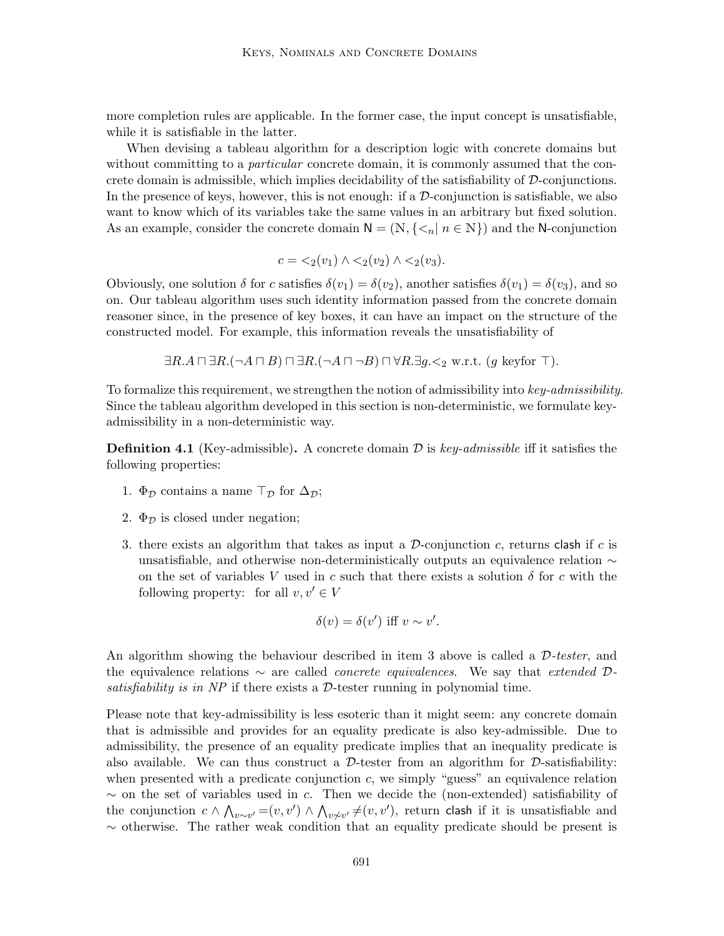more completion rules are applicable. In the former case, the input concept is unsatisfiable, while it is satisfiable in the latter.

When devising a tableau algorithm for a description logic with concrete domains but without committing to a *particular* concrete domain, it is commonly assumed that the concrete domain is admissible, which implies decidability of the satisfiability of D-conjunctions. In the presence of keys, however, this is not enough: if a  $\mathcal D$ -conjunction is satisfiable, we also want to know which of its variables take the same values in an arbitrary but fixed solution. As an example, consider the concrete domain  $N = (N, \{ \leq_n | n \in N \})$  and the N-conjunction

$$
c = \langle 2(v_1) \land \langle 2(v_2) \land \langle 2(v_3).
$$

Obviously, one solution  $\delta$  for c satisfies  $\delta(v_1) = \delta(v_2)$ , another satisfies  $\delta(v_1) = \delta(v_3)$ , and so on. Our tableau algorithm uses such identity information passed from the concrete domain reasoner since, in the presence of key boxes, it can have an impact on the structure of the constructed model. For example, this information reveals the unsatisfiability of

$$
\exists R.A \sqcap \exists R. (\neg A \sqcap B) \sqcap \exists R. (\neg A \sqcap \neg B) \sqcap \forall R. \exists g. \leq_2 \text{ w.r.t. } (g \text{ keyfor } \top).
$$

To formalize this requirement, we strengthen the notion of admissibility into key-admissibility. Since the tableau algorithm developed in this section is non-deterministic, we formulate keyadmissibility in a non-deterministic way.

**Definition 4.1** (Key-admissible). A concrete domain  $\mathcal{D}$  is key-admissible iff it satisfies the following properties:

- 1.  $\Phi_{\mathcal{D}}$  contains a name  $\top_{\mathcal{D}}$  for  $\Delta_{\mathcal{D}}$ ;
- 2.  $\Phi_{\mathcal{D}}$  is closed under negation;
- 3. there exists an algorithm that takes as input a  $D$ -conjunction c, returns clash if c is unsatisfiable, and otherwise non-deterministically outputs an equivalence relation ∼ on the set of variables V used in c such that there exists a solution  $\delta$  for c with the following property: for all  $v, v' \in V$

$$
\delta(v) = \delta(v') \text{ iff } v \sim v'.
$$

An algorithm showing the behaviour described in item 3 above is called a  $D$ -tester, and the equivalence relations  $\sim$  are called *concrete equivalences*. We say that *extended* Dsatisfiability is in  $NP$  if there exists a  $D$ -tester running in polynomial time.

Please note that key-admissibility is less esoteric than it might seem: any concrete domain that is admissible and provides for an equality predicate is also key-admissible. Due to admissibility, the presence of an equality predicate implies that an inequality predicate is also available. We can thus construct a  $\mathcal{D}\text{-}tester$  from an algorithm for  $\mathcal{D}\text{-}satisfiability:$ when presented with a predicate conjunction  $c$ , we simply "guess" an equivalence relation  $\sim$  on the set of variables used in c. Then we decide the (non-extended) satisfiability of the conjunction  $c \wedge \bigwedge_{v \sim v'} = (v, v') \wedge \bigwedge_{v \not\sim v'} \neq (v, v')$ , return clash if it is unsatisfiable and  $\sim$  otherwise. The rather weak condition that an equality predicate should be present is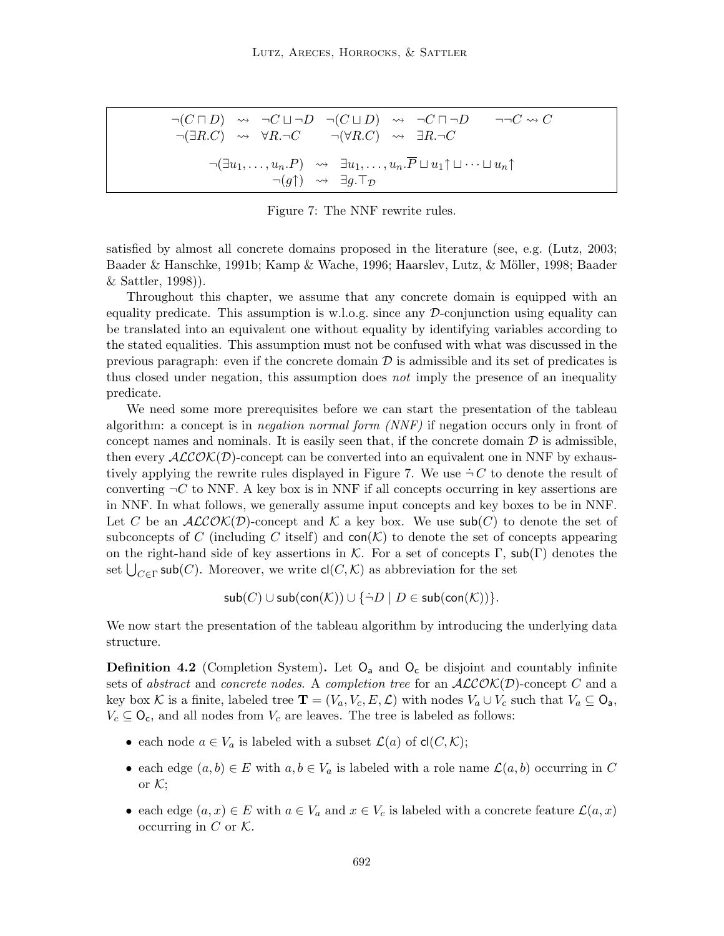$$
\neg(C \sqcap D) \rightsquigarrow \neg C \sqcup \neg D \neg(C \sqcup D) \rightsquigarrow \neg C \sqcap \neg D \qquad \neg \neg C \rightsquigarrow C
$$
  
\n
$$
\neg(\exists R.C) \rightsquigarrow \forall R.\neg C \qquad \neg(\forall R.C) \rightsquigarrow \exists R.\neg C
$$
  
\n
$$
\neg(\exists u_1, \dots, u_n.P) \rightsquigarrow \exists u_1, \dots, u_n.\overline{P} \sqcup u_1 \uparrow \sqcup \dots \sqcup u_n \uparrow
$$
  
\n
$$
\neg(g \uparrow) \rightsquigarrow \exists g.\top_{\mathcal{D}}
$$

Figure 7: The NNF rewrite rules.

satisfied by almost all concrete domains proposed in the literature (see, e.g. (Lutz, 2003; Baader & Hanschke, 1991b; Kamp & Wache, 1996; Haarslev, Lutz, & Möller, 1998; Baader & Sattler, 1998)).

Throughout this chapter, we assume that any concrete domain is equipped with an equality predicate. This assumption is w.l.o.g. since any  $\mathcal{D}$ -conjunction using equality can be translated into an equivalent one without equality by identifying variables according to the stated equalities. This assumption must not be confused with what was discussed in the previous paragraph: even if the concrete domain  $\mathcal D$  is admissible and its set of predicates is thus closed under negation, this assumption does *not* imply the presence of an inequality predicate.

We need some more prerequisites before we can start the presentation of the tableau algorithm: a concept is in *negation normal form*  $(NNF)$  if negation occurs only in front of concept names and nominals. It is easily seen that, if the concrete domain  $\mathcal D$  is admissible, then every  $\mathcal{ALCOK}(D)$ -concept can be converted into an equivalent one in NNF by exhaustively applying the rewrite rules displayed in Figure 7. We use  $\dot{\neg} C$  to denote the result of converting  $\neg C$  to NNF. A key box is in NNF if all concepts occurring in key assertions are in NNF. In what follows, we generally assume input concepts and key boxes to be in NNF. Let C be an  $ALCOK(D)$ -concept and K a key box. We use  $sub(C)$  to denote the set of subconcepts of C (including C itself) and  $con(\mathcal{K})$  to denote the set of concepts appearing on the right-hand side of key assertions in K. For a set of concepts  $\Gamma$ , sub( $\Gamma$ ) denotes the set  $\bigcup_{C \in \Gamma} \mathsf{sub}(C)$ . Moreover, we write  $\mathsf{cl}(C, \mathcal{K})$  as abbreviation for the set

 $\mathsf{sub}(C) \cup \mathsf{sub}(\mathsf{con}(\mathcal{K})) \cup \{\neg D \mid D \in \mathsf{sub}(\mathsf{con}(\mathcal{K}))\}.$ 

We now start the presentation of the tableau algorithm by introducing the underlying data structure.

**Definition 4.2** (Completion System). Let  $O_a$  and  $O_c$  be disjoint and countably infinite sets of abstract and concrete nodes. A completion tree for an  $\mathcal{ALCOK}(D)$ -concept C and a key box K is a finite, labeled tree  $\mathbf{T} = (V_a, V_c, E, \mathcal{L})$  with nodes  $V_a \cup V_c$  such that  $V_a \subseteq \mathsf{O}_a$ ,  $V_c \subseteq \mathsf{O}_c$ , and all nodes from  $V_c$  are leaves. The tree is labeled as follows:

- each node  $a \in V_a$  is labeled with a subset  $\mathcal{L}(a)$  of  $cl(C, \mathcal{K});$
- each edge  $(a, b) \in E$  with  $a, b \in V_a$  is labeled with a role name  $\mathcal{L}(a, b)$  occurring in C or  $\mathcal{K}$ :
- each edge  $(a, x) \in E$  with  $a \in V_a$  and  $x \in V_c$  is labeled with a concrete feature  $\mathcal{L}(a, x)$ occurring in  $C$  or  $K$ .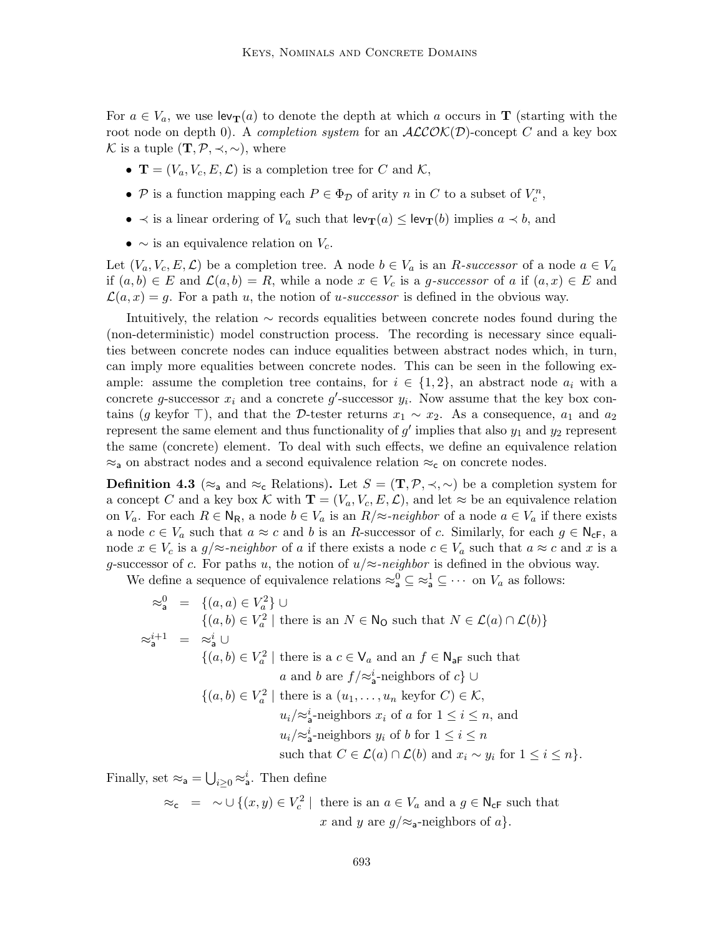For  $a \in V_a$ , we use  $\text{lev}_{\mathbf{T}}(a)$  to denote the depth at which a occurs in **T** (starting with the root node on depth 0). A completion system for an  $ALCOK(D)$ -concept C and a key box K is a tuple  $(\mathbf{T}, \mathcal{P}, \prec, \sim)$ , where

- $\mathbf{T} = (V_a, V_c, E, \mathcal{L})$  is a completion tree for C and K,
- $P$  is a function mapping each  $P \in \Phi_{\mathcal{D}}$  of arity n in C to a subset of  $V_c^n$ ,
- $\prec$  is a linear ordering of  $V_a$  such that  $\text{lev}_{\textbf{T}}(a) \leq \text{lev}_{\textbf{T}}(b)$  implies  $a \prec b$ , and
- $\sim$  is an equivalence relation on  $V_c$ .

Let  $(V_a, V_c, E, \mathcal{L})$  be a completion tree. A node  $b \in V_a$  is an R-successor of a node  $a \in V_a$ if  $(a, b) \in E$  and  $\mathcal{L}(a, b) = R$ , while a node  $x \in V_c$  is a g-successor of a if  $(a, x) \in E$  and  $\mathcal{L}(a, x) = g$ . For a path u, the notion of u-successor is defined in the obvious way.

Intuitively, the relation ∼ records equalities between concrete nodes found during the (non-deterministic) model construction process. The recording is necessary since equalities between concrete nodes can induce equalities between abstract nodes which, in turn, can imply more equalities between concrete nodes. This can be seen in the following example: assume the completion tree contains, for  $i \in \{1,2\}$ , an abstract node  $a_i$  with a concrete g-successor  $x_i$  and a concrete g'-successor  $y_i$ . Now assume that the key box contains (g keyfor  $\top$ ), and that the D-tester returns  $x_1 \sim x_2$ . As a consequence,  $a_1$  and  $a_2$ represent the same element and thus functionality of  $g'$  implies that also  $y_1$  and  $y_2$  represent the same (concrete) element. To deal with such effects, we define an equivalence relation  $\approx_{\text{a}}$  on abstract nodes and a second equivalence relation  $\approx_{\text{c}}$  on concrete nodes.

**Definition 4.3** ( $\approx$ <sub>a</sub> and  $\approx$ <sub>c</sub> Relations). Let  $S = (\mathbf{T}, \mathcal{P}, \prec, \sim)$  be a completion system for a concept C and a key box K with  $\mathbf{T} = (V_a, V_c, E, \mathcal{L})$ , and let  $\approx$  be an equivalence relation on  $V_a$ . For each  $R \in N_R$ , a node  $b \in V_a$  is an  $R/\approx$ -neighbor of a node  $a \in V_a$  if there exists a node  $c \in V_a$  such that  $a \approx c$  and b is an R-successor of c. Similarly, for each  $g \in N_{cF}$ , a node  $x \in V_c$  is a  $g/\approx$ -neighbor of a if there exists a node  $c \in V_a$  such that  $a \approx c$  and x is a g-successor of c. For paths u, the notion of  $u/\approx$ -neighbor is defined in the obvious way.

We define a sequence of equivalence relations  $\approx_a^0 \subseteq \approx_a^1 \subseteq \cdots$  on  $V_a$  as follows:

$$
\begin{aligned}\n\approx_{\mathsf{a}}^0 &= \{ (a, a) \in V_a^2 \} \cup \\
&\{ (a, b) \in V_a^2 \mid \text{there is an } N \in \mathsf{N}_\mathsf{O} \text{ such that } N \in \mathcal{L}(a) \cap \mathcal{L}(b) \} \\
\approx_{\mathsf{a}}^{i+1} &= \approx_{\mathsf{a}}^i \cup \\
&\{ (a, b) \in V_a^2 \mid \text{there is a } c \in \mathsf{V}_a \text{ and an } f \in \mathsf{N}_{\mathsf{aF}} \text{ such that} \\
&\quad a \text{ and } b \text{ are } f/\approx_{\mathsf{a}}^i\text{-neighbors of } c \} \cup \\
&\{ (a, b) \in V_a^2 \mid \text{there is a } (u_1, \dots, u_n \text{ keyfor } C) \in \mathcal{K}, \\
&\quad u_i/\approx_{\mathsf{a}}^i\text{-neighbors } x_i \text{ of } a \text{ for } 1 \leq i \leq n, \text{ and} \\
&\quad u_i/\approx_{\mathsf{a}}^i\text{-neighbors } y_i \text{ of } b \text{ for } 1 \leq i \leq n \\
&\text{such that } C \in \mathcal{L}(a) \cap \mathcal{L}(b) \text{ and } x_i \sim y_i \text{ for } 1 \leq i \leq n \}.\n\end{aligned}
$$

Finally, set  $\approx_{\mathsf{a}} = \bigcup_{i \geq 0} \approx_{\mathsf{a}}^i$ . Then define

 $\approx_{\mathsf{c}}$  =  $\sim \cup \{(x, y) \in V_c^2 \mid \text{ there is an } a \in V_a \text{ and a } g \in \mathsf{N}_{\mathsf{cF}} \text{ such that }$ x and y are  $g/\approx$ <sub>a</sub>-neighbors of a}.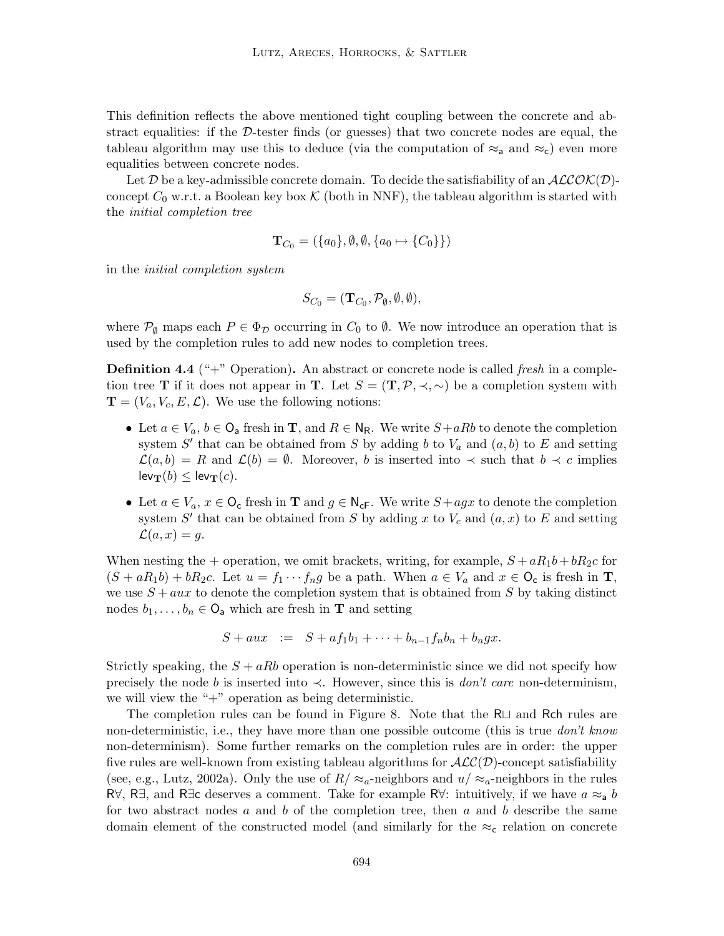This definition reflects the above mentioned tight coupling between the concrete and abstract equalities: if the  $D$ -tester finds (or guesses) that two concrete nodes are equal, the tableau algorithm may use this to deduce (via the computation of  $\approx_a$  and  $\approx_c$ ) even more equalities between concrete nodes.

Let D be a key-admissible concrete domain. To decide the satisfiability of an  $ALCOK(D)$ concept  $C_0$  w.r.t. a Boolean key box  $K$  (both in NNF), the tableau algorithm is started with the initial completion tree

$$
\mathbf{T}_{C_0} = (\{a_0\}, \emptyset, \emptyset, \{a_0 \mapsto \{C_0\}\})
$$

in the initial completion system

$$
S_{C_0} = (\mathbf{T}_{C_0}, \mathcal{P}_{\emptyset}, \emptyset, \emptyset),
$$

where  $\mathcal{P}_{\emptyset}$  maps each  $P \in \Phi_{\mathcal{D}}$  occurring in  $C_0$  to  $\emptyset$ . We now introduce an operation that is used by the completion rules to add new nodes to completion trees.

**Definition 4.4** ("+" Operation). An abstract or concrete node is called *fresh* in a completion tree T if it does not appear in T. Let  $S = (\mathbf{T}, \mathcal{P}, \prec, \sim)$  be a completion system with  $\mathbf{T} = (V_a, V_c, E, \mathcal{L})$ . We use the following notions:

- Let  $a \in V_a$ ,  $b \in \mathsf{O}_a$  fresh in **T**, and  $R \in \mathsf{N}_{\mathsf{R}}$ . We write  $S + aRb$  to denote the completion system  $S'$  that can be obtained from S by adding b to  $V_a$  and  $(a, b)$  to E and setting  $\mathcal{L}(a, b) = R$  and  $\mathcal{L}(b) = \emptyset$ . Moreover, b is inserted into  $\prec$  such that  $b \prec c$  implies  $lev_T(b) \leq lev_T(c)$ .
- Let  $a \in V_a$ ,  $x \in \mathsf{O}_c$  fresh in **T** and  $g \in \mathsf{N}_{cF}$ . We write  $S + agx$  to denote the completion system  $S'$  that can be obtained from S by adding x to  $V_c$  and  $(a, x)$  to E and setting  $\mathcal{L}(a, x) = q.$

When nesting the + operation, we omit brackets, writing, for example,  $S + aR_1b + bR_2c$  for  $(S + aR_1b) + bR_2c$ . Let  $u = f_1 \cdots f_ng$  be a path. When  $a \in V_a$  and  $x \in \mathcal{O}_c$  is fresh in **T**, we use  $S + aux$  to denote the completion system that is obtained from S by taking distinct nodes  $b_1, \ldots, b_n \in \mathbb{O}_a$  which are fresh in **T** and setting

$$
S + aux \quad := \quad S + af_1b_1 + \cdots + b_{n-1}f_nb_n + b_ngx.
$$

Strictly speaking, the  $S + aRb$  operation is non-deterministic since we did not specify how precisely the node b is inserted into  $\prec$ . However, since this is *don't care* non-determinism, we will view the "+" operation as being deterministic.

The completion rules can be found in Figure 8. Note that the  $R\Box$  and Rch rules are non-deterministic, i.e., they have more than one possible outcome (this is true *don't know* non-determinism). Some further remarks on the completion rules are in order: the upper five rules are well-known from existing tableau algorithms for  $\mathcal{ALC}(\mathcal{D})$ -concept satisfiability (see, e.g., Lutz, 2002a). Only the use of  $R/\approx a$ -neighbors and  $u/\approx a$ -neighbors in the rules R∀, R∃, and R∃c deserves a comment. Take for example R∀: intuitively, if we have  $a \approx a b$ for two abstract nodes  $a$  and  $b$  of the completion tree, then  $a$  and  $b$  describe the same domain element of the constructed model (and similarly for the  $\approx_{c}$  relation on concrete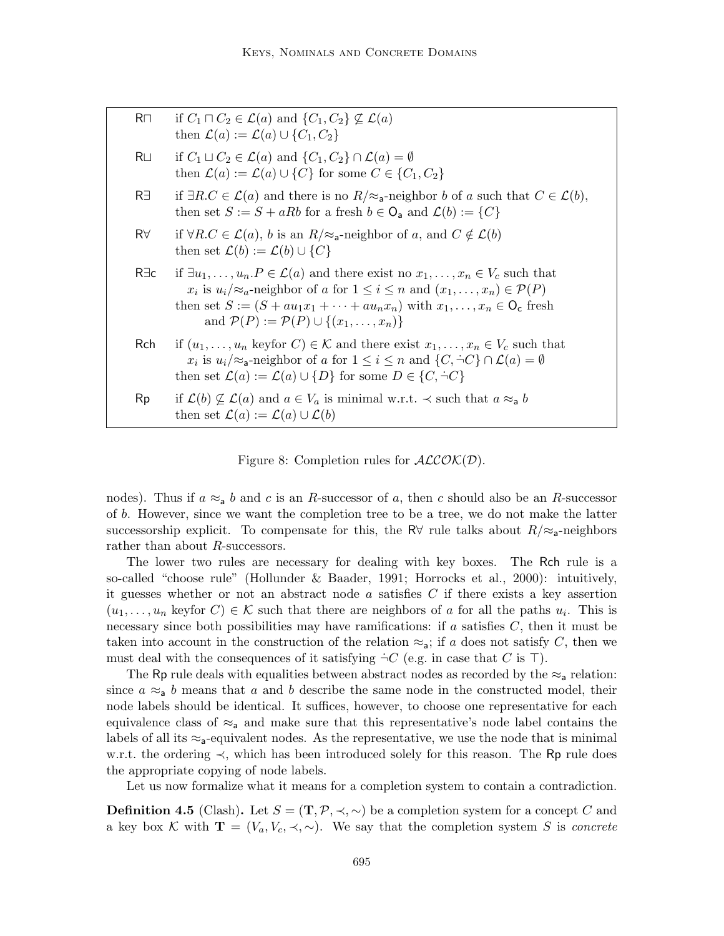| R <sub>1</sub> | if $C_1 \sqcap C_2 \in \mathcal{L}(a)$ and $\{C_1, C_2\} \not\subseteq \mathcal{L}(a)$<br>then $\mathcal{L}(a) := \mathcal{L}(a) \cup \{C_1, C_2\}$                                                                                                                                                                                                                                           |
|----------------|-----------------------------------------------------------------------------------------------------------------------------------------------------------------------------------------------------------------------------------------------------------------------------------------------------------------------------------------------------------------------------------------------|
| R⊔             | if $C_1 \sqcup C_2 \in \mathcal{L}(a)$ and $\{C_1, C_2\} \cap \mathcal{L}(a) = \emptyset$<br>then $\mathcal{L}(a) := \mathcal{L}(a) \cup \{C\}$ for some $C \in \{C_1, C_2\}$                                                                                                                                                                                                                 |
| R∃             | if $\exists R.C \in \mathcal{L}(a)$ and there is no $R/\approx a$ -neighbor b of a such that $C \in \mathcal{L}(b)$ ,<br>then set $S := S + aRb$ for a fresh $b \in \mathsf{O}_a$ and $\mathcal{L}(b) := \{C\}$                                                                                                                                                                               |
| $R\forall$     | if $\forall R.C \in \mathcal{L}(a)$ , b is an $R/\approx$ <sub>a</sub> -neighbor of a, and $C \notin \mathcal{L}(b)$<br>then set $\mathcal{L}(b) := \mathcal{L}(b) \cup \{C\}$                                                                                                                                                                                                                |
| R∃c            | if $\exists u_1, \ldots, u_n \in \mathcal{L}(a)$ and there exist no $x_1, \ldots, x_n \in V_c$ such that<br>$x_i$ is $u_i/\approx_a$ -neighbor of a for $1 \leq i \leq n$ and $(x_1,\ldots,x_n) \in \mathcal{P}(P)$<br>then set $S := (S + au_1x_1 + \cdots + au_nx_n)$ with $x_1, \ldots, x_n \in \mathsf{O}_c$ fresh<br>and $\mathcal{P}(P) := \mathcal{P}(P) \cup \{(x_1, \ldots, x_n)\}\$ |
| Rch.           | if $(u_1, \ldots, u_n$ keyfor $C) \in \mathcal{K}$ and there exist $x_1, \ldots, x_n \in V_c$ such that<br>$x_i$ is $u_i/\approx_a$ -neighbor of a for $1 \leq i \leq n$ and $\{C, \dot{\neg} C\} \cap \mathcal{L}(a) = \emptyset$<br>then set $\mathcal{L}(a) := \mathcal{L}(a) \cup \{D\}$ for some $D \in \{C, \dot{\neg}C\}$                                                              |
| Rp             | if $\mathcal{L}(b) \not\subseteq \mathcal{L}(a)$ and $a \in V_a$ is minimal w.r.t. $\prec$ such that $a \approx_a b$<br>then set $\mathcal{L}(a) := \mathcal{L}(a) \cup \mathcal{L}(b)$                                                                                                                                                                                                       |

Figure 8: Completion rules for  $ALCO\mathcal{K}(D)$ .

nodes). Thus if  $a \approx_a b$  and c is an R-successor of a, then c should also be an R-successor of b. However, since we want the completion tree to be a tree, we do not make the latter successorship explicit. To compensate for this, the R $\forall$  rule talks about  $R/\approx$ <sub>a</sub>-neighbors rather than about R-successors.

The lower two rules are necessary for dealing with key boxes. The Rch rule is a so-called "choose rule" (Hollunder & Baader, 1991; Horrocks et al., 2000): intuitively, it guesses whether or not an abstract node a satisfies  $C$  if there exists a key assertion  $(u_1, \ldots, u_n$  keyfor  $C) \in \mathcal{K}$  such that there are neighbors of a for all the paths  $u_i$ . This is necessary since both possibilities may have ramifications: if a satisfies  $C$ , then it must be taken into account in the construction of the relation  $\approx_{a}$ ; if a does not satisfy C, then we must deal with the consequences of it satisfying  $\dot{\neg}C$  (e.g. in case that C is  $\top$ ).

The Rp rule deals with equalities between abstract nodes as recorded by the  $\approx_a$  relation: since  $a \approx a b$  means that a and b describe the same node in the constructed model, their node labels should be identical. It suffices, however, to choose one representative for each equivalence class of  $\approx_a$  and make sure that this representative's node label contains the labels of all its  $\approx_{\mathsf{a}}$ -equivalent nodes. As the representative, we use the node that is minimal w.r.t. the ordering ≺, which has been introduced solely for this reason. The Rp rule does the appropriate copying of node labels.

Let us now formalize what it means for a completion system to contain a contradiction.

**Definition 4.5** (Clash). Let  $S = (\mathbf{T}, \mathcal{P}, \prec, \sim)$  be a completion system for a concept C and a key box K with  $\mathbf{T} = (V_a, V_c, \prec, \sim)$ . We say that the completion system S is concrete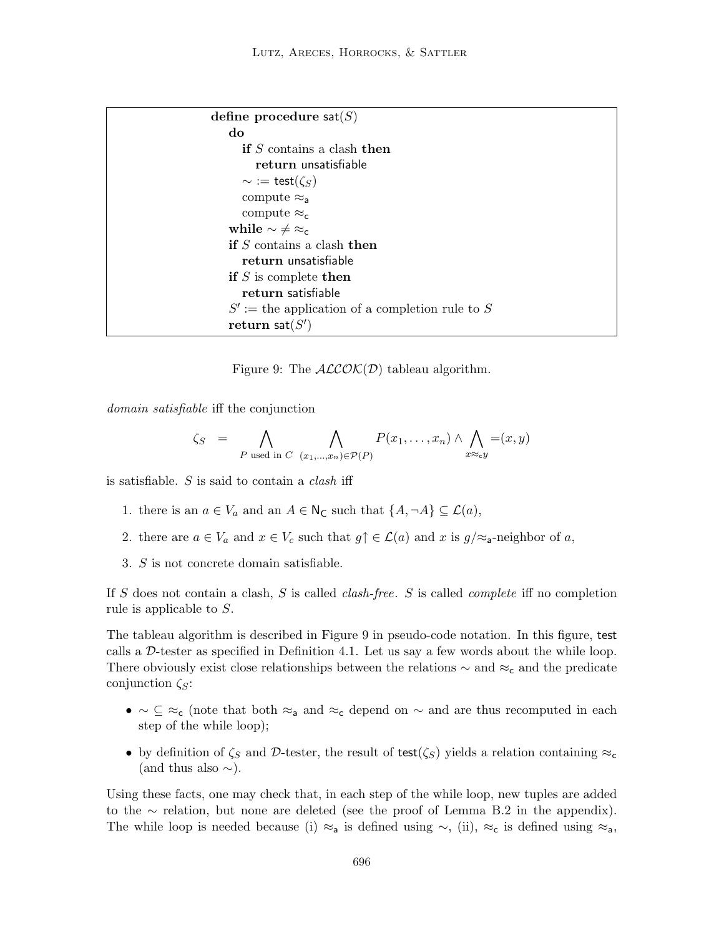```
define procedure sat(S)do
      if S contains a clash then
         return unsatisfiable
      ∼ := \textsf{test}(\zeta_S)compute \approx_acompute \approx_cwhile \sim \neq \infty_cif S contains a clash then
      return unsatisfiable
   if S is complete then
      return satisfiable
    S' := the application of a completion rule to S
    \mathbf{return} \ \mathsf{sat}(S')
```
Figure 9: The  $ALCOK(D)$  tableau algorithm.

domain satisfiable iff the conjunction

$$
\zeta_S = \bigwedge_{P \text{ used in } C} \bigwedge_{(x_1, \dots, x_n) \in \mathcal{P}(P)} P(x_1, \dots, x_n) \wedge \bigwedge_{x \approx_{c} y} = (x, y)
$$

is satisfiable.  $S$  is said to contain a *clash* iff

- 1. there is an  $a \in V_a$  and an  $A \in \mathsf{N}_\mathsf{C}$  such that  $\{A, \neg A\} \subseteq \mathcal{L}(a)$ ,
- 2. there are  $a \in V_a$  and  $x \in V_c$  such that  $g \uparrow \in \mathcal{L}(a)$  and x is  $g/\approx_a$ -neighbor of a,
- 3. S is not concrete domain satisfiable.

If S does not contain a clash, S is called *clash-free.* S is called *complete* iff no completion rule is applicable to S.

The tableau algorithm is described in Figure 9 in pseudo-code notation. In this figure, test calls a  $D$ -tester as specified in Definition 4.1. Let us say a few words about the while loop. There obviously exist close relationships between the relations  $\sim$  and  $\approx_c$  and the predicate conjunction  $\zeta_{\rm S}$ :

- $\bullet \sim \subseteq \; \approx_{\mathsf{c}}$  (note that both  $\approx_{\mathsf{a}}$  and  $\approx_{\mathsf{c}}$  depend on  $\sim$  and are thus recomputed in each step of the while loop);
- by definition of  $\zeta_S$  and D-tester, the result of test( $\zeta_S$ ) yields a relation containing  $\approx_c$ (and thus also  $\sim$ ).

Using these facts, one may check that, in each step of the while loop, new tuples are added to the ∼ relation, but none are deleted (see the proof of Lemma B.2 in the appendix). The while loop is needed because (i) ≈<sub>a</sub> is defined using  $\sim$ , (ii), ≈<sub>c</sub> is defined using ≈<sub>a</sub>,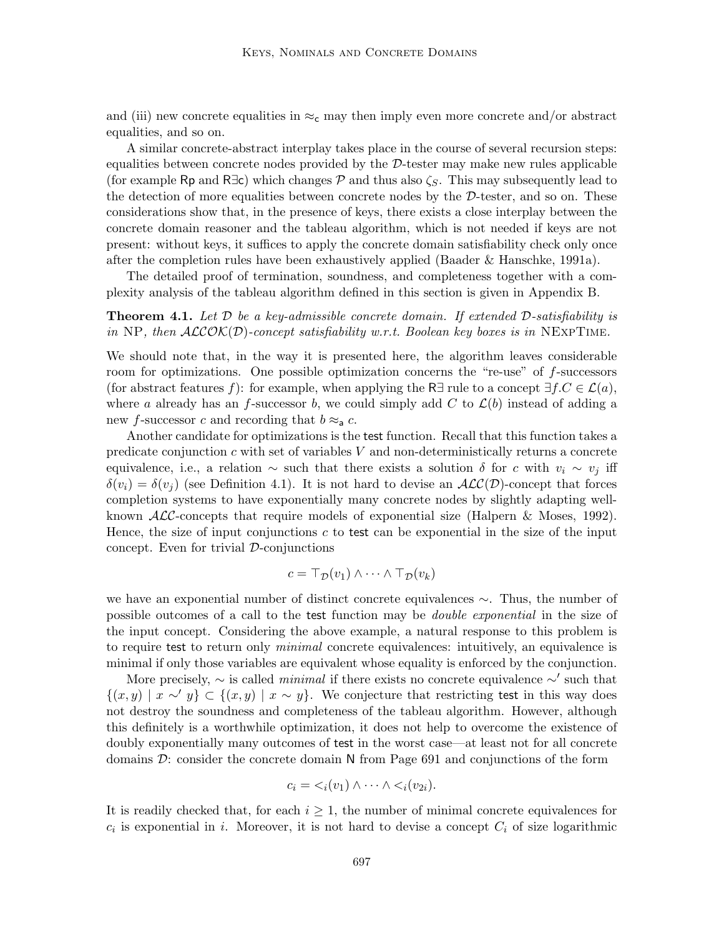and (iii) new concrete equalities in  $\approx_c$  may then imply even more concrete and/or abstract equalities, and so on.

A similar concrete-abstract interplay takes place in the course of several recursion steps: equalities between concrete nodes provided by the  $\mathcal{D}\text{-}t$  ester may make new rules applicable (for example Rp and R $\exists c$ ) which changes P and thus also  $\zeta_s$ . This may subsequently lead to the detection of more equalities between concrete nodes by the  $D$ -tester, and so on. These considerations show that, in the presence of keys, there exists a close interplay between the concrete domain reasoner and the tableau algorithm, which is not needed if keys are not present: without keys, it suffices to apply the concrete domain satisfiability check only once after the completion rules have been exhaustively applied (Baader & Hanschke, 1991a).

The detailed proof of termination, soundness, and completeness together with a complexity analysis of the tableau algorithm defined in this section is given in Appendix B.

**Theorem 4.1.** Let  $\mathcal D$  be a key-admissible concrete domain. If extended  $\mathcal D$ -satisfiability is in NP, then  $ALCOK(D)$ -concept satisfiability w.r.t. Boolean key boxes is in NEXPTIME.

We should note that, in the way it is presented here, the algorithm leaves considerable room for optimizations. One possible optimization concerns the "re-use" of f-successors (for abstract features f): for example, when applying the R∃ rule to a concept  $\exists f.C \in \mathcal{L}(a)$ , where a already has an f-successor b, we could simply add C to  $\mathcal{L}(b)$  instead of adding a new f-successor c and recording that  $b \approx a$ .

Another candidate for optimizations is the test function. Recall that this function takes a predicate conjunction  $c$  with set of variables  $V$  and non-deterministically returns a concrete equivalence, i.e., a relation ~ such that there exists a solution  $\delta$  for c with  $v_i \sim v_j$  iff  $\delta(v_i) = \delta(v_j)$  (see Definition 4.1). It is not hard to devise an  $\mathcal{ALC}(\mathcal{D})$ -concept that forces completion systems to have exponentially many concrete nodes by slightly adapting wellknown  $\mathcal{ALC}$ -concepts that require models of exponential size (Halpern & Moses, 1992). Hence, the size of input conjunctions  $c$  to test can be exponential in the size of the input concept. Even for trivial  $D$ -conjunctions

$$
c = \top_{\mathcal{D}}(v_1) \wedge \cdots \wedge \top_{\mathcal{D}}(v_k)
$$

we have an exponential number of distinct concrete equivalences ∼. Thus, the number of possible outcomes of a call to the test function may be *double exponential* in the size of the input concept. Considering the above example, a natural response to this problem is to require test to return only *minimal* concrete equivalences: intuitively, an equivalence is minimal if only those variables are equivalent whose equality is enforced by the conjunction.

More precisely,  $\sim$  is called *minimal* if there exists no concrete equivalence  $\sim'$  such that  $\{(x,y) \mid x \sim y\} \subset \{(x,y) \mid x \sim y\}.$  We conjecture that restricting test in this way does not destroy the soundness and completeness of the tableau algorithm. However, although this definitely is a worthwhile optimization, it does not help to overcome the existence of doubly exponentially many outcomes of test in the worst case—at least not for all concrete domains  $\mathcal{D}$ : consider the concrete domain N from Page 691 and conjunctions of the form

$$
c_i = \langle i(v_1) \wedge \cdots \wedge \langle i(v_{2i}) \rangle
$$

It is readily checked that, for each  $i \geq 1$ , the number of minimal concrete equivalences for  $c_i$  is exponential in i. Moreover, it is not hard to devise a concept  $C_i$  of size logarithmic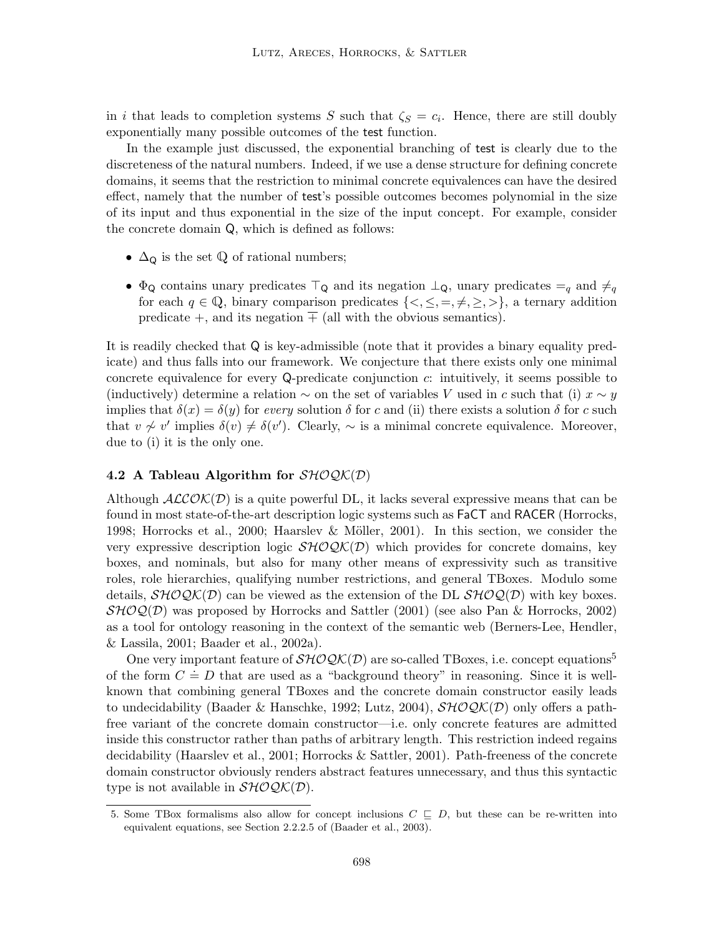in i that leads to completion systems S such that  $\zeta_s = c_i$ . Hence, there are still doubly exponentially many possible outcomes of the test function.

In the example just discussed, the exponential branching of test is clearly due to the discreteness of the natural numbers. Indeed, if we use a dense structure for defining concrete domains, it seems that the restriction to minimal concrete equivalences can have the desired effect, namely that the number of test's possible outcomes becomes polynomial in the size of its input and thus exponential in the size of the input concept. For example, consider the concrete domain Q, which is defined as follows:

- $\Delta$ <sup>Q</sup> is the set  $\mathbb Q$  of rational numbers;
- $\Phi_{\mathsf{Q}}$  contains unary predicates  $\top_{\mathsf{Q}}$  and its negation  $\bot_{\mathsf{Q}}$ , unary predicates  $=_q$  and  $\neq_q$ for each  $q \in \mathbb{Q}$ , binary comparison predicates  $\{<,\leq,=,\neq,\geq,\geq\}$ , a ternary addition predicate  $+$ , and its negation  $\overline{+}$  (all with the obvious semantics).

It is readily checked that Q is key-admissible (note that it provides a binary equality predicate) and thus falls into our framework. We conjecture that there exists only one minimal concrete equivalence for every Q-predicate conjunction c: intuitively, it seems possible to (inductively) determine a relation  $\sim$  on the set of variables V used in c such that (i)  $x \sim y$ implies that  $\delta(x) = \delta(y)$  for every solution  $\delta$  for c and (ii) there exists a solution  $\delta$  for c such that  $v \nsim v'$  implies  $\delta(v) \neq \delta(v')$ . Clearly,  $\sim$  is a minimal concrete equivalence. Moreover, due to (i) it is the only one.

# 4.2 A Tableau Algorithm for  $\mathcal{SHOQK}(\mathcal{D})$

Although  $ALCOK(D)$  is a quite powerful DL, it lacks several expressive means that can be found in most state-of-the-art description logic systems such as FaCT and RACER (Horrocks, 1998; Horrocks et al., 2000; Haarslev & Möller, 2001). In this section, we consider the very expressive description logic  $\mathcal{SHOQK}(D)$  which provides for concrete domains, key boxes, and nominals, but also for many other means of expressivity such as transitive roles, role hierarchies, qualifying number restrictions, and general TBoxes. Modulo some details,  $\mathcal{SHOQK}(D)$  can be viewed as the extension of the DL  $\mathcal{SHOQ}(D)$  with key boxes.  $\mathcal{SHOQ}(D)$  was proposed by Horrocks and Sattler (2001) (see also Pan & Horrocks, 2002) as a tool for ontology reasoning in the context of the semantic web (Berners-Lee, Hendler, & Lassila, 2001; Baader et al., 2002a).

One very important feature of  $\mathcal{SHOQK}(D)$  are so-called TBoxes, i.e. concept equations<sup>5</sup> of the form  $C = D$  that are used as a "background theory" in reasoning. Since it is wellknown that combining general TBoxes and the concrete domain constructor easily leads to undecidability (Baader & Hanschke, 1992; Lutz, 2004),  $\mathcal{SHOQK}(\mathcal{D})$  only offers a pathfree variant of the concrete domain constructor—i.e. only concrete features are admitted inside this constructor rather than paths of arbitrary length. This restriction indeed regains decidability (Haarslev et al., 2001; Horrocks & Sattler, 2001). Path-freeness of the concrete domain constructor obviously renders abstract features unnecessary, and thus this syntactic type is not available in  $\mathcal{SHOQK}(\mathcal{D})$ .

<sup>5.</sup> Some TBox formalisms also allow for concept inclusions  $C \subseteq D$ , but these can be re-written into equivalent equations, see Section 2.2.2.5 of (Baader et al., 2003).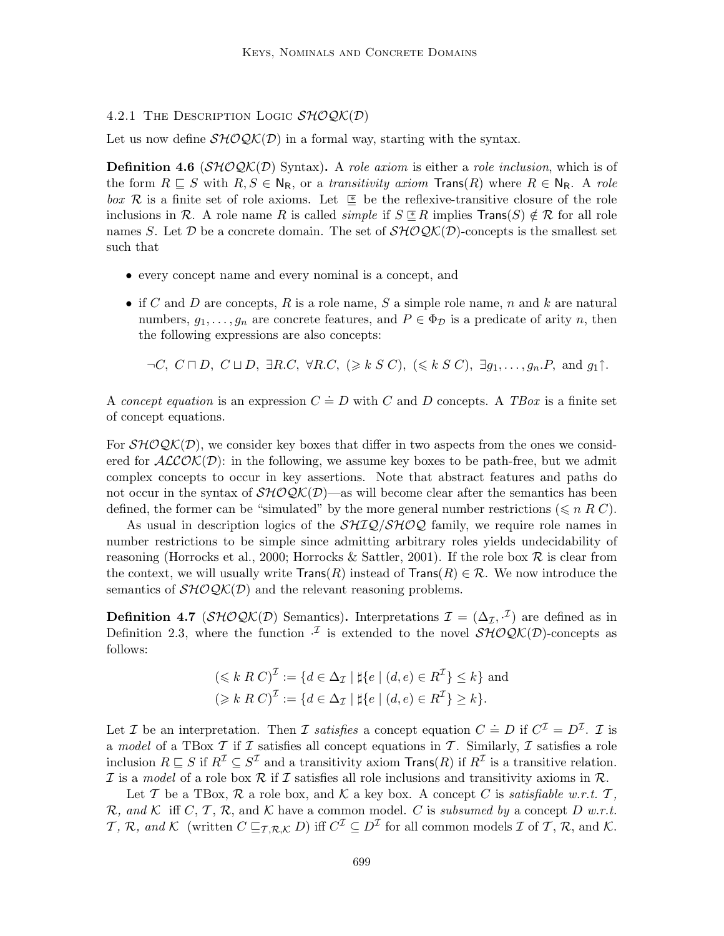### 4.2.1 THE DESCRIPTION LOGIC  $\mathcal{SHOQK}(\mathcal{D})$

Let us now define  $\mathcal{SHOQK}(D)$  in a formal way, starting with the syntax.

**Definition 4.6** ( $\mathcal{SHOQK}(D)$  Syntax). A role axiom is either a role inclusion, which is of the form  $R \subseteq S$  with  $R, S \in N_R$ , or a transitivity axiom  $\text{Trans}(R)$  where  $R \in N_R$ . A role box R is a finite set of role axioms. Let  $\subseteq$  be the reflexive-transitive closure of the role inclusions in R. A role name R is called *simple* if  $S \nsubseteq R$  implies  $Trans(S) \notin R$  for all role names S. Let D be a concrete domain. The set of  $\mathcal{SHOQK}(D)$ -concepts is the smallest set such that

- every concept name and every nominal is a concept, and
- if C and D are concepts, R is a role name, S a simple role name, n and k are natural numbers,  $g_1, \ldots, g_n$  are concrete features, and  $P \in \Phi_{\mathcal{D}}$  is a predicate of arity n, then the following expressions are also concepts:

 $\neg C, C \sqcap D, C \sqcup D, \exists R.C, \forall R.C, (\geq k S C), (\leq k S C), \exists g_1, \ldots, g_n.P, \text{ and } g_1 \uparrow.$ 

A concept equation is an expression  $C = D$  with C and D concepts. A TBox is a finite set of concept equations.

For  $\mathcal{SHOQK}(D)$ , we consider key boxes that differ in two aspects from the ones we considered for  $ALCOK(\mathcal{D})$ : in the following, we assume key boxes to be path-free, but we admit complex concepts to occur in key assertions. Note that abstract features and paths do not occur in the syntax of  $\mathcal{SHOQK}(D)$ —as will become clear after the semantics has been defined, the former can be "simulated" by the more general number restrictions ( $\leq n R C$ ).

As usual in description logics of the  $\mathcal{SHIQ}/\mathcal{SHOQ}$  family, we require role names in number restrictions to be simple since admitting arbitrary roles yields undecidability of reasoning (Horrocks et al., 2000; Horrocks & Sattler, 2001). If the role box  $R$  is clear from the context, we will usually write  $Trans(R)$  instead of  $Trans(R) \in \mathcal{R}$ . We now introduce the semantics of  $\mathcal{SHOQK}(D)$  and the relevant reasoning problems.

**Definition 4.7** ( $\mathcal{SHOQK}(\mathcal{D})$  Semantics). Interpretations  $\mathcal{I} = (\Delta_{\mathcal{I}}, \cdot^{\mathcal{I}})$  are defined as in Definition 2.3, where the function  $\mathcal{I}$  is extended to the novel  $\mathcal{SHOQK}(D)$ -concepts as follows:

$$
(\leq k \ R \ C)^{\mathcal{I}} := \{ d \in \Delta_{\mathcal{I}} \mid \sharp \{ e \mid (d, e) \in R^{\mathcal{I}} \} \leq k \} \text{ and}
$$

$$
(\geq k \ R \ C)^{\mathcal{I}} := \{ d \in \Delta_{\mathcal{I}} \mid \sharp \{ e \mid (d, e) \in R^{\mathcal{I}} \} \geq k \}.
$$

Let *I* be an interpretation. Then *I* satisfies a concept equation  $C = D$  if  $C^{\mathcal{I}} = D^{\mathcal{I}}$ . *I* is a model of a TBox  $\mathcal T$  if  $\mathcal I$  satisfies all concept equations in  $\mathcal T$ . Similarly,  $\mathcal I$  satisfies a role inclusion  $R \sqsubseteq S$  if  $R^{\mathcal{I}} \subseteq S^{\mathcal{I}}$  and a transitivity axiom  $\text{Trans}(R)$  if  $R^{\mathcal{I}}$  is a transitive relation. I is a model of a role box R if I satisfies all role inclusions and transitivity axioms in R.

Let T be a TBox, R a role box, and K a key box. A concept C is satisfiable w.r.t.  $T$ , R, and K iff C, T, R, and K have a common model. C is subsumed by a concept D w.r.t. T, R, and K (written  $C \sqsubseteq_{\mathcal{T}, \mathcal{R}, \mathcal{K}} D$ ) iff  $C^{\mathcal{I}} \subseteq D^{\mathcal{I}}$  for all common models  $\mathcal{I}$  of T, R, and K.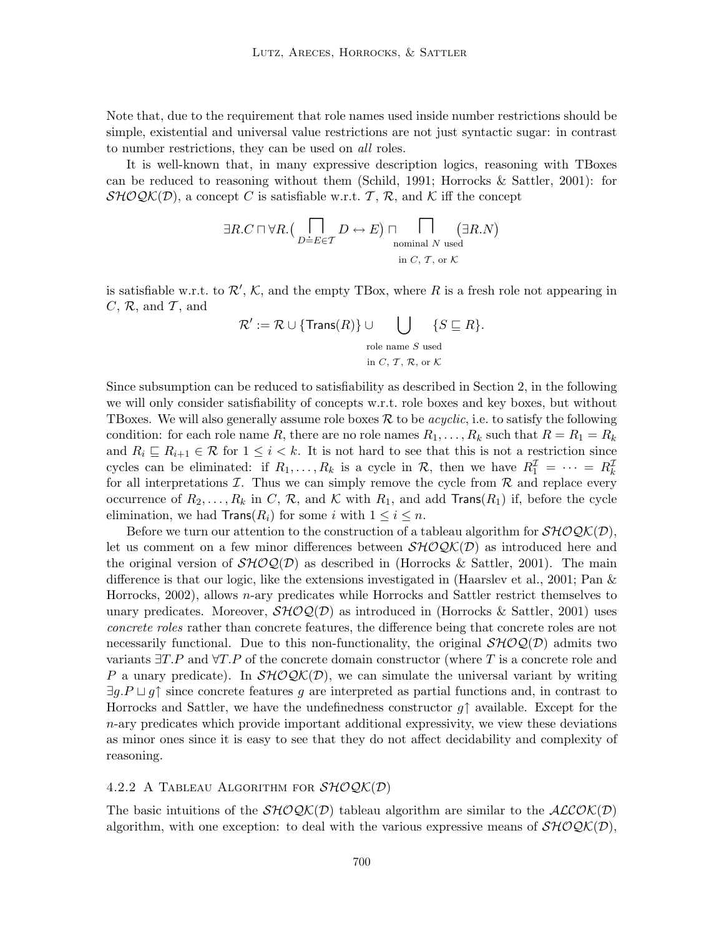Note that, due to the requirement that role names used inside number restrictions should be simple, existential and universal value restrictions are not just syntactic sugar: in contrast to number restrictions, they can be used on all roles.

It is well-known that, in many expressive description logics, reasoning with TBoxes can be reduced to reasoning without them (Schild, 1991; Horrocks  $\&$  Sattler, 2001): for  $\mathcal{SHOQK}(\mathcal{D})$ , a concept C is satisfiable w.r.t. T, R, and K iff the concept

$$
\exists R.C \sqcap \forall R. \left(\bigcap_{D \doteq E \in \mathcal{T}} D \leftrightarrow E\right) \sqcap \bigcap_{\text{nominal } N \text{ used} \atop \text{in } C, \mathcal{T}, \text{ or } \mathcal{K}} (\exists R.N)
$$

is satisfiable w.r.t. to  $\mathcal{R}', \mathcal{K}$ , and the empty TBox, where R is a fresh role not appearing in  $C, \mathcal{R}$ , and  $\mathcal{T}$ , and

$$
\mathcal{R}' := \mathcal{R} \cup \{\text{Trans}(R)\} \cup \bigcup_{\text{role name } S \text{ used}} \{S \sqsubseteq R\}.
$$
  

$$
\text{in } C, \mathcal{T}, \mathcal{R}, \text{or } \mathcal{K}
$$

Since subsumption can be reduced to satisfiability as described in Section 2, in the following we will only consider satisfiability of concepts w.r.t. role boxes and key boxes, but without TBoxes. We will also generally assume role boxes  $\mathcal R$  to be *acyclic*, i.e. to satisfy the following condition: for each role name R, there are no role names  $R_1, \ldots, R_k$  such that  $R = R_1 = R_k$ and  $R_i \subseteq R_{i+1} \in \mathcal{R}$  for  $1 \leq i < k$ . It is not hard to see that this is not a restriction since cycles can be eliminated: if  $R_1, \ldots, R_k$  is a cycle in  $\mathcal{R}$ , then we have  $R_1^{\mathcal{I}} = \cdots = R_k^{\mathcal{I}}$ for all interpretations  $\mathcal I$ . Thus we can simply remove the cycle from  $\mathcal R$  and replace every occurrence of  $R_2, \ldots, R_k$  in C, R, and K with  $R_1$ , and add Trans( $R_1$ ) if, before the cycle elimination, we had  $\text{Trans}(R_i)$  for some i with  $1 \leq i \leq n$ .

Before we turn our attention to the construction of a tableau algorithm for  $\mathcal{SHOQK}(D)$ , let us comment on a few minor differences between  $\mathcal{SHOQK}(D)$  as introduced here and the original version of  $\mathcal{SHOQ}(\mathcal{D})$  as described in (Horrocks & Sattler, 2001). The main difference is that our logic, like the extensions investigated in (Haarslev et al., 2001; Pan & Horrocks, 2002), allows n-ary predicates while Horrocks and Sattler restrict themselves to unary predicates. Moreover,  $\mathcal{SHOQ}(\mathcal{D})$  as introduced in (Horrocks & Sattler, 2001) uses concrete roles rather than concrete features, the difference being that concrete roles are not necessarily functional. Due to this non-functionality, the original  $\mathcal{SHOQ}(\mathcal{D})$  admits two variants  $\exists T.P$  and  $\forall T.P$  of the concrete domain constructor (where T is a concrete role and P a unary predicate). In  $\mathcal{SHOQK}(D)$ , we can simulate the universal variant by writing  $\exists q.P \sqcup q\uparrow$  since concrete features q are interpreted as partial functions and, in contrast to Horrocks and Sattler, we have the undefinedness constructor  $g\uparrow$  available. Except for the  $n$ -ary predicates which provide important additional expressivity, we view these deviations as minor ones since it is easy to see that they do not affect decidability and complexity of reasoning.

# 4.2.2 A TABLEAU ALGORITHM FOR  $\mathcal{SHOQK}(\mathcal{D})$

The basic intuitions of the  $\mathcal{SHOQK}(D)$  tableau algorithm are similar to the  $\mathcal{ALCOK}(D)$ algorithm, with one exception: to deal with the various expressive means of  $\mathcal{SHOQK}(D)$ ,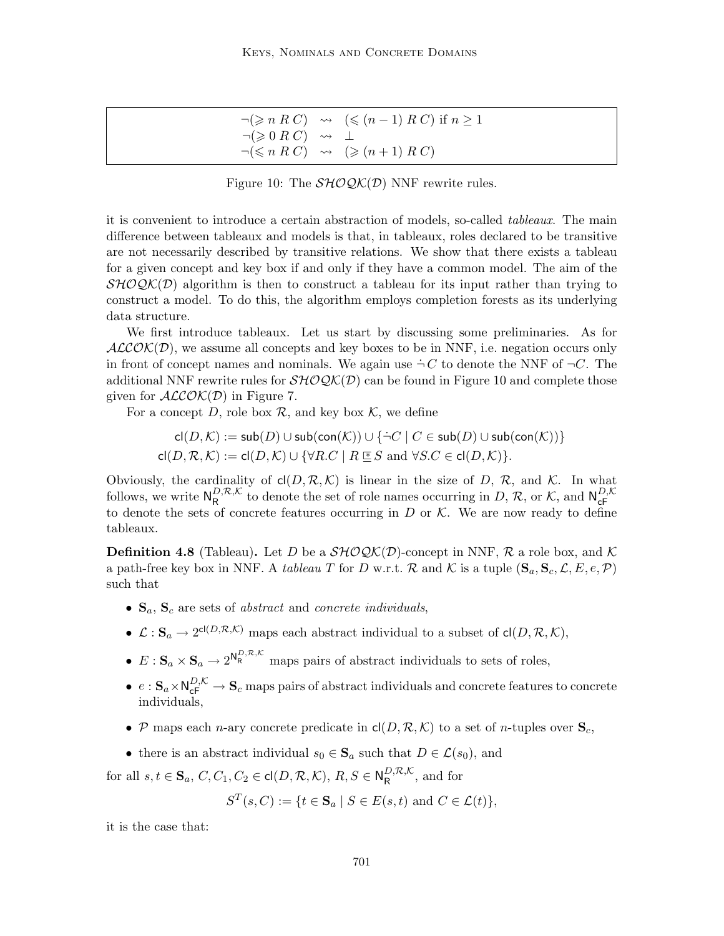|                                                                 | $\neg(\geqslant n \ R \ C) \quad \leadsto \quad (\leqslant (n-1) \ R \ C) \text{ if } n \geq 1$ |
|-----------------------------------------------------------------|-------------------------------------------------------------------------------------------------|
| $\lnot(\geqslant 0 \ R \ C) \quad \rightsquigarrow \quad \perp$ |                                                                                                 |
|                                                                 | $\neg(\leqslant n \ R \ C) \rightsquigarrow (\geqslant (n+1) \ R \ C)$                          |

Figure 10: The  $\mathcal{SHOQK}(\mathcal{D})$  NNF rewrite rules.

it is convenient to introduce a certain abstraction of models, so-called tableaux. The main difference between tableaux and models is that, in tableaux, roles declared to be transitive are not necessarily described by transitive relations. We show that there exists a tableau for a given concept and key box if and only if they have a common model. The aim of the  $\mathcal{SHOQK}(\mathcal{D})$  algorithm is then to construct a tableau for its input rather than trying to construct a model. To do this, the algorithm employs completion forests as its underlying data structure.

We first introduce tableaux. Let us start by discussing some preliminaries. As for  $ALCOK(D)$ , we assume all concepts and key boxes to be in NNF, i.e. negation occurs only in front of concept names and nominals. We again use  $\dot{\neg} C$  to denote the NNF of  $\neg C$ . The additional NNF rewrite rules for  $\mathcal{SHOQK}(\mathcal{D})$  can be found in Figure 10 and complete those given for  $ALCOK(D)$  in Figure 7.

For a concept D, role box  $\mathcal{R}$ , and key box  $\mathcal{K}$ , we define

$$
\mathsf{cl}(D,\mathcal{K}) := \mathsf{sub}(D) \cup \mathsf{sub}(\mathsf{con}(\mathcal{K})) \cup \{\neg C \mid C \in \mathsf{sub}(D) \cup \mathsf{sub}(\mathsf{con}(\mathcal{K}))\}
$$
  

$$
\mathsf{cl}(D,\mathcal{R},\mathcal{K}) := \mathsf{cl}(D,\mathcal{K}) \cup \{\forall R.C \mid R \sqsubseteq S \text{ and } \forall S.C \in \mathsf{cl}(D,\mathcal{K})\}.
$$

Obviously, the cardinality of  $cl(D, \mathcal{R}, \mathcal{K})$  is linear in the size of D, R, and K. In what follows, we write  $N_R^{D,\mathcal{R},\mathcal{K}}$  $R_{\mathsf{R}}^{D,\mathcal{R},\mathcal{K}}$  to denote the set of role names occurring in  $D, \mathcal{R}$ , or  $\mathcal{K}$ , and  $\mathsf{N}_{\mathsf{c}\mathsf{F}}^{D,\mathcal{K}}$ to denote the sets of concrete features occurring in D or K. We are now ready to define to denote the sets of concrete features occurring in D or K. We are now ready to define tableaux.

**Definition 4.8** (Tableau). Let D be a  $\mathcal{SHOQK}(D)$ -concept in NNF, R a role box, and K a path-free key box in NNF. A tableau T for D w.r.t. R and K is a tuple  $(\mathbf{S}_a, \mathbf{S}_c, \mathcal{L}, E, e, \mathcal{P})$ such that

- $S_a$ ,  $S_c$  are sets of *abstract* and *concrete individuals*,
- $\mathcal{L}: \mathbf{S}_a \to 2^{\text{cl}(D,\mathcal{R},\mathcal{K})}$  maps each abstract individual to a subset of  $\text{cl}(D,\mathcal{R},\mathcal{K}),$
- $E: \mathbf{S}_a \times \mathbf{S}_a \to 2^{\mathsf{N}_{\mathsf{R}}^{D,\mathcal{R},\mathcal{K}}}$  maps pairs of abstract individuals to sets of roles,
- $e: S_a \times N_{\text{cF}}^{D,K} \to S_c$  maps pairs of abstract individuals and concrete features to concrete individuals,
- P maps each n-ary concrete predicate in  $\mathsf{cl}(D, \mathcal{R}, \mathcal{K})$  to a set of n-tuples over  $\mathbf{S}_c$ ,
- there is an abstract individual  $s_0 \in \mathbf{S}_a$  such that  $D \in \mathcal{L}(s_0)$ , and

for all  $s, t \in \mathbf{S}_a$ ,  $C, C_1, C_2 \in \text{cl}(D, \mathcal{R}, \mathcal{K}), R, S \in \mathbb{N}_R^{D, \mathcal{R}, \mathcal{K}}$  $R^{D,\kappa,\kappa}$ , and for

$$
S^{T}(s, C) := \{ t \in \mathbf{S}_{a} \mid S \in E(s, t) \text{ and } C \in \mathcal{L}(t) \},
$$

it is the case that: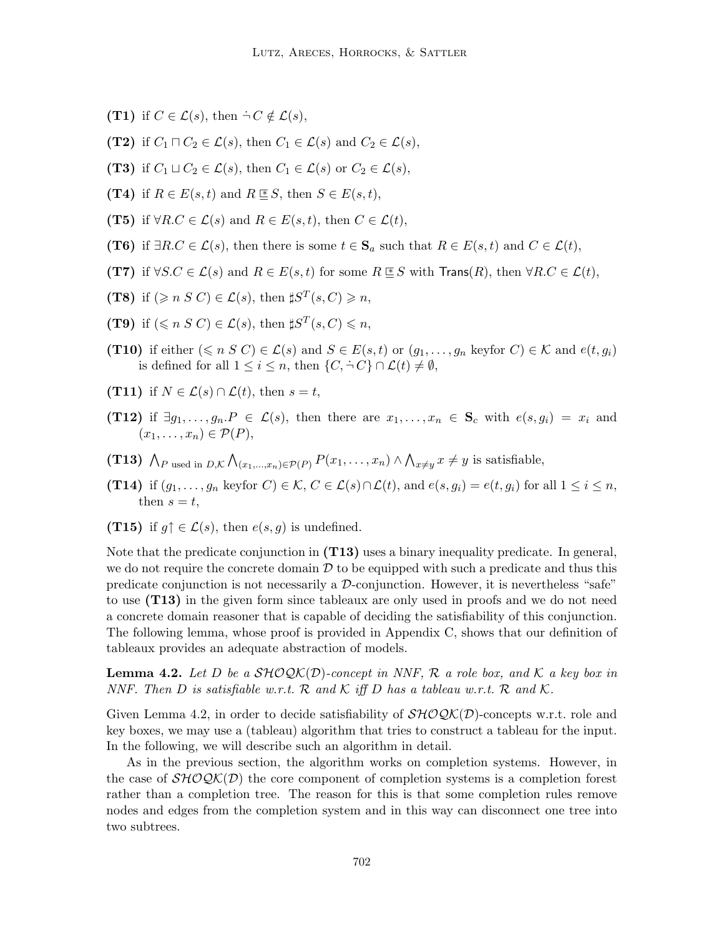- (T1) if  $C \in \mathcal{L}(s)$ , then  $\dot{\neg} C \notin \mathcal{L}(s)$ ,
- (T2) if  $C_1 \sqcap C_2 \in \mathcal{L}(s)$ , then  $C_1 \in \mathcal{L}(s)$  and  $C_2 \in \mathcal{L}(s)$ ,
- (T3) if  $C_1 \sqcup C_2 \in \mathcal{L}(s)$ , then  $C_1 \in \mathcal{L}(s)$  or  $C_2 \in \mathcal{L}(s)$ ,
- (T4) if  $R \in E(s, t)$  and  $R \le S$ , then  $S \in E(s, t)$ ,
- (T5) if  $\forall R.C \in \mathcal{L}(s)$  and  $R \in E(s,t)$ , then  $C \in \mathcal{L}(t)$ ,
- (T6) if  $\exists R.C \in \mathcal{L}(s)$ , then there is some  $t \in \mathbf{S}_a$  such that  $R \in E(s, t)$  and  $C \in \mathcal{L}(t)$ ,
- (T7) if  $\forall S.C \in \mathcal{L}(s)$  and  $R \in E(s,t)$  for some  $R \not\cong S$  with Trans(R), then  $\forall R.C \in \mathcal{L}(t)$ ,
- (T8) if  $(\geq n \leq C) \in \mathcal{L}(s)$ , then  $\sharp S^T(s, C) \geq n$ ,
- (T9) if  $(\leq n \leq C) \in \mathcal{L}(s)$ , then  $\sharp S^T(s, C) \leq n$ ,
- (T10) if either  $(\leq n S C) \in \mathcal{L}(s)$  and  $S \in E(s,t)$  or  $(g_1,\ldots,g_n$  keyfor  $C) \in \mathcal{K}$  and  $e(t,g_i)$ is defined for all  $1 \leq i \leq n$ , then  $\{C, \dot{\neg} C\} \cap \mathcal{L}(t) \neq \emptyset$ ,
- (T11) if  $N \in \mathcal{L}(s) \cap \mathcal{L}(t)$ , then  $s = t$ ,
- (T12) if  $\exists g_1, \ldots, g_n \in \mathcal{L}(s)$ , then there are  $x_1, \ldots, x_n \in S_c$  with  $e(s, g_i) = x_i$  and  $(x_1, \ldots, x_n) \in \mathcal{P}(P)$ ,
- (T13)  $\bigwedge_{P}$  used in  $D,K \bigwedge_{(x_1,...,x_n)\in \mathcal{P}(P)} P(x_1,...,x_n) \wedge \bigwedge_{x\neq y} x \neq y$  is satisfiable,
- (T14) if  $(g_1, \ldots, g_n$  keyfor  $C) \in \mathcal{K}, C \in \mathcal{L}(s) \cap \mathcal{L}(t)$ , and  $e(s, g_i) = e(t, g_i)$  for all  $1 \leq i \leq n$ , then  $s = t$ ,
- (T15) if  $q \uparrow \in \mathcal{L}(s)$ , then  $e(s, q)$  is undefined.

Note that the predicate conjunction in  $(T13)$  uses a binary inequality predicate. In general, we do not require the concrete domain  $D$  to be equipped with such a predicate and thus this predicate conjunction is not necessarily a  $\mathcal{D}$ -conjunction. However, it is nevertheless "safe" to use (T13) in the given form since tableaux are only used in proofs and we do not need a concrete domain reasoner that is capable of deciding the satisfiability of this conjunction. The following lemma, whose proof is provided in Appendix C, shows that our definition of tableaux provides an adequate abstraction of models.

**Lemma 4.2.** Let D be a  $\mathcal{SHOQK}(D)$ -concept in NNF, R a role box, and K a key box in NNF. Then D is satisfiable w.r.t. R and K iff D has a tableau w.r.t. R and K.

Given Lemma 4.2, in order to decide satisfiability of  $\mathcal{SHOQK}(\mathcal{D})$ -concepts w.r.t. role and key boxes, we may use a (tableau) algorithm that tries to construct a tableau for the input. In the following, we will describe such an algorithm in detail.

As in the previous section, the algorithm works on completion systems. However, in the case of  $\mathcal{SHOQK}(D)$  the core component of completion systems is a completion forest rather than a completion tree. The reason for this is that some completion rules remove nodes and edges from the completion system and in this way can disconnect one tree into two subtrees.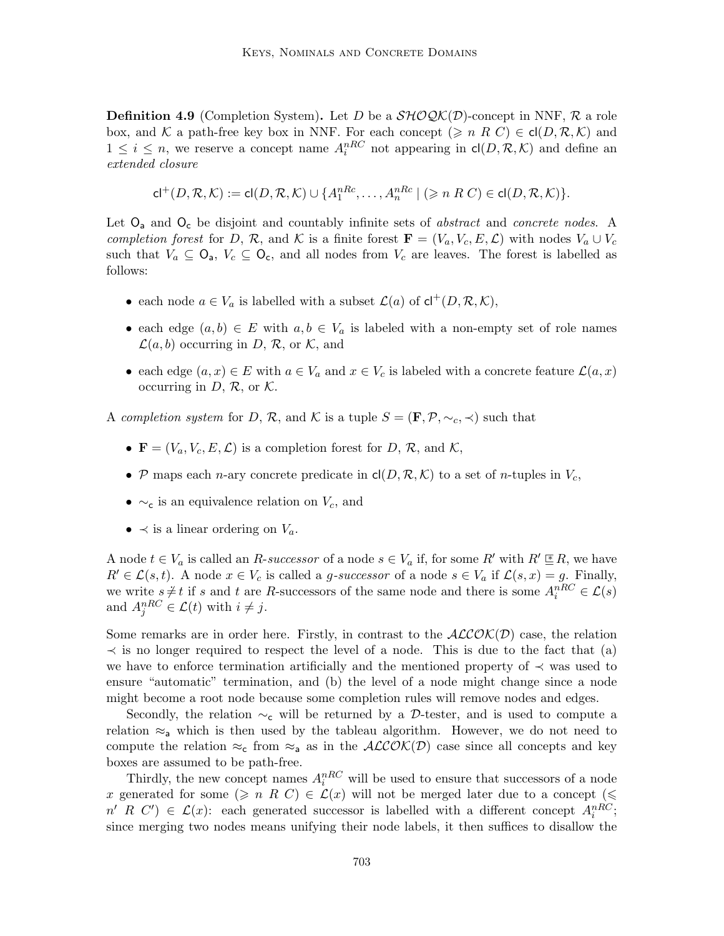**Definition 4.9** (Completion System). Let D be a  $\mathcal{SHOQK}(\mathcal{D})$ -concept in NNF, R a role box, and K a path-free key box in NNF. For each concept  $(\geq n \ R \ C) \in cl(D, \mathcal{R}, \mathcal{K})$  and  $1 \leq i \leq n$ , we reserve a concept name  $A_i^{nRC}$  not appearing in  $\mathsf{cl}(D,\mathcal{R},\mathcal{K})$  and define an extended closure

$$
\mathsf{cl}^+(D,\mathcal{R},\mathcal{K}):=\mathsf{cl}(D,\mathcal{R},\mathcal{K})\cup\{A_1^{nRc},\ldots,A_n^{nRc}\mid (\geqslant n\ R\ C)\in\mathsf{cl}(D,\mathcal{R},\mathcal{K})\}.
$$

Let  $O_a$  and  $O_c$  be disjoint and countably infinite sets of *abstract* and *concrete nodes*. A completion forest for D, R, and K is a finite forest  $\mathbf{F} = (V_a, V_c, E, \mathcal{L})$  with nodes  $V_a \cup V_c$ such that  $V_a \subseteq \mathsf{O}_a$ ,  $V_c \subseteq \mathsf{O}_c$ , and all nodes from  $V_c$  are leaves. The forest is labelled as follows:

- each node  $a \in V_a$  is labelled with a subset  $\mathcal{L}(a)$  of  $\mathsf{cl}^+(D, \mathcal{R}, \mathcal{K}),$
- each edge  $(a, b) \in E$  with  $a, b \in V_a$  is labeled with a non-empty set of role names  $\mathcal{L}(a, b)$  occurring in D, R, or K, and
- each edge  $(a, x) \in E$  with  $a \in V_a$  and  $x \in V_c$  is labeled with a concrete feature  $\mathcal{L}(a, x)$ occurring in  $D, R$ , or  $K$ .

A completion system for D, R, and K is a tuple  $S = (\mathbf{F}, \mathcal{P}, \sim_c, \prec)$  such that

- $\mathbf{F} = (V_a, V_c, E, \mathcal{L})$  is a completion forest for D, R, and K,
- P maps each n-ary concrete predicate in  $\text{cl}(D, \mathcal{R}, \mathcal{K})$  to a set of n-tuples in  $V_c$ ,
- $\sim$ <sub>c</sub> is an equivalence relation on  $V_c$ , and
- $\prec$  is a linear ordering on  $V_a$ .

A node  $t \in V_a$  is called an R-successor of a node  $s \in V_a$  if, for some R' with  $R' \subseteq R$ , we have  $R' \in \mathcal{L}(s, t)$ . A node  $x \in V_c$  is called a g-successor of a node  $s \in V_a$  if  $\mathcal{L}(s, x) = g$ . Finally, we write  $s \neq t$  if s and t are R-successors of the same node and there is some  $A_i^{nRC} \in \mathcal{L}(s)$ and  $A_j^{nRC} \in \mathcal{L}(t)$  with  $i \neq j$ .

Some remarks are in order here. Firstly, in contrast to the  $ALCOK(D)$  case, the relation  $\prec$  is no longer required to respect the level of a node. This is due to the fact that (a) we have to enforce termination artificially and the mentioned property of  $\prec$  was used to ensure "automatic" termination, and (b) the level of a node might change since a node might become a root node because some completion rules will remove nodes and edges.

Secondly, the relation  $\sim_c$  will be returned by a D-tester, and is used to compute a relation  $\approx_a$  which is then used by the tableau algorithm. However, we do not need to compute the relation  $\approx_c$  from  $\approx_a$  as in the  $ALCOK(D)$  case since all concepts and key boxes are assumed to be path-free.

Thirdly, the new concept names  $A_i^{nRC}$  will be used to ensure that successors of a node x generated for some  $(\geq n \ R \ C) \in \mathcal{L}(x)$  will not be merged later due to a concept  $(\leq$  $n'$  R C')  $\in \mathcal{L}(x)$ : each generated successor is labelled with a different concept  $A_i^{nRC}$ ; since merging two nodes means unifying their node labels, it then suffices to disallow the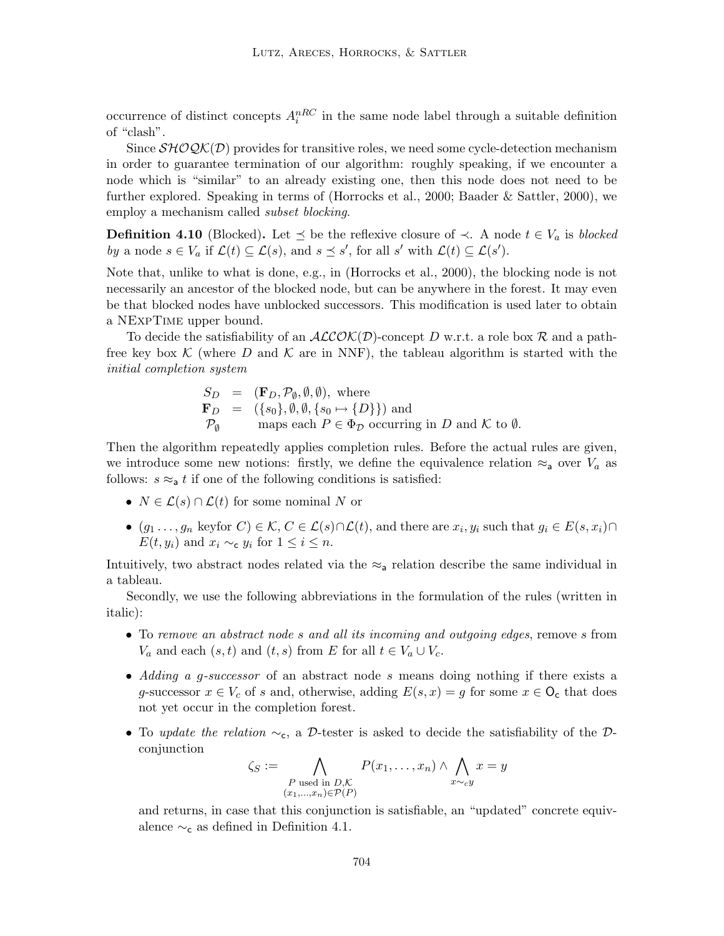occurrence of distinct concepts  $A_i^{nRC}$  in the same node label through a suitable definition of "clash".

Since  $\mathcal{SHOQK}(\mathcal{D})$  provides for transitive roles, we need some cycle-detection mechanism in order to guarantee termination of our algorithm: roughly speaking, if we encounter a node which is "similar" to an already existing one, then this node does not need to be further explored. Speaking in terms of (Horrocks et al., 2000; Baader & Sattler, 2000), we employ a mechanism called *subset blocking*.

**Definition 4.10** (Blocked). Let  $\leq$  be the reflexive closure of  $\prec$ . A node  $t \in V_a$  is blocked by a node  $s \in V_a$  if  $\mathcal{L}(t) \subseteq \mathcal{L}(s)$ , and  $s \preceq s'$ , for all s' with  $\mathcal{L}(t) \subseteq \mathcal{L}(s')$ .

Note that, unlike to what is done, e.g., in (Horrocks et al., 2000), the blocking node is not necessarily an ancestor of the blocked node, but can be anywhere in the forest. It may even be that blocked nodes have unblocked successors. This modification is used later to obtain a NExpTime upper bound.

To decide the satisfiability of an  $ALCOK(D)$ -concept D w.r.t. a role box R and a pathfree key box K (where D and K are in NNF), the tableau algorithm is started with the initial completion system

$$
S_D = (\mathbf{F}_D, \mathcal{P}_{\emptyset}, \emptyset, \emptyset), \text{ where}
$$
  
\n
$$
\mathbf{F}_D = (\{s_0\}, \emptyset, \emptyset, \{s_0 \mapsto \{D\}\}) \text{ and}
$$
  
\n
$$
\mathcal{P}_{\emptyset} \qquad \text{maps each } P \in \Phi_D \text{ occurring in } D \text{ and } \mathcal{K} \text{ to } \emptyset.
$$

Then the algorithm repeatedly applies completion rules. Before the actual rules are given, we introduce some new notions: firstly, we define the equivalence relation  $\approx_a$  over  $V_a$  as follows:  $s \approx a t$  if one of the following conditions is satisfied:

- $N \in \mathcal{L}(s) \cap \mathcal{L}(t)$  for some nominal N or
- $(g_1 \ldots, g_n \text{ keyfor } C) \in \mathcal{K}, C \in \mathcal{L}(s) \cap \mathcal{L}(t)$ , and there are  $x_i, y_i \text{ such that } g_i \in E(s, x_i) \cap$  $E(t, y_i)$  and  $x_i \sim_{\mathbf{c}} y_i$  for  $1 \leq i \leq n$ .

Intuitively, two abstract nodes related via the  $\approx_{\mathsf{a}}$  relation describe the same individual in a tableau.

Secondly, we use the following abbreviations in the formulation of the rules (written in italic):

- To remove an abstract node s and all its incoming and outgoing edges, remove s from  $V_a$  and each  $(s, t)$  and  $(t, s)$  from E for all  $t \in V_a \cup V_c$ .
- Adding a g-successor of an abstract node s means doing nothing if there exists a g-successor  $x \in V_c$  of s and, otherwise, adding  $E(s, x) = g$  for some  $x \in \mathcal{O}_c$  that does not yet occur in the completion forest.
- To update the relation  $\sim_c$ , a D-tester is asked to decide the satisfiability of the Dconjunction

$$
\zeta_S := \bigwedge_{\substack{P \text{ used in } D,\mathcal{K} \\ (x_1,\ldots,x_n) \in \mathcal{P}(P)}} P(x_1,\ldots,x_n) \wedge \bigwedge_{x \sim_c y} x = y
$$

and returns, in case that this conjunction is satisfiable, an "updated" concrete equivalence  $\sim_c$  as defined in Definition 4.1.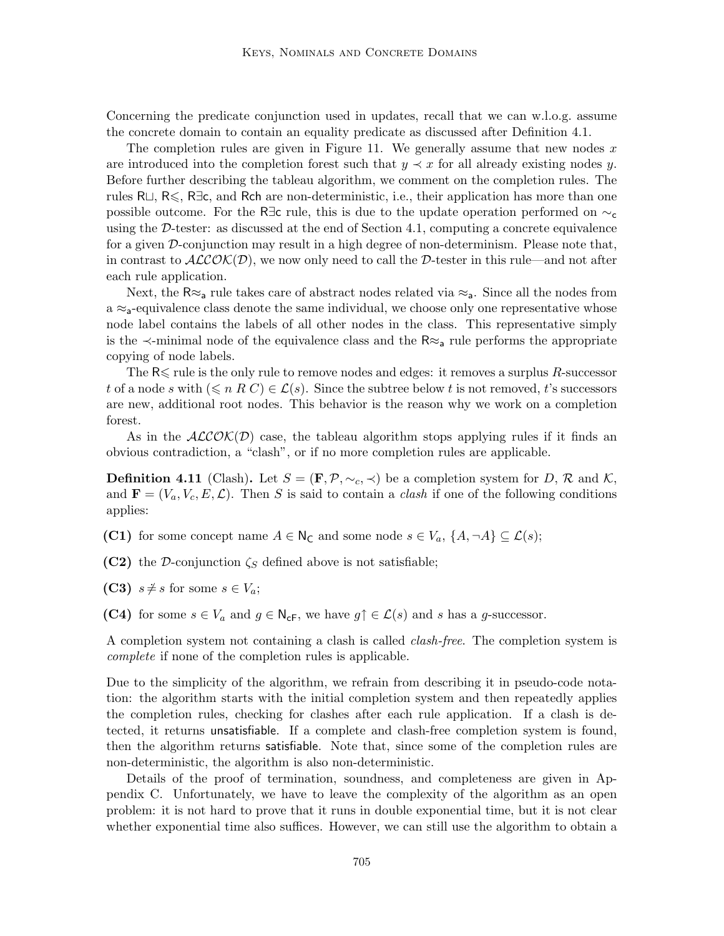Concerning the predicate conjunction used in updates, recall that we can w.l.o.g. assume the concrete domain to contain an equality predicate as discussed after Definition 4.1.

The completion rules are given in Figure 11. We generally assume that new nodes  $x$ are introduced into the completion forest such that  $y \prec x$  for all already existing nodes y. Before further describing the tableau algorithm, we comment on the completion rules. The rules R $\sqcup$ , R $\leq$ , R $\exists$ c, and Rch are non-deterministic, i.e., their application has more than one possible outcome. For the R∃c rule, this is due to the update operation performed on  $\sim_c$ using the D-tester: as discussed at the end of Section 4.1, computing a concrete equivalence for a given  $\mathcal D$ -conjunction may result in a high degree of non-determinism. Please note that, in contrast to  $ALCON(D)$ , we now only need to call the D-tester in this rule—and not after each rule application.

Next, the  $R \approx a$  rule takes care of abstract nodes related via  $\approx a$ . Since all the nodes from  $a \approx a$ -equivalence class denote the same individual, we choose only one representative whose node label contains the labels of all other nodes in the class. This representative simply is the  $\prec$ -minimal node of the equivalence class and the  $\mathsf{R} \approx_{\mathsf{a}}$  rule performs the appropriate copying of node labels.

The  $R \leq$  rule is the only rule to remove nodes and edges: it removes a surplus R-successor t of a node s with  $(\leq n \ R \ C) \in \mathcal{L}(s)$ . Since the subtree below t is not removed, t's successors are new, additional root nodes. This behavior is the reason why we work on a completion forest.

As in the  $ALCOK(D)$  case, the tableau algorithm stops applying rules if it finds an obvious contradiction, a "clash", or if no more completion rules are applicable.

**Definition 4.11** (Clash). Let  $S = (\mathbf{F}, \mathcal{P}, \sim_c, \prec)$  be a completion system for D, R and K, and  $\mathbf{F} = (V_a, V_c, E, \mathcal{L})$ . Then S is said to contain a *clash* if one of the following conditions applies:

(C1) for some concept name  $A \in \mathsf{N}_{\mathsf{C}}$  and some node  $s \in V_a$ ,  $\{A, \neg A\} \subseteq \mathcal{L}(s)$ ;

(C2) the D-conjunction  $\zeta_s$  defined above is not satisfiable;

(C3)  $s \neq s$  for some  $s \in V_a$ ;

(C4) for some  $s \in V_a$  and  $g \in \mathsf{N}_{\mathsf{cF}}$ , we have  $g \uparrow \in \mathcal{L}(s)$  and s has a g-successor.

A completion system not containing a clash is called clash-free. The completion system is complete if none of the completion rules is applicable.

Due to the simplicity of the algorithm, we refrain from describing it in pseudo-code notation: the algorithm starts with the initial completion system and then repeatedly applies the completion rules, checking for clashes after each rule application. If a clash is detected, it returns unsatisfiable. If a complete and clash-free completion system is found, then the algorithm returns satisfiable. Note that, since some of the completion rules are non-deterministic, the algorithm is also non-deterministic.

Details of the proof of termination, soundness, and completeness are given in Appendix C. Unfortunately, we have to leave the complexity of the algorithm as an open problem: it is not hard to prove that it runs in double exponential time, but it is not clear whether exponential time also suffices. However, we can still use the algorithm to obtain a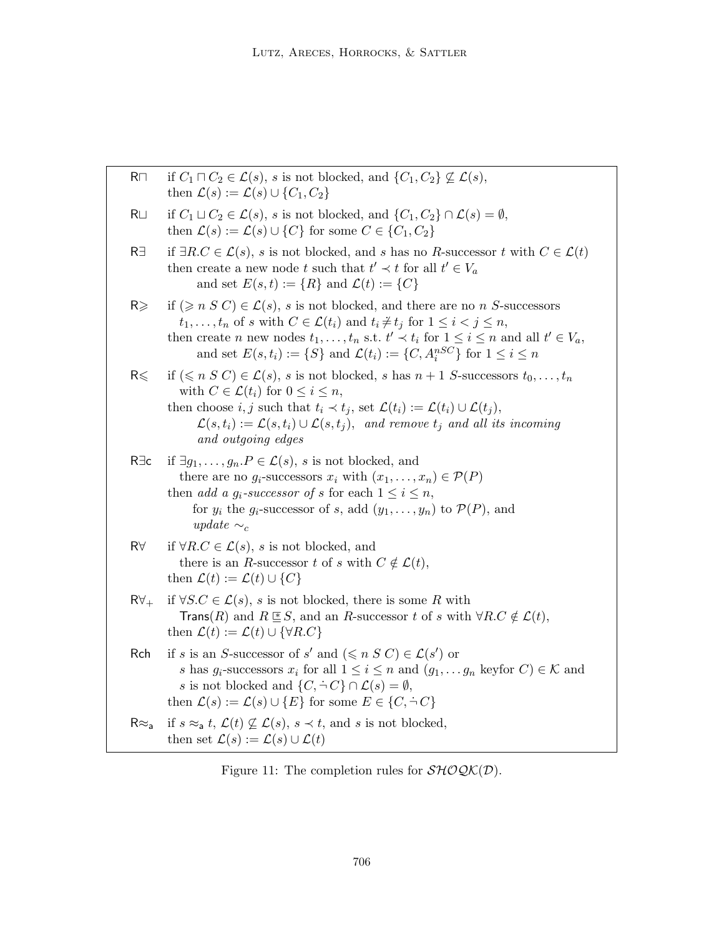| $R\square$     | if $C_1 \sqcap C_2 \in \mathcal{L}(s)$ , s is not blocked, and $\{C_1, C_2\} \not\subseteq \mathcal{L}(s)$ ,<br>then $\mathcal{L}(s) := \mathcal{L}(s) \cup \{C_1, C_2\}$                                                                                                                                                                                                                                                     |
|----------------|-------------------------------------------------------------------------------------------------------------------------------------------------------------------------------------------------------------------------------------------------------------------------------------------------------------------------------------------------------------------------------------------------------------------------------|
| $R \cup$       | if $C_1 \sqcup C_2 \in \mathcal{L}(s)$ , s is not blocked, and $\{C_1, C_2\} \cap \mathcal{L}(s) = \emptyset$ ,<br>then $\mathcal{L}(s) := \mathcal{L}(s) \cup \{C\}$ for some $C \in \{C_1, C_2\}$                                                                                                                                                                                                                           |
| R∃             | if $\exists R.C \in \mathcal{L}(s)$ , s is not blocked, and s has no R-successor t with $C \in \mathcal{L}(t)$<br>then create a new node t such that $t' \prec t$ for all $t' \in V_a$<br>and set $E(s,t) := \{R\}$ and $\mathcal{L}(t) := \{C\}$                                                                                                                                                                             |
| $R \geqslant$  | if $(\geqslant n S C) \in \mathcal{L}(s)$ , s is not blocked, and there are no n S-successors<br>$t_1, \ldots, t_n$ of s with $C \in \mathcal{L}(t_i)$ and $t_i \neq t_j$ for $1 \leq i < j \leq n$ ,<br>then create <i>n</i> new nodes $t_1, \ldots, t_n$ s.t. $t' \prec t_i$ for $1 \leq i \leq n$ and all $t' \in V_a$ ,<br>and set $E(s, t_i) := \{S\}$ and $\mathcal{L}(t_i) := \{C, A_i^{nSC}\}\$ for $1 \leq i \leq n$ |
| $R \leqslant$  | if $(\leq n S C) \in \mathcal{L}(s)$ , s is not blocked, s has $n+1 S$ -successors $t_0, \ldots, t_n$<br>with $C \in \mathcal{L}(t_i)$ for $0 \leq i \leq n$ ,<br>then choose i, j such that $t_i \prec t_j$ , set $\mathcal{L}(t_i) := \mathcal{L}(t_i) \cup \mathcal{L}(t_j)$ ,<br>$\mathcal{L}(s,t_i) := \mathcal{L}(s,t_i) \cup \mathcal{L}(s,t_j)$ , and remove $t_j$ and all its incoming<br>and outgoing edges         |
| $R \exists c$  | if $\exists g_1, \ldots, g_n \in \mathcal{L}(s)$ , s is not blocked, and<br>there are no $g_i$ -successors $x_i$ with $(x_1, \ldots, x_n) \in \mathcal{P}(P)$<br>then <i>add a g<sub>i</sub></i> -successor of s for each $1 \leq i \leq n$ ,<br>for $y_i$ the $g_i$ -successor of s, add $(y_1, \ldots, y_n)$ to $\mathcal{P}(P)$ , and<br>update $\sim_c$                                                                   |
| $R\forall$     | if $\forall R.C \in \mathcal{L}(s)$ , s is not blocked, and<br>there is an R-successor t of s with $C \notin \mathcal{L}(t)$ ,<br>then $\mathcal{L}(t) := \mathcal{L}(t) \cup \{C\}$                                                                                                                                                                                                                                          |
| $R\forall_{+}$ | if $\forall S.C \in \mathcal{L}(s)$ , s is not blocked, there is some R with<br><b>Trans</b> (R) and $R \leq S$ , and an R-successor t of s with $\forall R.C \notin \mathcal{L}(t)$ ,<br>then $\mathcal{L}(t) := \mathcal{L}(t) \cup \{ \forall R.C \}$                                                                                                                                                                      |
| Rch            | if s is an S-successor of s' and $(\leq n S C) \in \mathcal{L}(s')$ or<br>s has $g_i$ -successors $x_i$ for all $1 \leq i \leq n$ and $(g_1, \ldots, g_n$ keyfor $C) \in \mathcal{K}$ and<br>s is not blocked and $\{C, \dot{\neg} C\} \cap \mathcal{L}(s) = \emptyset$ ,<br>then $\mathcal{L}(s) := \mathcal{L}(s) \cup \{E\}$ for some $E \in \{C, \dot{\neg} C\}$                                                          |
| $R \approx a$  | if $s \approx_a t$ , $\mathcal{L}(t) \not\subseteq \mathcal{L}(s)$ , $s \prec t$ , and s is not blocked,<br>then set $\mathcal{L}(s) := \mathcal{L}(s) \cup \mathcal{L}(t)$                                                                                                                                                                                                                                                   |

Figure 11: The completion rules for  $\mathcal{SHOQK}(\mathcal{D}).$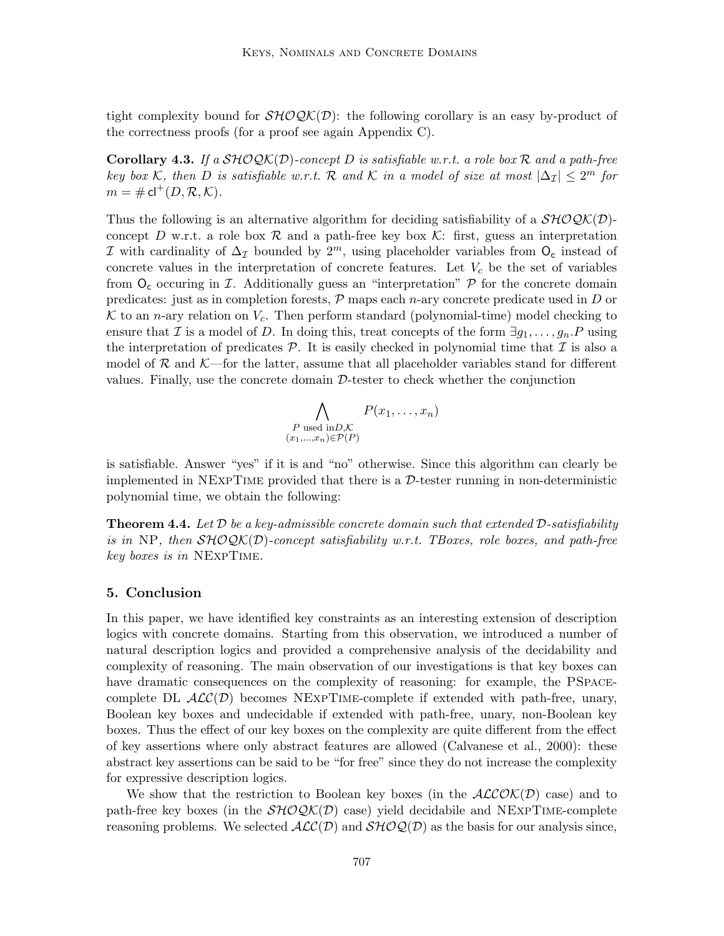tight complexity bound for  $\mathcal{SHOQK}(\mathcal{D})$ : the following corollary is an easy by-product of the correctness proofs (for a proof see again Appendix C).

**Corollary 4.3.** If a  $\mathcal{SHOQK}(D)$ -concept D is satisfiable w.r.t. a role box R and a path-free key box K, then D is satisfiable w.r.t. R and K in a model of size at most  $|\Delta_{\mathcal{I}}| \leq 2^m$  for  $m = \# \mathsf{cl}^+(D, \mathcal{R}, \mathcal{K}).$ 

Thus the following is an alternative algorithm for deciding satisfiability of a  $\mathcal{SHOQK}(D)$ concept D w.r.t. a role box R and a path-free key box  $\mathcal{K}$ : first, guess an interpretation  $I$  with cardinality of  $\Delta$ <sub>I</sub> bounded by 2<sup>m</sup>, using placeholder variables from  $O<sub>c</sub>$  instead of concrete values in the interpretation of concrete features. Let  $V_c$  be the set of variables from  $O_c$  occuring in T. Additionally guess an "interpretation"  $P$  for the concrete domain predicates: just as in completion forests,  $P$  maps each *n*-ary concrete predicate used in  $D$  or K to an n-ary relation on  $V_c$ . Then perform standard (polynomial-time) model checking to ensure that I is a model of D. In doing this, treat concepts of the form  $\exists q_1, \ldots, q_n \cdot P$  using the interpretation of predicates  $P$ . It is easily checked in polynomial time that  $\mathcal I$  is also a model of  $\mathcal R$  and  $\mathcal K$ —for the latter, assume that all placeholder variables stand for different values. Finally, use the concrete domain  $D$ -tester to check whether the conjunction

$$
\bigwedge_{\substack{P \text{ used in } D, \mathcal{K} \\ (x_1, \dots, x_n) \in \mathcal{P}(P)}} P(x_1, \dots, x_n)
$$

is satisfiable. Answer "yes" if it is and "no" otherwise. Since this algorithm can clearly be implemented in  $NEXPTIME$  provided that there is a  $D$ -tester running in non-deterministic polynomial time, we obtain the following:

**Theorem 4.4.** Let  $D$  be a key-admissible concrete domain such that extended  $D$ -satisfiability is in NP, then  $\mathcal{SHOQK}(D)$ -concept satisfiability w.r.t. TBoxes, role boxes, and path-free key boxes is in NExpTime.

### 5. Conclusion

In this paper, we have identified key constraints as an interesting extension of description logics with concrete domains. Starting from this observation, we introduced a number of natural description logics and provided a comprehensive analysis of the decidability and complexity of reasoning. The main observation of our investigations is that key boxes can have dramatic consequences on the complexity of reasoning: for example, the PSPACEcomplete DL  $\mathcal{ALC}(\mathcal{D})$  becomes NEXPTIME-complete if extended with path-free, unary, Boolean key boxes and undecidable if extended with path-free, unary, non-Boolean key boxes. Thus the effect of our key boxes on the complexity are quite different from the effect of key assertions where only abstract features are allowed (Calvanese et al., 2000): these abstract key assertions can be said to be "for free" since they do not increase the complexity for expressive description logics.

We show that the restriction to Boolean key boxes (in the  $ALCOK(D)$  case) and to path-free key boxes (in the  $\mathcal{SHOQK}(D)$  case) yield decidabile and NEXPTIME-complete reasoning problems. We selected  $\mathcal{ALC}(D)$  and  $\mathcal{SHOQ}(D)$  as the basis for our analysis since,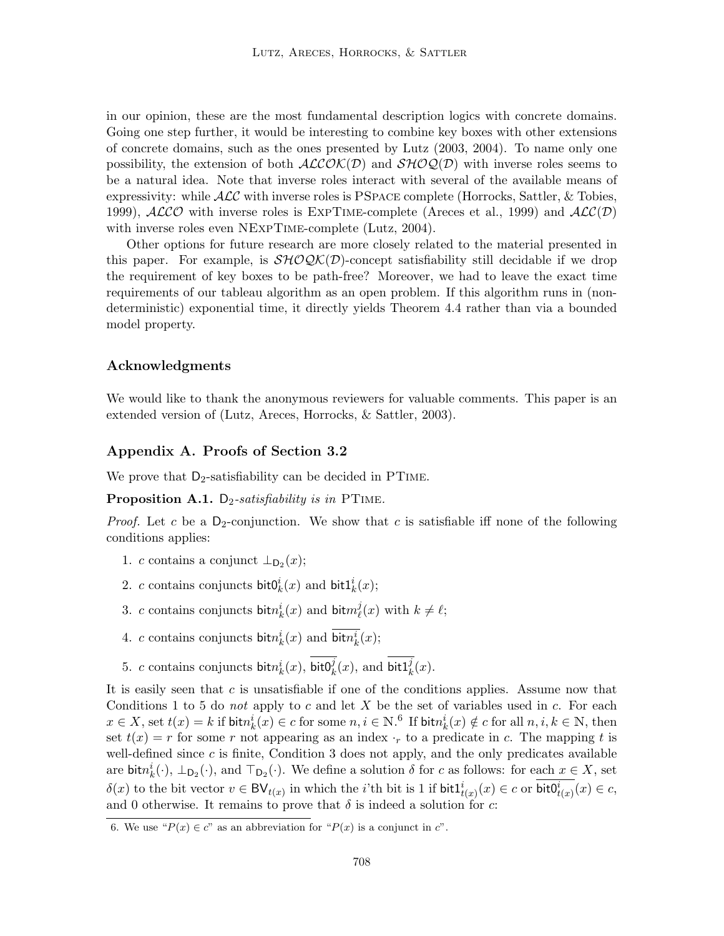in our opinion, these are the most fundamental description logics with concrete domains. Going one step further, it would be interesting to combine key boxes with other extensions of concrete domains, such as the ones presented by Lutz (2003, 2004). To name only one possibility, the extension of both  $ALCOK(D)$  and  $SHOQ(D)$  with inverse roles seems to be a natural idea. Note that inverse roles interact with several of the available means of expressivity: while  $\mathcal{ALC}$  with inverse roles is PSPACE complete (Horrocks, Sattler, & Tobies, 1999),  $\text{ALCO}$  with inverse roles is EXPTIME-complete (Areces et al., 1999) and  $\text{ALC}(\mathcal{D})$ with inverse roles even NEXPTIME-complete (Lutz, 2004).

Other options for future research are more closely related to the material presented in this paper. For example, is  $\mathcal{SHOQK}(D)$ -concept satisfiability still decidable if we drop the requirement of key boxes to be path-free? Moreover, we had to leave the exact time requirements of our tableau algorithm as an open problem. If this algorithm runs in (nondeterministic) exponential time, it directly yields Theorem 4.4 rather than via a bounded model property.

# Acknowledgments

We would like to thank the anonymous reviewers for valuable comments. This paper is an extended version of (Lutz, Areces, Horrocks, & Sattler, 2003).

# Appendix A. Proofs of Section 3.2

We prove that  $D_2$ -satisfiability can be decided in PTIME.

**Proposition A.1.**  $D_2$ -satisfiability is in PTIME.

*Proof.* Let c be a D<sub>2</sub>-conjunction. We show that c is satisfiable iff none of the following conditions applies:

- 1. c contains a conjunct  $\perp_{\mathsf{D}_2}(x)$ ;
- 2. c contains conjuncts bit $0^i_k(x)$  and bit $1^i_k(x)$ ;
- 3. c contains conjuncts bit $n_k^i(x)$  and bit $m_\ell^j$  $\ell_{\ell}^{j}(x)$  with  $k \neq \ell;$
- 4. c contains conjuncts  $\text{bit}n_k^i(x)$  and  $\overline{\text{bit}n_k^i}(x)$ ;
- 5. c contains conjuncts  $\text{bit}n_k^i(x)$ ,  $\text{bit0}_k^j(x)$ , and  $\text{bit1}_k^j(x)$ .

It is easily seen that  $c$  is unsatisfiable if one of the conditions applies. Assume now that Conditions 1 to 5 do not apply to c and let  $X$  be the set of variables used in c. For each  $x \in X$ , set  $t(x) = k$  if  $\text{bit} n_k^i(x) \in c$  for some  $n, i \in \mathbb{N}$ . If  $\text{bit} n_k^i(x) \notin c$  for all  $n, i, k \in \mathbb{N}$ , then set  $t(x) = r$  for some r not appearing as an index  $r_r$  to a predicate in c. The mapping t is well-defined since  $c$  is finite, Condition 3 does not apply, and the only predicates available are  $\text{bit} n_k^i(\cdot), \perp_{\mathsf{D}_2}(\cdot)$ , and  $\top_{\mathsf{D}_2}(\cdot)$ . We define a solution  $\delta$  for c as follows: for each  $x \in X$ , set  $\delta(x)$  to the bit vector  $v \in BV_{t(x)}$  in which the *i*'th bit is 1 if  $\text{bit1}_{t(x)}^i(x) \in c$  or  $\text{bit0}_{t(x)}^i(x) \in c$ , and 0 otherwise. It remains to prove that  $\delta$  is indeed a solution for c:

<sup>6.</sup> We use " $P(x) \in c$ " as an abbreviation for " $P(x)$  is a conjunct in c".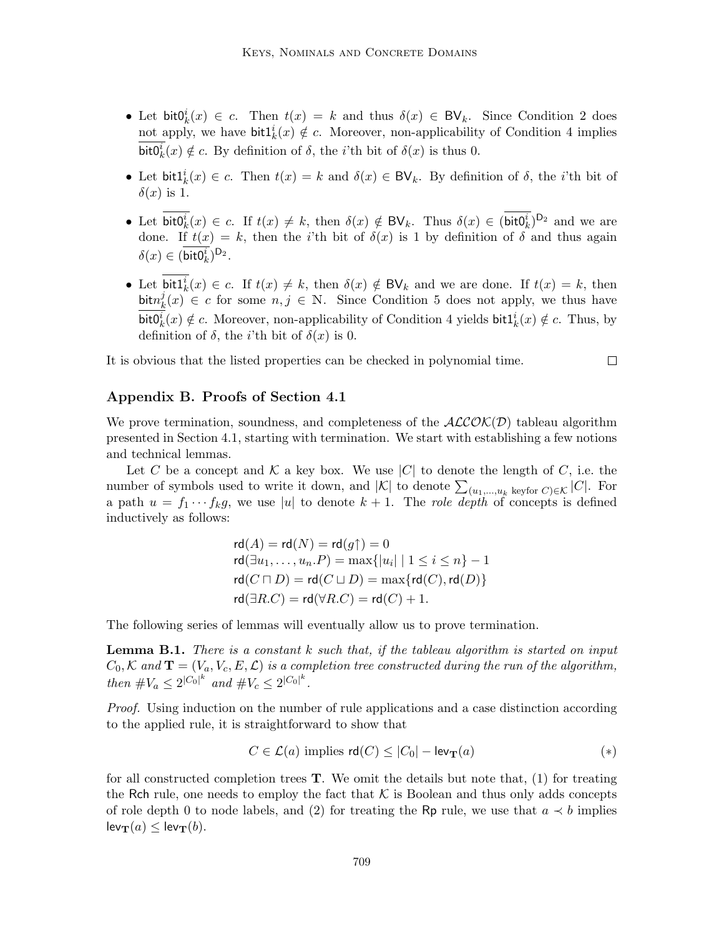- Let bit $0^i_k(x) \in c$ . Then  $t(x) = k$  and thus  $\delta(x) \in BV_k$ . Since Condition 2 does not apply, we have  $\text{bitl}_k^i(x) \notin c$ . Moreover, non-applicability of Condition 4 implies bit $0_k^i(x) \notin c$ . By definition of  $\delta$ , the *i*'th bit of  $\delta(x)$  is thus 0.
- Let  $\text{bit1}_k^i(x) \in c$ . Then  $t(x) = k$  and  $\delta(x) \in BV_k$ . By definition of  $\delta$ , the *i*'th bit of  $\delta(x)$  is 1.
- Let  $\text{bit0}_k^i(x) \in c$ . If  $t(x) \neq k$ , then  $\delta(x) \notin BV_k$ . Thus  $\delta(x) \in (\text{bit0}_k^i)^{D_2}$  and we are done. If  $t(x) = k$ , then the *i*'th bit of  $\delta(x)$  is 1 by definition of  $\delta$  and thus again  $\delta(x) \in (\mathsf{bit0}_k^i)^{\mathsf{D}_2}.$
- Let  $\text{bit1}_k^i(x) \in c$ . If  $t(x) \neq k$ , then  $\delta(x) \notin BV_k$  and we are done. If  $t(x) = k$ , then bit $n_k^j$  $k(x) \in c$  for some  $n, j \in \mathbb{N}$ . Since Condition 5 does not apply, we thus have bit $0_k^i(x) \notin c$ . Moreover, non-applicability of Condition 4 yields bit $1_k^i(x) \notin c$ . Thus, by definition of  $\delta$ , the *i*'th bit of  $\delta(x)$  is 0.

 $\Box$ 

It is obvious that the listed properties can be checked in polynomial time.

# Appendix B. Proofs of Section 4.1

We prove termination, soundness, and completeness of the  $ALCOK(D)$  tableau algorithm presented in Section 4.1, starting with termination. We start with establishing a few notions and technical lemmas.

Let C be a concept and K a key box. We use |C| to denote the length of C, i.e. the number of symbols used to write it down, and  $|\mathcal{K}|$  to denote  $\sum_{(u_1,...,u_k \text{ keyfor } C) \in \mathcal{K}} |C|$ . For a path  $u = f_1 \cdots f_k g$ , we use |u| to denote  $k + 1$ . The role depth of concepts is defined inductively as follows:

$$
\mathsf{rd}(A) = \mathsf{rd}(N) = \mathsf{rd}(g\uparrow) = 0
$$
\n
$$
\mathsf{rd}(\exists u_1, \dots, u_n.P) = \max\{|u_i| \mid 1 \le i \le n\} - 1
$$
\n
$$
\mathsf{rd}(C \sqcap D) = \mathsf{rd}(C \sqcup D) = \max\{\mathsf{rd}(C), \mathsf{rd}(D)\}
$$
\n
$$
\mathsf{rd}(\exists R.C) = \mathsf{rd}(\forall R.C) = \mathsf{rd}(C) + 1.
$$

The following series of lemmas will eventually allow us to prove termination.

**Lemma B.1.** There is a constant k such that, if the tableau algorithm is started on input  $C_0, \mathcal{K}$  and  $\mathbf{T} = (V_a, V_c, E, \mathcal{L})$  is a completion tree constructed during the run of the algorithm, then  $\#V_a \leq 2^{|C_0|^k}$  and  $\#V_c \leq 2^{|C_0|^k}$ .

Proof. Using induction on the number of rule applications and a case distinction according to the applied rule, it is straightforward to show that

$$
C \in \mathcal{L}(a) \text{ implies } \mathsf{rd}(C) \le |C_0| - \mathsf{lev}_{\mathbf{T}}(a) \tag{*}
$$

for all constructed completion trees  $T$ . We omit the details but note that,  $(1)$  for treating the Rch rule, one needs to employ the fact that  $K$  is Boolean and thus only adds concepts of role depth 0 to node labels, and (2) for treating the Rp rule, we use that  $a \prec b$  implies  $lev_T(a) \leq lev_T(b)$ .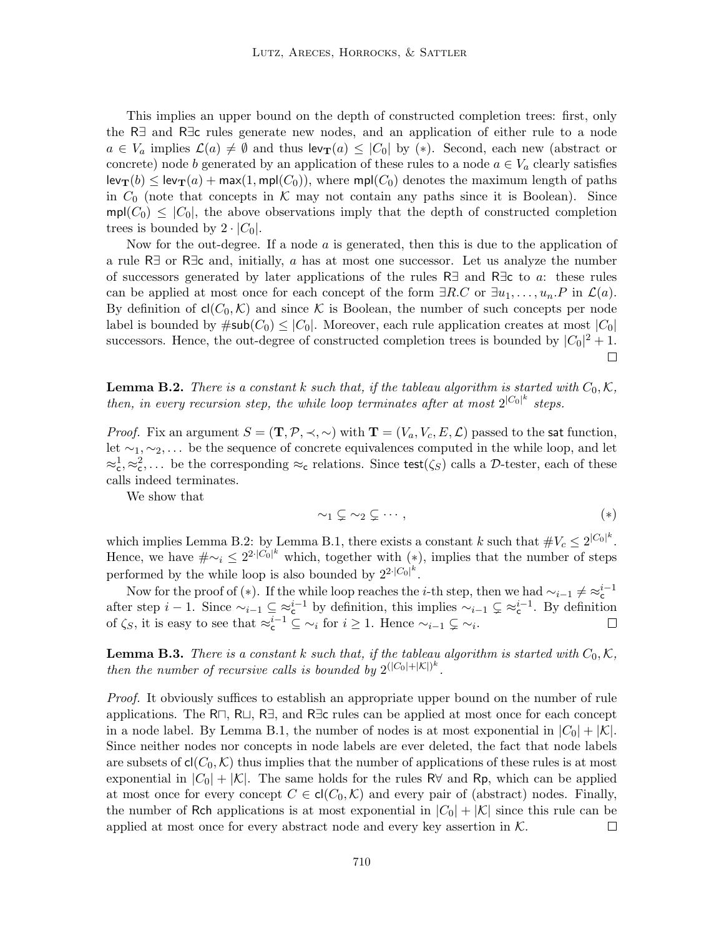This implies an upper bound on the depth of constructed completion trees: first, only the R∃ and R∃c rules generate new nodes, and an application of either rule to a node  $a \in V_a$  implies  $\mathcal{L}(a) \neq \emptyset$  and thus  $\text{lev}_{\textbf{T}}(a) \leq |C_0|$  by (\*). Second, each new (abstract or concrete) node b generated by an application of these rules to a node  $a \in V_a$  clearly satisfies  $\mathsf{lev}_{\mathbf{T}}(b) \leq \mathsf{lev}_{\mathbf{T}}(a) + \max(1, \mathsf{mpl}(C_0)),$  where  $\mathsf{mpl}(C_0)$  denotes the maximum length of paths in  $C_0$  (note that concepts in K may not contain any paths since it is Boolean). Since  $mpl(C_0) \leq |C_0|$ , the above observations imply that the depth of constructed completion trees is bounded by  $2 \cdot |C_0|$ .

Now for the out-degree. If a node  $a$  is generated, then this is due to the application of a rule R∃ or R∃c and, initially, a has at most one successor. Let us analyze the number of successors generated by later applications of the rules R∃ and R $\exists c$  to a: these rules can be applied at most once for each concept of the form  $\exists R.C$  or  $\exists u_1, \ldots, u_n.P$  in  $\mathcal{L}(a)$ . By definition of  $cl(C_0, \mathcal{K})$  and since K is Boolean, the number of such concepts per node label is bounded by  $\#\textsf{sub}(C_0) \leq |C_0|$ . Moreover, each rule application creates at most  $|C_0|$ successors. Hence, the out-degree of constructed completion trees is bounded by  $|C_0|^2 + 1$ .  $\Box$ 

**Lemma B.2.** There is a constant k such that, if the tableau algorithm is started with  $C_0, K$ , then, in every recursion step, the while loop terminates after at most  $2^{|C_0|^k}$  steps.

*Proof.* Fix an argument  $S = (\mathbf{T}, \mathcal{P}, \prec, \sim)$  with  $\mathbf{T} = (V_a, V_c, E, \mathcal{L})$  passed to the sat function, let  $\sim_1, \sim_2, \ldots$  be the sequence of concrete equivalences computed in the while loop, and let  $\approx_c^1, \approx_c^2, \ldots$  be the corresponding  $\approx_c$  relations. Since test $(\zeta_S)$  calls a D-tester, each of these calls indeed terminates.

We show that

$$
\sim_1 \mathcal{L} \sim_2 \mathcal{L} \cdots,
$$

which implies Lemma B.2: by Lemma B.1, there exists a constant k such that  $\#V_c \leq 2^{|C_0|^k}$ . Hence, we have  $\#\sim_i \leq 2^{2\cdot |C_0|^k}$  which, together with (\*), implies that the number of steps performed by the while loop is also bounded by  $2^{2 \cdot |C_0|^k}$ .

Now for the proof of (∗). If the while loop reaches the *i*-th step, then we had  $\sim_{i-1} \neq \approx_{c}^{i-1}$ Now for the proof of (\*). If the while loop reaches the *i*-th step, then we had  $\sim_{i-1}^i \neq \sim_c^i$  after step  $i-1$ . Since  $\sim_{i-1} \subseteq \approx_c^{i-1}$  by definition, this implies  $\sim_{i-1} \subsetneq \approx_c^{i-1}$ . By definition of  $\zeta_S$ , it is easy to see that  $\approx_c^{i-1} \subseteq \sim_i$  for  $i \geq 1$ . Hence  $\sim_{i-1} \subsetneq \sim_i$ .

**Lemma B.3.** There is a constant k such that, if the tableau algorithm is started with  $C_0, \mathcal{K}$ , then the number of recursive calls is bounded by  $2^{(|C_0|+|\mathcal{K}|)^k}$ .

Proof. It obviously suffices to establish an appropriate upper bound on the number of rule applications. The R $\sqcap$ , R $\sqcup$ , R $\exists$ , and R $\exists$ c rules can be applied at most once for each concept in a node label. By Lemma B.1, the number of nodes is at most exponential in  $|C_0| + |\mathcal{K}|$ . Since neither nodes nor concepts in node labels are ever deleted, the fact that node labels are subsets of  $cl(C_0, \mathcal{K})$  thus implies that the number of applications of these rules is at most exponential in  $|C_0| + |\mathcal{K}|$ . The same holds for the rules R $\forall$  and Rp, which can be applied at most once for every concept  $C \in cl(C_0, \mathcal{K})$  and every pair of (abstract) nodes. Finally, the number of Rch applications is at most exponential in  $|C_0| + |\mathcal{K}|$  since this rule can be applied at most once for every abstract node and every key assertion in  $K$ .  $\Box$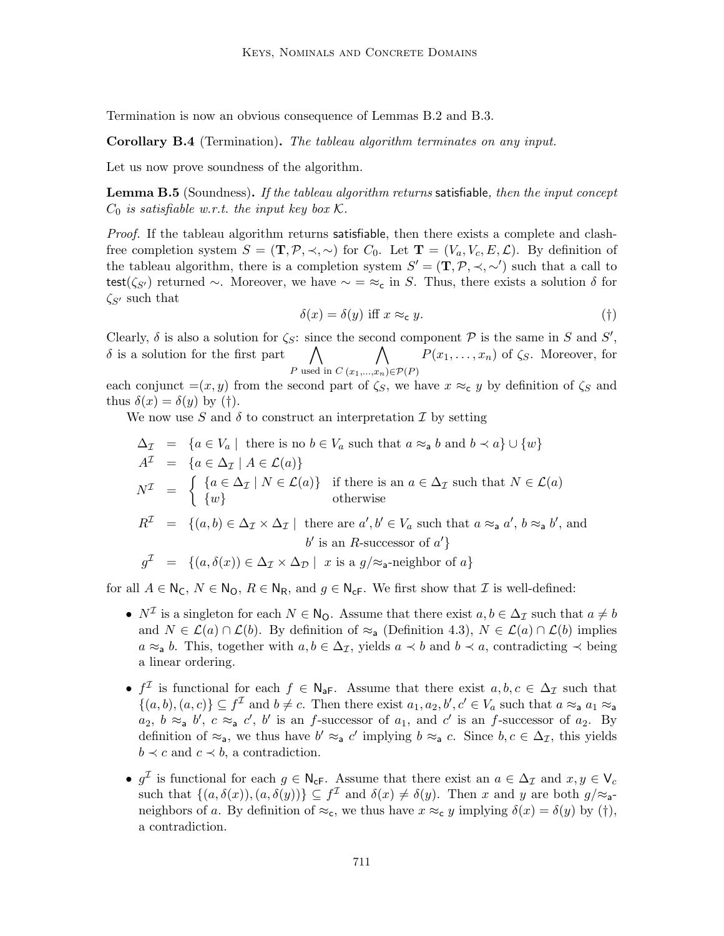Termination is now an obvious consequence of Lemmas B.2 and B.3.

Corollary B.4 (Termination). The tableau algorithm terminates on any input.

Let us now prove soundness of the algorithm.

**Lemma B.5** (Soundness). If the tableau algorithm returns satisfiable, then the input concept  $C_0$  is satisfiable w.r.t. the input key box K.

Proof. If the tableau algorithm returns satisfiable, then there exists a complete and clashfree completion system  $S = (\mathbf{T}, \mathcal{P}, \prec, \sim)$  for  $C_0$ . Let  $\mathbf{T} = (V_a, V_c, E, \mathcal{L})$ . By definition of the tableau algorithm, there is a completion system  $S' = (\mathbf{T}, \mathcal{P}, \prec, \sim')$  such that a call to test( $\zeta_{S'}$ ) returned ∼. Moreover, we have  $\sim = \approx_c$  in S. Thus, there exists a solution  $\delta$  for  $\zeta_{S'}$  such that

$$
\delta(x) = \delta(y) \text{ iff } x \approx_{\mathbf{c}} y. \tag{\dagger}
$$

Clearly,  $\delta$  is also a solution for  $\zeta_{\mathcal{S}}$ : since the second component  $\mathcal P$  is the same in S and S',  $\delta$  is a solution for the first part P used in C  $\wedge$  $(x_1,...,x_n) \in \mathcal{P}(P)$  $P(x_1, \ldots, x_n)$  of  $\zeta_S$ . Moreover, for

each conjunct  $=(x, y)$  from the second part of  $\zeta_s$ , we have  $x \approx_{\mathbf{c}} y$  by definition of  $\zeta_s$  and thus  $\delta(x) = \delta(y)$  by (†).

We now use S and  $\delta$  to construct an interpretation I by setting

$$
\Delta_{\mathcal{I}} = \{a \in V_a \mid \text{ there is no } b \in V_a \text{ such that } a \approx_a b \text{ and } b \prec a\} \cup \{w\}
$$
  
\n
$$
A^{\mathcal{I}} = \{a \in \Delta_{\mathcal{I}} \mid A \in \mathcal{L}(a)\}
$$
  
\n
$$
N^{\mathcal{I}} = \begin{cases} \{a \in \Delta_{\mathcal{I}} \mid N \in \mathcal{L}(a)\} & \text{if there is an } a \in \Delta_{\mathcal{I}} \text{ such that } N \in \mathcal{L}(a) \\ \{w\} & \text{otherwise} \end{cases}
$$
  
\n
$$
R^{\mathcal{I}} = \{(a, b) \in \Delta_{\mathcal{I}} \times \Delta_{\mathcal{I}} \mid \text{ there are } a', b' \in V_a \text{ such that } a \approx_a a', b \approx_a b', \text{ and } b' \text{ is an } R\text{-successor of } a'\}
$$
  
\n
$$
g^{\mathcal{I}} = \{(a, \delta(x)) \in \Delta_{\mathcal{I}} \times \Delta_{\mathcal{D}} \mid x \text{ is a } g/\approx_a\text{-neighbor of } a\}
$$

for all  $A \in N_{\mathsf{C}}$ ,  $N \in N_{\mathsf{O}}$ ,  $R \in N_{\mathsf{R}}$ , and  $g \in N_{\mathsf{c}\mathsf{F}}$ . We first show that  $\mathcal I$  is well-defined:

- $N^{\mathcal{I}}$  is a singleton for each  $N \in \mathbb{N}_{\mathbb{O}}$ . Assume that there exist  $a, b \in \Delta_{\mathcal{I}}$  such that  $a \neq b$ and  $N \in \mathcal{L}(a) \cap \mathcal{L}(b)$ . By definition of  $\approx_a$  (Definition 4.3),  $N \in \mathcal{L}(a) \cap \mathcal{L}(b)$  implies  $a \approx_a b$ . This, together with  $a, b \in \Delta_{\mathcal{I}}$ , yields  $a \prec b$  and  $b \prec a$ , contradicting  $\prec$  being a linear ordering.
- $f^{\mathcal{I}}$  is functional for each  $f \in \mathbb{N}_{a}$ . Assume that there exist  $a, b, c \in \Delta_{\mathcal{I}}$  such that  $\{(a, b), (a, c)\}\subseteq f^{\mathcal{I}}$  and  $b \neq c$ . Then there exist  $a_1, a_2, b', c' \in V_a$  such that  $a \approx_a a_1 \approx_a a$  $a_2, b \approx_a b', c \approx_a c', b'$  is an f-successor of  $a_1$ , and  $c'$  is an f-successor of  $a_2$ . By definition of  $\approx_a$ , we thus have  $b' \approx_a c'$  implying  $b \approx_a c$ . Since  $b, c \in \Delta_{\mathcal{I}}$ , this yields  $b \prec c$  and  $c \prec b$ , a contradiction.
- $g^{\mathcal{I}}$  is functional for each  $g \in \mathsf{N}_{\mathsf{cF}}$ . Assume that there exist an  $a \in \Delta_{\mathcal{I}}$  and  $x, y \in \mathsf{V}_c$ such that  $\{(a,\delta(x)),(a,\delta(y))\}\subseteq f^{\mathcal{I}}$  and  $\delta(x)\neq \delta(y)$ . Then x and y are both  $g/\approx_{\mathsf{a}}$ neighbors of a. By definition of  $\approx_{c}$ , we thus have  $x \approx_{c} y$  implying  $\delta(x) = \delta(y)$  by (†), a contradiction.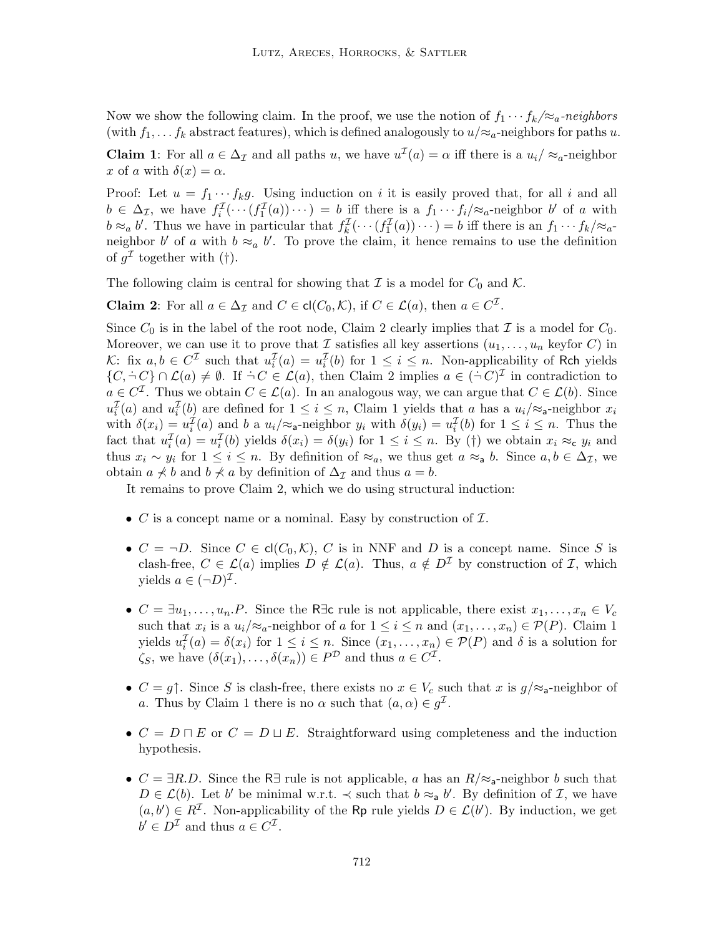Now we show the following claim. In the proof, we use the notion of  $f_1 \cdots f_k / \approx_a$ -neighbors (with  $f_1, \ldots, f_k$  abstract features), which is defined analogously to  $u/\approx_a$ -neighbors for paths u. **Claim 1**: For all  $a \in \Delta_{\mathcal{I}}$  and all paths u, we have  $u^{\mathcal{I}}(a) = \alpha$  iff there is a  $u_i / \approx_a$ -neighbor x of a with  $\delta(x) = \alpha$ .

Proof: Let  $u = f_1 \cdots f_k g$ . Using induction on i it is easily proved that, for all i and all  $b \in \Delta_{\mathcal{I}}$ , we have  $f_i^{\mathcal{I}}(\cdots(f_1^{\mathcal{I}}(a))\cdots) = b$  iff there is a  $f_1 \cdots f_i/\mathfrak{\approx}_a$ -neighbor b' of a with  $b \approx_a b'$ . Thus we have in particular that  $f_k^{\mathcal{I}}(\cdots(f_1^{\mathcal{I}}(a))\cdots) = b$  iff there is an  $f_1 \cdots f_k \approx a^{-1}$ neighbor b' of a with  $b \approx_a b'$ . To prove the claim, it hence remains to use the definition of  $g^{\mathcal{I}}$  together with (†).

The following claim is central for showing that  $\mathcal I$  is a model for  $C_0$  and  $\mathcal K$ .

**Claim 2**: For all  $a \in \Delta_{\mathcal{I}}$  and  $C \in \text{cl}(C_0, \mathcal{K})$ , if  $C \in \mathcal{L}(a)$ , then  $a \in C^{\mathcal{I}}$ .

Since  $C_0$  is in the label of the root node, Claim 2 clearly implies that  $\mathcal I$  is a model for  $C_0$ . Moreover, we can use it to prove that I satisfies all key assertions  $(u_1, \ldots, u_n$  keyfor C) in K: fix  $a, b \in C^{\mathcal{I}}$  such that  $u_i^{\mathcal{I}}(a) = u_i^{\mathcal{I}}(b)$  for  $1 \leq i \leq n$ . Non-applicability of Rch yields  $\{C, \dot{\neg} C\} \cap \mathcal{L}(a) \neq \emptyset$ . If  $\dot{\neg} C \in \mathcal{L}(a)$ , then Claim 2 implies  $a \in (\dot{\neg} C)^{\mathcal{I}}$  in contradiction to  $a \in C^{\mathcal{I}}$ . Thus we obtain  $C \in \mathcal{L}(a)$ . In an analogous way, we can argue that  $C \in \mathcal{L}(b)$ . Since  $u_i^{\mathcal{I}}(a)$  and  $u_i^{\mathcal{I}}(b)$  are defined for  $1 \leq i \leq n$ , Claim 1 yields that a has a  $u_i/\approx$ <sub>a</sub>-neighbor  $x_i$ with  $\delta(x_i) = u_i^{\mathcal{I}}(a)$  and b a  $u_i/\approx$ <sub>a</sub>-neighbor  $y_i$  with  $\delta(y_i) = u_i^{\mathcal{I}}(b)$  for  $1 \leq i \leq n$ . Thus the fact that  $u_i^{\mathcal{I}}(a) = u_i^{\mathcal{I}}(b)$  yields  $\delta(x_i) = \delta(y_i)$  for  $1 \leq i \leq n$ . By (†) we obtain  $x_i \approx_{\mathsf{c}} y_i$  and thus  $x_i \sim y_i$  for  $1 \leq i \leq n$ . By definition of  $\approx_a$ , we thus get  $a \approx_a b$ . Since  $a, b \in \Delta_{\mathcal{I}}$ , we obtain  $a \nless b$  and  $b \nless a$  by definition of  $\Delta_{\mathcal{I}}$  and thus  $a = b$ .

It remains to prove Claim 2, which we do using structural induction:

- $C$  is a concept name or a nominal. Easy by construction of  $\mathcal{I}$ .
- $C = \neg D$ . Since  $C \in cl(C_0, \mathcal{K})$ , C is in NNF and D is a concept name. Since S is clash-free,  $C \in \mathcal{L}(a)$  implies  $D \notin \mathcal{L}(a)$ . Thus,  $a \notin D^{\mathcal{I}}$  by construction of  $\mathcal{I}$ , which yields  $a \in (\neg D)^{\mathcal{I}}$ .
- $C = \exists u_1, \ldots, u_n \ldotp P$ . Since the R∃c rule is not applicable, there exist  $x_1, \ldots, x_n \in V_c$ such that  $x_i$  is a  $u_i/\approx_a$ -neighbor of a for  $1 \leq i \leq n$  and  $(x_1, \ldots, x_n) \in \mathcal{P}(P)$ . Claim 1 yields  $u_i^{\mathcal{I}}(a) = \delta(x_i)$  for  $1 \leq i \leq n$ . Since  $(x_1, \ldots, x_n) \in \mathcal{P}(P)$  and  $\delta$  is a solution for  $\zeta_S$ , we have  $(\delta(x_1), \ldots, \delta(x_n)) \in P^{\mathcal{D}}$  and thus  $a \in C^{\mathcal{I}}$ .
- $C = g \uparrow$ . Since S is clash-free, there exists no  $x \in V_c$  such that x is  $g/\approx a$ -neighbor of a. Thus by Claim 1 there is no  $\alpha$  such that  $(a, \alpha) \in g^{\mathcal{I}}$ .
- $C = D \sqcap E$  or  $C = D \sqcup E$ . Straightforward using completeness and the induction hypothesis.
- $C = \exists R.D$ . Since the R∃ rule is not applicable, a has an  $R/\approx$ <sub>a</sub>-neighbor b such that  $D \in \mathcal{L}(b)$ . Let b' be minimal w.r.t.  $\prec$  such that  $b \approx_a b'$ . By definition of  $\mathcal{I}$ , we have  $(a, b') \in R^{\mathcal{I}}$ . Non-applicability of the Rp rule yields  $D \in \mathcal{L}(b')$ . By induction, we get  $b' \in D^{\mathcal{I}}$  and thus  $a \in C^{\mathcal{I}}$ .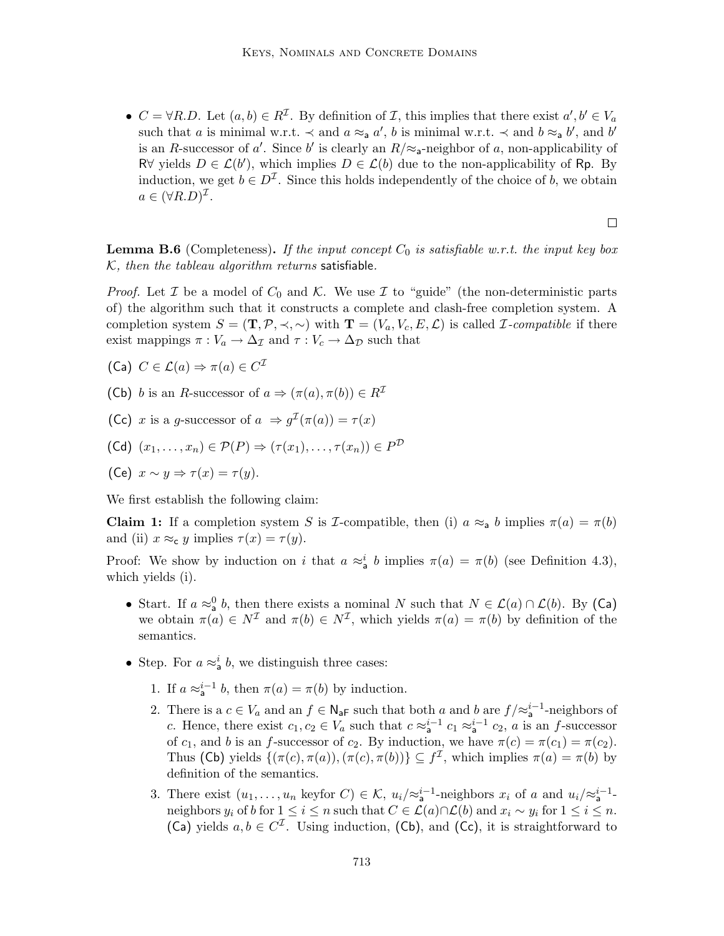•  $C = \forall R.D.$  Let  $(a, b) \in R^{\mathcal{I}}$ . By definition of  $\mathcal{I}$ , this implies that there exist  $a', b' \in V_a$ such that a is minimal w.r.t.  $\prec$  and  $a \approx_a a'$ , b is minimal w.r.t.  $\prec$  and  $b \approx_a b'$ , and b' is an R-successor of a'. Since b' is clearly an  $R/\approx$ <sub>a</sub>-neighbor of a, non-applicability of R∀ yields  $D \in \mathcal{L}(b')$ , which implies  $D \in \mathcal{L}(b)$  due to the non-applicability of Rp. By induction, we get  $b \in D^{\mathcal{I}}$ . Since this holds independently of the choice of b, we obtain  $a \in (\forall R.D)^{\mathcal{I}}.$ 

 $\Box$ 

**Lemma B.6** (Completeness). If the input concept  $C_0$  is satisfiable w.r.t. the input key box  $K$ , then the tableau algorithm returns satisfiable.

*Proof.* Let  $\mathcal I$  be a model of  $C_0$  and  $\mathcal K$ . We use  $\mathcal I$  to "guide" (the non-deterministic parts of) the algorithm such that it constructs a complete and clash-free completion system. A completion system  $S = (\mathbf{T}, \mathcal{P}, \prec, \sim)$  with  $\mathbf{T} = (V_a, V_c, E, \mathcal{L})$  is called *I*-compatible if there exist mappings  $\pi : V_a \to \Delta_{\mathcal{I}}$  and  $\tau : V_c \to \Delta_{\mathcal{D}}$  such that

- (Ca)  $C \in \mathcal{L}(a) \Rightarrow \pi(a) \in C^{\mathcal{I}}$
- (Cb) b is an R-successor of  $a \Rightarrow (\pi(a), \pi(b)) \in R^{\mathcal{I}}$
- (Cc) x is a g-successor of  $a \Rightarrow g^{\mathcal{I}}(\pi(a)) = \tau(x)$

$$
(\mathsf{Cd}) (x_1,\ldots,x_n) \in \mathcal{P}(P) \Rightarrow (\tau(x_1),\ldots,\tau(x_n)) \in P^{\mathcal{D}}
$$

(Ce) 
$$
x \sim y \Rightarrow \tau(x) = \tau(y)
$$
.

We first establish the following claim:

**Claim 1:** If a completion system S is *I*-compatible, then (i)  $a \approx_a b$  implies  $\pi(a) = \pi(b)$ and (ii)  $x \approx_{c} y$  implies  $\tau(x) = \tau(y)$ .

Proof: We show by induction on i that  $a \approx_a^i b$  implies  $\pi(a) = \pi(b)$  (see Definition 4.3), which yields (i).

- Start. If  $a \approx_a^0 b$ , then there exists a nominal N such that  $N \in \mathcal{L}(a) \cap \mathcal{L}(b)$ . By (Ca) we obtain  $\pi(a) \in N^{\mathcal{I}}$  and  $\pi(b) \in N^{\mathcal{I}}$ , which yields  $\pi(a) = \pi(b)$  by definition of the semantics.
- Step. For  $a \approx_a^i b$ , we distinguish three cases:
	- 1. If  $a \approx_a^{i-1} b$ , then  $\pi(a) = \pi(b)$  by induction.
	- 2. There is a  $c \in V_a$  and an  $f \in \mathsf{N}_{\mathsf{a} \mathsf{F}}$  such that both a and b are  $f / \approx_{\mathsf{a}}^{i-1}$ -neighbors of c. Hence, there exist  $c_1, c_2 \in V_a$  such that  $c \approx_a^{i-1} c_1 \approx_a^{i-1} c_2$ , a is an f-successor of  $c_1$ , and b is an f-successor of  $c_2$ . By induction, we have  $\pi(c) = \pi(c_1) = \pi(c_2)$ . Thus (Cb) yields  $\{(\pi(c), \pi(a)), (\pi(c), \pi(b))\} \subseteq f^{\mathcal{I}}$ , which implies  $\pi(a) = \pi(b)$  by definition of the semantics.
	- 3. There exist  $(u_1,\ldots,u_n$  keyfor  $C)\in\mathcal{K}$ ,  $u_i/\approx_{\mathsf{a}}^{i-1}$ -neighbors  $x_i$  of a and  $u_i/\approx_{\mathsf{a}}^{i-1}$ neighbors  $y_i$  of b for  $1 \leq i \leq n$  such that  $C \in \mathcal{L}(a) \cap \mathcal{L}(b)$  and  $x_i \sim y_i$  for  $1 \leq i \leq n$ . (Ca) yields  $a, b \in C^{\mathcal{I}}$ . Using induction, (Cb), and (Cc), it is straightforward to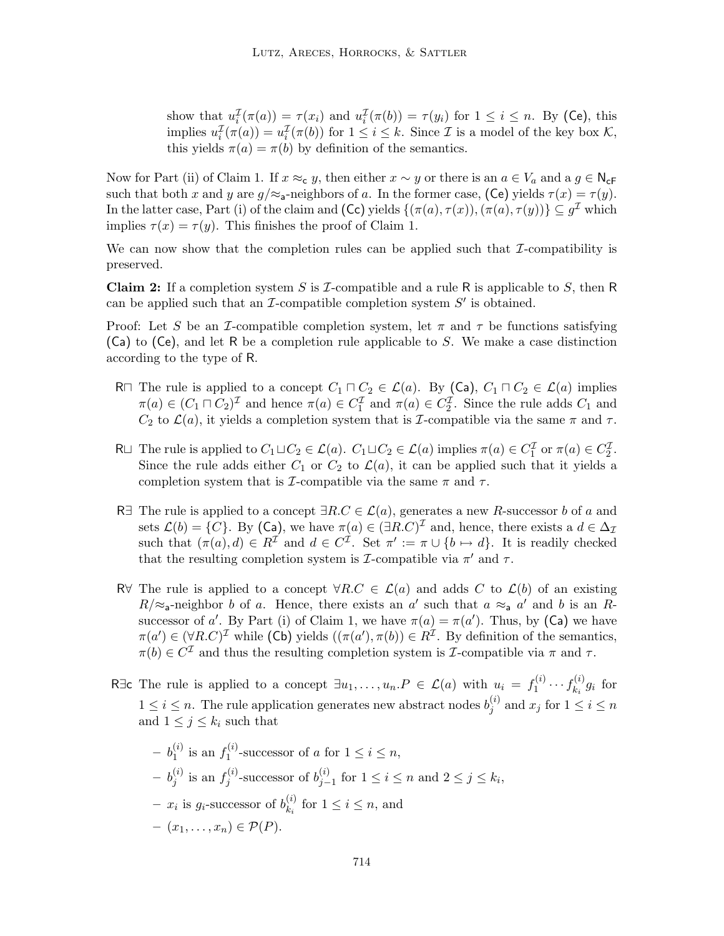show that  $u_i^{\mathcal{I}}(\pi(a)) = \tau(x_i)$  and  $u_i^{\mathcal{I}}(\pi(b)) = \tau(y_i)$  for  $1 \leq i \leq n$ . By (Ce), this  $i \in (u(u)) = \tau(u_i)$  and  $u_i$ implies  $u_i^{\mathcal{I}}(\pi(a)) = u_i^{\mathcal{I}}(\pi(b))$  for  $1 \leq i \leq k$ . Since  $\mathcal{I}$  is a model of the key box  $\mathcal{K}$ , this yields  $\pi(a) = \pi(b)$  by definition of the semantics.

Now for Part (ii) of Claim 1. If  $x \approx_{\mathsf{c}} y$ , then either  $x \sim y$  or there is an  $a \in V_a$  and  $a \in \mathsf{N}_{\mathsf{c}}$ F such that both x and y are  $g/\approx$ <sub>a</sub>-neighbors of a. In the former case, (Ce) yields  $\tau(x) = \tau(y)$ . In the latter case, Part (i) of the claim and (Cc) yields  $\{(\pi(a), \tau(x)),(\pi(a), \tau(y))\}\subseteq g^{\mathcal{I}}$  which implies  $\tau(x) = \tau(y)$ . This finishes the proof of Claim 1.

We can now show that the completion rules can be applied such that  $\mathcal{I}$ -compatibility is preserved.

**Claim 2:** If a completion system S is  $\mathcal{I}$ -compatible and a rule R is applicable to S, then R can be applied such that an  $\mathcal I$ -compatible completion system  $S'$  is obtained.

Proof: Let S be an I-compatible completion system, let  $\pi$  and  $\tau$  be functions satisfying (Ca) to (Ce), and let R be a completion rule applicable to S. We make a case distinction according to the type of R.

- R $\sqcap$  The rule is applied to a concept  $C_1 \sqcap C_2 \in \mathcal{L}(a)$ . By (Ca),  $C_1 \sqcap C_2 \in \mathcal{L}(a)$  implies  $\pi(a) \in (C_1 \sqcap C_2)^{\mathcal{I}}$  and hence  $\pi(a) \in C_1^{\mathcal{I}}$  and  $\pi(a) \in C_2^{\mathcal{I}}$ . Since the rule adds  $C_1$  and  $C_2$  to  $\mathcal{L}(a)$ , it yields a completion system that is *I*-compatible via the same  $\pi$  and  $\tau$ .
- R $\sqcup$  The rule is applied to  $C_1 \sqcup C_2 \in \mathcal{L}(a)$ .  $C_1 \sqcup C_2 \in \mathcal{L}(a)$  implies  $\pi(a) \in C_1^{\mathcal{I}}$  or  $\pi(a) \in C_2^{\mathcal{I}}$ . Since the rule adds either  $C_1$  or  $C_2$  to  $\mathcal{L}(a)$ , it can be applied such that it yields a completion system that is *I*-compatible via the same  $\pi$  and  $\tau$ .
- R∃ The rule is applied to a concept  $\exists R.C \in \mathcal{L}(a)$ , generates a new R-successor b of a and sets  $\mathcal{L}(b) = \{C\}$ . By (Ca), we have  $\pi(a) \in (\exists R.C)^{\mathcal{I}}$  and, hence, there exists a  $d \in \Delta_{\mathcal{I}}$ such that  $(\pi(a), d) \in R^{\mathcal{I}}$  and  $d \in C^{\mathcal{I}}$ . Set  $\pi' := \pi \cup \{b \mapsto d\}$ . It is readily checked that the resulting completion system is  $\mathcal{I}$ -compatible via  $\pi'$  and  $\tau$ .
- R∀ The rule is applied to a concept  $\forall R.C \in \mathcal{L}(a)$  and adds C to  $\mathcal{L}(b)$  of an existing  $R/\approx$ <sub>a</sub>-neighbor b of a. Hence, there exists an a' such that  $a \approx$ <sub>a</sub> a' and b is an Rsuccessor of a'. By Part (i) of Claim 1, we have  $\pi(a) = \pi(a')$ . Thus, by (Ca) we have  $\pi(a') \in (\forall R.C)^{\mathcal{I}}$  while (Cb) yields  $((\pi(a'), \pi(b)) \in R^{\mathcal{I}}$ . By definition of the semantics,  $\pi(b) \in C^{\mathcal{I}}$  and thus the resulting completion system is *I*-compatible via  $\pi$  and  $\tau$ .
- R $\exists$ c The rule is applied to a concept  $\exists u_1, \ldots, u_n \in \mathcal{L}(a)$  with  $u_i = f_1^{(i)}$  $f_1^{(i)} \cdots f_{k_i}^{(i)}$  $x_i^{(i)} g_i$  for  $1 \leq i \leq n$ . The rule application generates new abstract nodes  $b_i^{(i)}$  $j^{(i)}$  and  $x_j$  for  $1 \leq i \leq n$ and  $1 \leq j \leq k_i$  such that

$$
- b_1^{(i)}
$$
 is an  $f_1^{(i)}$ -successor of  $a$  for  $1 \le i \le n$ ,  
\n
$$
- b_j^{(i)}
$$
 is an  $f_j^{(i)}$ -successor of  $b_{j-1}^{(i)}$  for  $1 \le i \le n$  and  $2 \le j \le k_i$ ,  
\n
$$
- x_i
$$
 is  $g_i$ -successor of  $b_{k_i}^{(i)}$  for  $1 \le i \le n$ , and  
\n
$$
- (x_1, \ldots, x_n) \in \mathcal{P}(P).
$$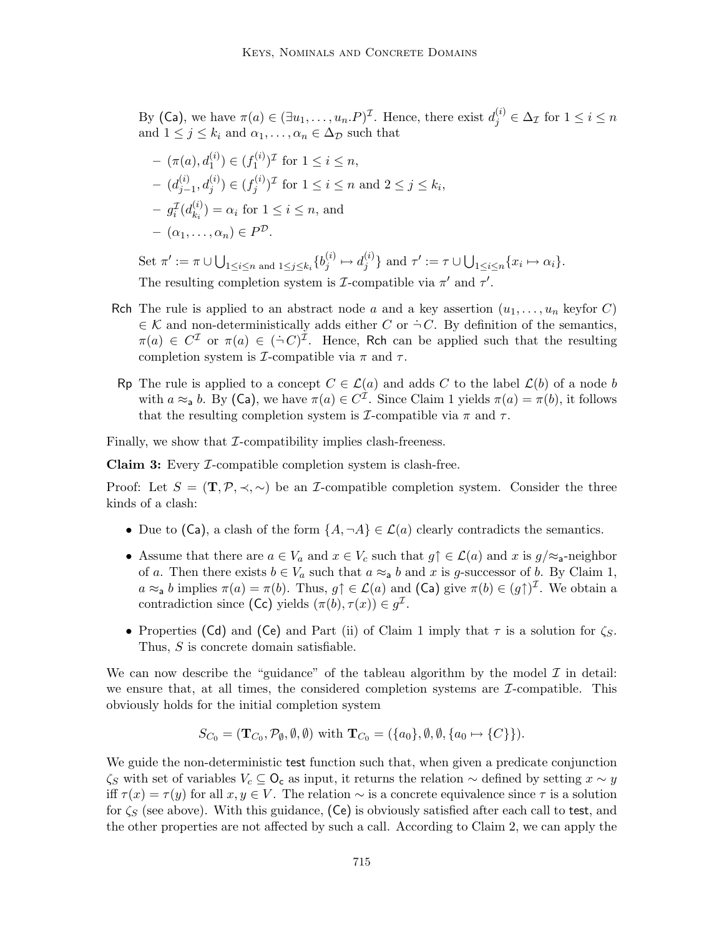By (Ca), we have  $\pi(a) \in (\exists u_1, \ldots, u_n.P)^{\mathcal{I}}$ . Hence, there exist  $d_j^{(i)} \in \Delta_{\mathcal{I}}$  for  $1 \leq i \leq n$ and  $1 \leq j \leq k_i$  and  $\alpha_1, \ldots, \alpha_n \in \Delta_{\mathcal{D}}$  such that

$$
- (\pi(a), d_1^{(i)}) \in (f_1^{(i)})^{\mathcal{I}} \text{ for } 1 \le i \le n,
$$
  
\n
$$
- (d_{j-1}^{(i)}, d_j^{(i)}) \in (f_j^{(i)})^{\mathcal{I}} \text{ for } 1 \le i \le n \text{ and } 2 \le j \le k_i,
$$
  
\n
$$
- g_i^{\mathcal{I}}(d_{k_i}^{(i)}) = \alpha_i \text{ for } 1 \le i \le n, \text{ and }
$$
  
\n
$$
- (\alpha_1, \dots, \alpha_n) \in P^{\mathcal{D}}.
$$

Set  $\pi':=\pi\cup\bigcup_{1\leq i\leq n\text{ and }1\leq j\leq k_{i}}\{b_{j}^{(i)}\}$  $j^{(i)} \mapsto d_j^{(i)}$  $\{y^{(i)}\}$  and  $\tau' := \tau \cup \bigcup_{1 \leq i \leq n} \{x_i \mapsto \alpha_i\}.$ The resulting completion system is *I*-compatible via  $\pi'$  and  $\tau'$ .

- Rch The rule is applied to an abstract node a and a key assertion  $(u_1, \ldots, u_n$  keyfor C)  $\in \mathcal{K}$  and non-deterministically adds either C or  $\dot{\neg} C$ . By definition of the semantics,  $\pi(a) \in C^{\mathcal{I}}$  or  $\pi(a) \in (\dot{\neg} C)^{\mathcal{I}}$ . Hence, Rch can be applied such that the resulting completion system is *I*-compatible via  $\pi$  and  $\tau$ .
- Rp The rule is applied to a concept  $C \in \mathcal{L}(a)$  and adds C to the label  $\mathcal{L}(b)$  of a node b with  $a \approx_a b$ . By (Ca), we have  $\pi(a) \in C^{\mathcal{I}}$ . Since Claim 1 yields  $\pi(a) = \pi(b)$ , it follows that the resulting completion system is  $\mathcal{I}$ -compatible via  $\pi$  and  $\tau$ .

Finally, we show that  $\mathcal{I}$ -compatibility implies clash-freeness.

Claim 3: Every I-compatible completion system is clash-free.

Proof: Let  $S = (\mathbf{T}, \mathcal{P}, \prec, \sim)$  be an *I*-compatible completion system. Consider the three kinds of a clash:

- Due to (Ca), a clash of the form  $\{A, \neg A\} \in \mathcal{L}(a)$  clearly contradicts the semantics.
- Assume that there are  $a \in V_a$  and  $x \in V_c$  such that  $g \uparrow \in \mathcal{L}(a)$  and x is  $g/\approx a$ -neighbor of a. Then there exists  $b \in V_a$  such that  $a \approx_a b$  and x is g-successor of b. By Claim 1,  $a \approx_a b$  implies  $\pi(a) = \pi(b)$ . Thus,  $g \uparrow \in \mathcal{L}(a)$  and  $(Ca)$  give  $\pi(b) \in (g \uparrow)^{\mathcal{I}}$ . We obtain a contradiction since (Cc) yields  $(\pi(b), \tau(x)) \in g^{\mathcal{I}}$ .
- Properties (Cd) and (Ce) and Part (ii) of Claim 1 imply that  $\tau$  is a solution for  $\zeta_s$ . Thus, S is concrete domain satisfiable.

We can now describe the "guidance" of the tableau algorithm by the model  $\mathcal I$  in detail: we ensure that, at all times, the considered completion systems are  $\mathcal{I}$ -compatible. This obviously holds for the initial completion system

$$
S_{C_0} = (\mathbf{T}_{C_0}, \mathcal{P}_{\emptyset}, \emptyset, \emptyset) \text{ with } \mathbf{T}_{C_0} = (\{a_0\}, \emptyset, \emptyset, \{a_0 \mapsto \{C\}\}).
$$

We guide the non-deterministic test function such that, when given a predicate conjunction  $\zeta_S$  with set of variables  $V_c \subseteq \mathsf{O}_c$  as input, it returns the relation  $\sim$  defined by setting  $x \sim y$ iff  $\tau(x) = \tau(y)$  for all  $x, y \in V$ . The relation  $\sim$  is a concrete equivalence since  $\tau$  is a solution for  $\zeta_S$  (see above). With this guidance, (Ce) is obviously satisfied after each call to test, and the other properties are not affected by such a call. According to Claim 2, we can apply the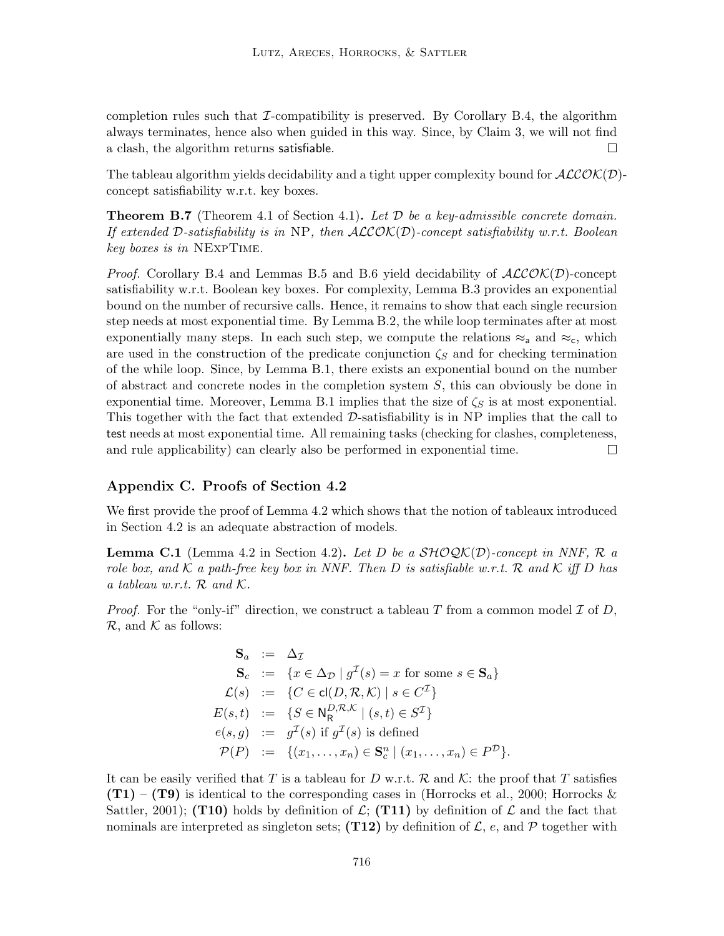completion rules such that  $\mathcal I$ -compatibility is preserved. By Corollary B.4, the algorithm always terminates, hence also when guided in this way. Since, by Claim 3, we will not find  $\Box$ a clash, the algorithm returns satisfiable.

The tableau algorithm yields decidability and a tight upper complexity bound for  $ALCOK(D)$ concept satisfiability w.r.t. key boxes.

**Theorem B.7** (Theorem 4.1 of Section 4.1). Let  $\mathcal{D}$  be a key-admissible concrete domain. If extended D-satisfiability is in NP, then  $ALCOK(\mathcal{D})$ -concept satisfiability w.r.t. Boolean key boxes is in NExpTime.

*Proof.* Corollary B.4 and Lemmas B.5 and B.6 yield decidability of  $ALCOK(D)$ -concept satisfiability w.r.t. Boolean key boxes. For complexity, Lemma B.3 provides an exponential bound on the number of recursive calls. Hence, it remains to show that each single recursion step needs at most exponential time. By Lemma B.2, the while loop terminates after at most exponentially many steps. In each such step, we compute the relations  $\approx_a$  and  $\approx_c$ , which are used in the construction of the predicate conjunction  $\zeta_{\mathcal{S}}$  and for checking termination of the while loop. Since, by Lemma B.1, there exists an exponential bound on the number of abstract and concrete nodes in the completion system  $S$ , this can obviously be done in exponential time. Moreover, Lemma B.1 implies that the size of  $\zeta_{\mathcal{S}}$  is at most exponential. This together with the fact that extended  $\mathcal{D}$ -satisfiability is in NP implies that the call to test needs at most exponential time. All remaining tasks (checking for clashes, completeness, and rule applicability) can clearly also be performed in exponential time.  $\Box$ 

# Appendix C. Proofs of Section 4.2

We first provide the proof of Lemma 4.2 which shows that the notion of tableaux introduced in Section 4.2 is an adequate abstraction of models.

**Lemma C.1** (Lemma 4.2 in Section 4.2). Let D be a  $\mathcal{SHOQK}(\mathcal{D})$ -concept in NNF, R a role box, and K a path-free key box in NNF. Then D is satisfiable w.r.t. R and K iff D has a tableau w.r.t.  $\mathcal{R}$  and  $\mathcal{K}$ .

*Proof.* For the "only-if" direction, we construct a tableau T from a common model  $\mathcal I$  of  $D$ ,  $\mathcal{R}$ , and  $\mathcal{K}$  as follows:

$$
\begin{aligned}\n\mathbf{S}_a &:= \Delta_{\mathcal{I}} \\
\mathbf{S}_c &:= \{x \in \Delta_{\mathcal{D}} \mid g^{\mathcal{I}}(s) = x \text{ for some } s \in \mathbf{S}_a\} \\
\mathcal{L}(s) &:= \{C \in \text{cl}(D, \mathcal{R}, \mathcal{K}) \mid s \in C^{\mathcal{I}}\} \\
E(s, t) &:= \{S \in \mathsf{N}_{\mathsf{R}}^{D, \mathcal{R}, \mathcal{K}} \mid (s, t) \in S^{\mathcal{I}}\} \\
e(s, g) &:= g^{\mathcal{I}}(s) \text{ if } g^{\mathcal{I}}(s) \text{ is defined} \\
\mathcal{P}(P) &:= \{(x_1, \dots, x_n) \in \mathbf{S}_c^n \mid (x_1, \dots, x_n) \in P^{\mathcal{D}}\}.\n\end{aligned}
$$

It can be easily verified that T is a tableau for D w.r.t. R and K: the proof that T satisfies  $(T1) - (T9)$  is identical to the corresponding cases in (Horrocks et al., 2000; Horrocks & Sattler, 2001); (T10) holds by definition of  $\mathcal{L}$ ; (T11) by definition of  $\mathcal{L}$  and the fact that nominals are interpreted as singleton sets; (T12) by definition of  $\mathcal{L}$ , e, and  $\mathcal{P}$  together with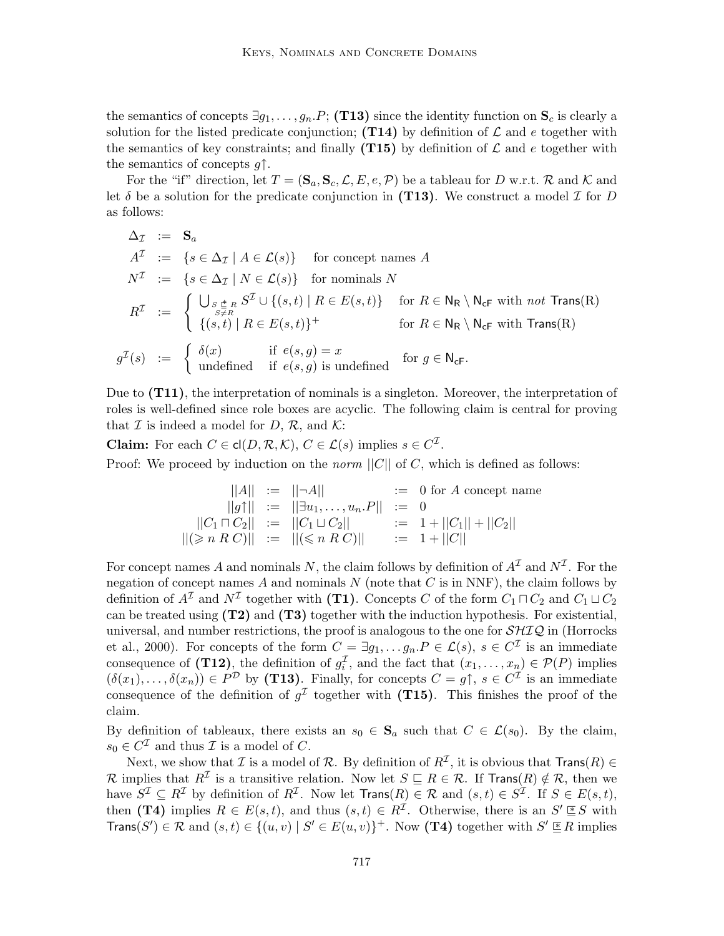the semantics of concepts  $\exists g_1, \ldots, g_n.P; (T13)$  since the identity function on  $S_c$  is clearly a solution for the listed predicate conjunction; (T14) by definition of  $\mathcal L$  and e together with the semantics of key constraints; and finally (T15) by definition of  $\mathcal L$  and e together with the semantics of concepts  $q\uparrow$ .

For the "if" direction, let  $T = (\mathbf{S}_a, \mathbf{S}_c, \mathcal{L}, E, e, \mathcal{P})$  be a tableau for D w.r.t. R and K and let  $\delta$  be a solution for the predicate conjunction in (T13). We construct a model  $\mathcal I$  for  $D$ as follows:

$$
\Delta_{\mathcal{I}} := \mathbf{S}_{a}
$$
\n
$$
A^{\mathcal{I}} := \{ s \in \Delta_{\mathcal{I}} \mid A \in \mathcal{L}(s) \} \quad \text{for concept names } A
$$
\n
$$
N^{\mathcal{I}} := \{ s \in \Delta_{\mathcal{I}} \mid N \in \mathcal{L}(s) \} \quad \text{for nominals } N
$$
\n
$$
R^{\mathcal{I}} := \begin{cases} \bigcup_{\substack{s \stackrel{*}{\in} R \\ s \neq R}} S^{\mathcal{I}} \cup \{ (s, t) \mid R \in E(s, t) \} \quad \text{for } R \in \mathbb{N}_{\mathsf{R}} \setminus \mathbb{N}_{\mathsf{cF}} \text{ with } not \mathsf{Trans}(\mathsf{R}) \\\{ (s, t) \mid R \in E(s, t) \}^+ \quad \text{for } R \in \mathbb{N}_{\mathsf{R}} \setminus \mathbb{N}_{\mathsf{cF}} \text{ with } \mathsf{Trans}(\mathsf{R}) \end{cases}
$$
\n
$$
g^{\mathcal{I}}(s) := \begin{cases} \delta(x) & \text{if } e(s, g) = x \\ \text{undefined} & \text{if } e(s, g) \text{ is undefined} \end{cases} \quad \text{for } g \in \mathbb{N}_{\mathsf{cF}}.
$$

Due to  $(T11)$ , the interpretation of nominals is a singleton. Moreover, the interpretation of roles is well-defined since role boxes are acyclic. The following claim is central for proving that  $\mathcal I$  is indeed a model for  $D, \mathcal R$ , and  $\mathcal K$ :

**Claim:** For each  $C \in \text{cl}(D, \mathcal{R}, \mathcal{K}), C \in \mathcal{L}(s)$  implies  $s \in C^{\mathcal{I}}$ .

Proof: We proceed by induction on the *norm*  $||C||$  of C, which is defined as follows:

$$
||A|| := ||\neg A|| := 0 \text{ for } A \text{ concept name}
$$
  
\n
$$
||g\uparrow|| := ||\exists u_1, \dots, u_n.P|| := 0
$$
  
\n
$$
||C_1 \sqcap C_2|| := ||C_1 \sqcup C_2|| := 1 + ||C_1|| + ||C_2||
$$
  
\n
$$
||(\geq n \ R \ C)|| := ||(\leq n \ R \ C)|| = 1 + ||C||
$$

For concept names A and nominals N, the claim follows by definition of  $A<sup>\mathcal{I}</sup>$  and  $N<sup>\mathcal{I}</sup>$ . For the negation of concept names  $A$  and nominals  $N$  (note that  $C$  is in NNF), the claim follows by definition of  $A^{\mathcal{I}}$  and  $N^{\mathcal{I}}$  together with (T1). Concepts C of the form  $C_1 \sqcap C_2$  and  $C_1 \sqcup C_2$ can be treated using  $(T2)$  and  $(T3)$  together with the induction hypothesis. For existential, universal, and number restrictions, the proof is analogous to the one for  $\mathcal{SHIQ}$  in (Horrocks) et al., 2000). For concepts of the form  $C = \exists g_1, \ldots g_n.P \in \mathcal{L}(s)$ ,  $s \in C^{\mathcal{I}}$  is an immediate consequence of (T12), the definition of  $g_i^{\mathcal{I}}$ , and the fact that  $(x_1, \ldots, x_n) \in \mathcal{P}(P)$  implies  $(\delta(x_1),\ldots,\delta(x_n))\in P^{\mathcal{D}}$  by (T13). Finally, for concepts  $C=g\uparrow, s\in C^{\mathcal{I}}$  is an immediate consequence of the definition of  $g<sup>\mathcal{I}</sup>$  together with (T15). This finishes the proof of the claim.

By definition of tableaux, there exists an  $s_0 \in \mathbf{S}_a$  such that  $C \in \mathcal{L}(s_0)$ . By the claim,  $s_0 \in C^{\mathcal{I}}$  and thus  $\mathcal{I}$  is a model of C.

Next, we show that  $\mathcal I$  is a model of  $\mathcal R$ . By definition of  $R^{\mathcal I}$ , it is obvious that  $\mathsf{Trans}(R) \in$ R implies that  $R^{\mathcal{I}}$  is a transitive relation. Now let  $S \subseteq R \in \mathcal{R}$ . If Trans $(R) \notin \mathcal{R}$ , then we have  $S^{\mathcal{I}} \subseteq R^{\mathcal{I}}$  by definition of  $R^{\mathcal{I}}$ . Now let  $\text{Trans}(R) \in \mathcal{R}$  and  $(s, t) \in S^{\mathcal{I}}$ . If  $S \in E(s, t)$ , then (T4) implies  $R \in E(s,t)$ , and thus  $(s,t) \in R^{\mathcal{I}}$ . Otherwise, there is an  $S' \leq S$  with  $\textsf{Trans}(S') \in \mathcal{R}$  and  $(s, t) \in \{(u, v) \mid S' \in E(u, v)\}^+$ . Now (T4) together with  $S' \subseteq R$  implies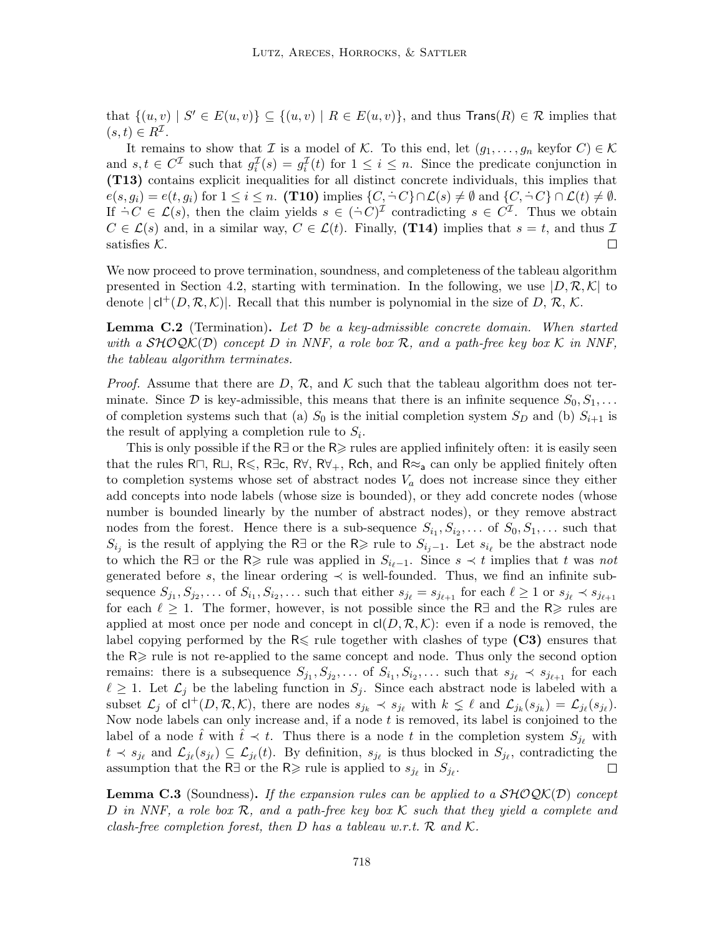that  $\{(u, v) | S' \in E(u, v)\} \subseteq \{(u, v) | R \in E(u, v)\}\$ , and thus  $\text{Trans}(R) \in \mathcal{R}$  implies that  $(s, t) \in R^{\mathcal{I}}$ .

It remains to show that I is a model of K. To this end, let  $(g_1, \ldots, g_n$  keyfor  $C) \in \mathcal{K}$ and  $s, t \in C^{\mathcal{I}}$  such that  $g_i^{\mathcal{I}}(s) = g_i^{\mathcal{I}}(t)$  for  $1 \leq i \leq n$ . Since the predicate conjunction in (T13) contains explicit inequalities for all distinct concrete individuals, this implies that  $e(s, g_i) = e(t, g_i)$  for  $1 \leq i \leq n$ . (T10) implies  $\{C, \neg C\} \cap \mathcal{L}(s) \neq \emptyset$  and  $\{C, \neg C\} \cap \mathcal{L}(t) \neq \emptyset$ . If  $\dot{\neg} C \in \mathcal{L}(s)$ , then the claim yields  $s \in (\dot{\neg} C)^{\mathcal{I}}$  contradicting  $s \in C^{\mathcal{I}}$ . Thus we obtain  $C \in \mathcal{L}(s)$  and, in a similar way,  $C \in \mathcal{L}(t)$ . Finally, (T14) implies that  $s = t$ , and thus  $\mathcal{I}$ satisfies  $K$ .  $\Box$ 

We now proceed to prove termination, soundness, and completeness of the tableau algorithm presented in Section 4.2, starting with termination. In the following, we use  $|D, \mathcal{R}, \mathcal{K}|$  to denote  $|c|^+(D, \mathcal{R}, \mathcal{K})|$ . Recall that this number is polynomial in the size of D, R, K.

**Lemma C.2** (Termination). Let  $\mathcal{D}$  be a key-admissible concrete domain. When started with a  $\mathcal{SHOQK}(D)$  concept D in NNF, a role box R, and a path-free key box K in NNF, the tableau algorithm terminates.

*Proof.* Assume that there are D, R, and K such that the tableau algorithm does not terminate. Since  $\mathcal D$  is key-admissible, this means that there is an infinite sequence  $S_0, S_1, \ldots$ of completion systems such that (a)  $S_0$  is the initial completion system  $S_D$  and (b)  $S_{i+1}$  is the result of applying a completion rule to  $S_i$ .

This is only possible if the R $\exists$  or the R $\geq$  rules are applied infinitely often: it is easily seen that the rules R $\neg$ , R $\Box$ , R $\leq$ , R $\forall$ , R $\forall$ , R $\forall$ <sub>+</sub>, Rch, and R $\approx$ <sub>a</sub> can only be applied finitely often to completion systems whose set of abstract nodes  $V_a$  does not increase since they either add concepts into node labels (whose size is bounded), or they add concrete nodes (whose number is bounded linearly by the number of abstract nodes), or they remove abstract nodes from the forest. Hence there is a sub-sequence  $S_{i_1}, S_{i_2}, \ldots$  of  $S_0, S_1, \ldots$  such that  $S_{i_j}$  is the result of applying the R∃ or the R≥ rule to  $S_{i_j-1}$ . Let  $s_{i_\ell}$  be the abstract node to which the R∃ or the R≥ rule was applied in  $S_{i_{\ell}-1}$ . Since  $s \prec t$  implies that t was not generated before s, the linear ordering  $\prec$  is well-founded. Thus, we find an infinite subsequence  $S_{j_1}, S_{j_2}, \ldots$  of  $S_{i_1}, S_{i_2}, \ldots$  such that either  $s_{j_\ell} = s_{j_{\ell+1}}$  for each  $\ell \geq 1$  or  $s_{j_\ell} \prec s_{j_{\ell+1}}$ for each  $\ell \geq 1$ . The former, however, is not possible since the R $\exists$  and the R $\geq$  rules are applied at most once per node and concept in  $\mathsf{cl}(D, \mathcal{R}, \mathcal{K})$ : even if a node is removed, the label copying performed by the  $R \leq$  rule together with clashes of type (C3) ensures that the  $R \geq$  rule is not re-applied to the same concept and node. Thus only the second option remains: there is a subsequence  $S_{j_1}, S_{j_2}, \ldots$  of  $S_{i_1}, S_{i_2}, \ldots$  such that  $s_{j_\ell} \prec s_{j_{\ell+1}}$  for each  $\ell \geq 1$ . Let  $\mathcal{L}_j$  be the labeling function in  $S_j$ . Since each abstract node is labeled with a subset  $\mathcal{L}_j$  of  $\mathsf{cl}^+(D, \mathcal{R}, \mathcal{K})$ , there are nodes  $s_{j_k} \prec s_{j_\ell}$  with  $k \leq \ell$  and  $\mathcal{L}_{j_k}(s_{j_k}) = \mathcal{L}_{j_\ell}(s_{j_\ell})$ . Now node labels can only increase and, if a node  $t$  is removed, its label is conjoined to the label of a node  $\hat{t}$  with  $\hat{t} \prec t$ . Thus there is a node t in the completion system  $S_{i_k}$  with  $t \prec s_{j_\ell}$  and  $\mathcal{L}_{j_\ell}(s_{j_\ell}) \subseteq \mathcal{L}_{j_\ell}(t)$ . By definition,  $s_{j_\ell}$  is thus blocked in  $S_{j_\ell}$ , contradicting the assumption that the R∃ or the R≥ rule is applied to  $s_{j_\ell}$  in  $S_{j_\ell}$ .  $\Box$ 

**Lemma C.3** (Soundness). If the expansion rules can be applied to a  $\mathcal{SHOQK}(D)$  concept D in NNF, a role box  $\mathcal R$ , and a path-free key box  $\mathcal K$  such that they yield a complete and clash-free completion forest, then D has a tableau w.r.t.  $\mathcal{R}$  and  $\mathcal{K}$ .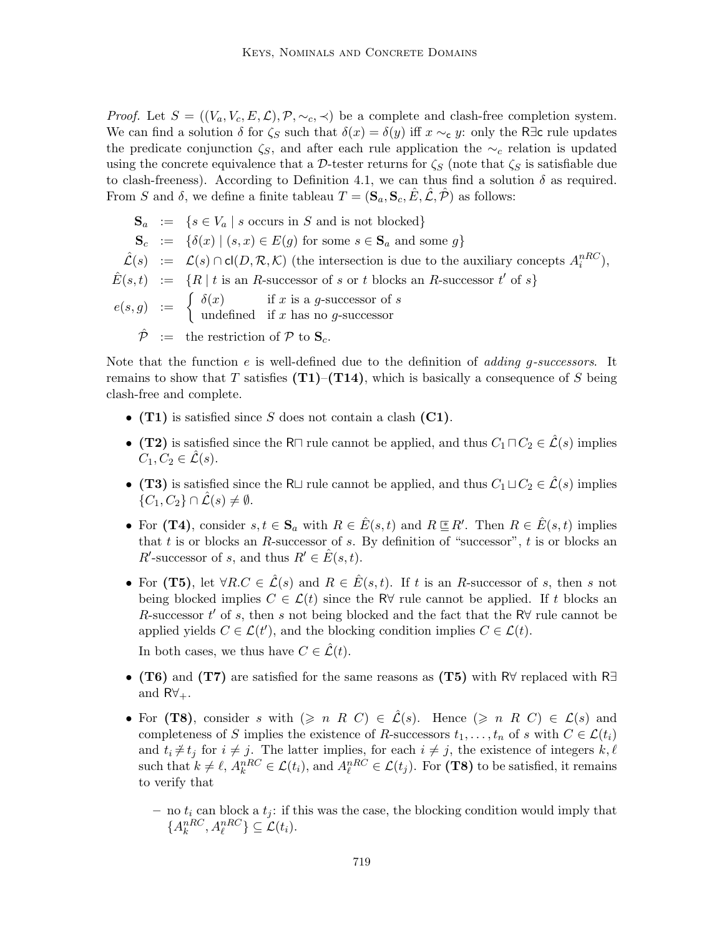*Proof.* Let  $S = ((V_a, V_c, E, \mathcal{L}), \mathcal{P}, \sim_c, \prec)$  be a complete and clash-free completion system. We can find a solution  $\delta$  for  $\zeta_s$  such that  $\delta(x) = \delta(y)$  iff  $x \sim_{\mathbf{c}} y$ : only the R∃c rule updates the predicate conjunction  $\zeta_s$ , and after each rule application the  $\sim_c$  relation is updated using the concrete equivalence that a D-tester returns for  $\zeta_S$  (note that  $\zeta_S$  is satisfiable due to clash-freeness). According to Definition 4.1, we can thus find a solution  $\delta$  as required. From S and  $\delta$ , we define a finite tableau  $T = (\mathbf{S}_a, \mathbf{S}_c, \hat{E}, \hat{\mathcal{L}}, \hat{\mathcal{P}})$  as follows:

$$
\begin{aligned}\n\mathbf{S}_a &:= \{ s \in V_a \mid s \text{ occurs in } S \text{ and is not blocked} \} \\
\mathbf{S}_c &:= \{ \delta(x) \mid (s, x) \in E(g) \text{ for some } s \in \mathbf{S}_a \text{ and some } g \} \\
\hat{\mathcal{L}}(s) &:= \mathcal{L}(s) \cap \text{cl}(D, \mathcal{R}, \mathcal{K}) \text{ (the intersection is due to the auxiliary concepts } A_i^{nRC}), \\
\hat{E}(s, t) &:= \{ R \mid t \text{ is an } R\text{-successor of } s \text{ or } t \text{ blocks an } R\text{-successor } t' \text{ of } s \} \\
e(s, g) &:= \begin{cases}\n\delta(x) & \text{if } x \text{ is a } g\text{-successor of } s \\
\text{undefined} & \text{if } x \text{ has no } g\text{-successor}\n\end{cases} \\
\hat{\mathcal{P}} &:= \text{ the restriction of } \mathcal{P} \text{ to } \mathbf{S}_c.\n\end{aligned}
$$

Note that the function  $e$  is well-defined due to the definition of *adding g-successors*. It remains to show that T satisfies  $(T1)$ – $(T14)$ , which is basically a consequence of S being clash-free and complete.

- (T1) is satisfied since S does not contain a clash  $(C1)$ .
- (T2) is satisfied since the R $\sqcap$  rule cannot be applied, and thus  $C_1 \sqcap C_2 \in \hat{\mathcal{L}}(s)$  implies  $C_1, C_2 \in \mathcal{L}(s)$ .
- (T3) is satisfied since the R $\sqcup$  rule cannot be applied, and thus  $C_1 \sqcup C_2 \in \mathcal{L}(s)$  implies  $\{C_1, C_2\} \cap \hat{\mathcal{L}}(s) \neq \emptyset.$
- For (T4), consider  $s, t \in \mathbf{S}_a$  with  $R \in \hat{E}(s,t)$  and  $R \subseteq R'$ . Then  $R \in \hat{E}(s,t)$  implies that t is or blocks an R-successor of s. By definition of "successor",  $t$  is or blocks an R'-successor of s, and thus  $R' \in \hat{E}(s,t)$ .
- For (T5), let  $\forall R.C \in \hat{\mathcal{L}}(s)$  and  $R \in \hat{E}(s,t)$ . If t is an R-successor of s, then s not being blocked implies  $C \in \mathcal{L}(t)$  since the R $\forall$  rule cannot be applied. If t blocks an R-successor  $t'$  of s, then s not being blocked and the fact that the R $\forall$  rule cannot be applied yields  $C \in \mathcal{L}(t')$ , and the blocking condition implies  $C \in \mathcal{L}(t)$ .

In both cases, we thus have  $C \in \hat{\mathcal{L}}(t)$ .

- (T6) and (T7) are satisfied for the same reasons as (T5) with R $\forall$  replaced with R $\exists$ and  $R\forall_{+}$ .
- For (T8), consider s with  $(\geq n \ R \ C) \in \mathcal{L}(s)$ . Hence  $(\geq n \ R \ C) \in \mathcal{L}(s)$  and completeness of S implies the existence of R-successors  $t_1, \ldots, t_n$  of s with  $C \in \mathcal{L}(t_i)$ and  $t_i \neq t_j$  for  $i \neq j$ . The latter implies, for each  $i \neq j$ , the existence of integers  $k, \ell$ such that  $k \neq \ell$ ,  $A_k^{nRC} \in \mathcal{L}(t_i)$ , and  $A_\ell^{nRC} \in \mathcal{L}(t_j)$ . For (T8) to be satisfied, it remains to verify that
	- no  $t_i$  can block a  $t_i$ : if this was the case, the blocking condition would imply that  $\{A_k^{nRC}, A_\ell^{nRC}\}\subseteq \mathcal{L}(t_i).$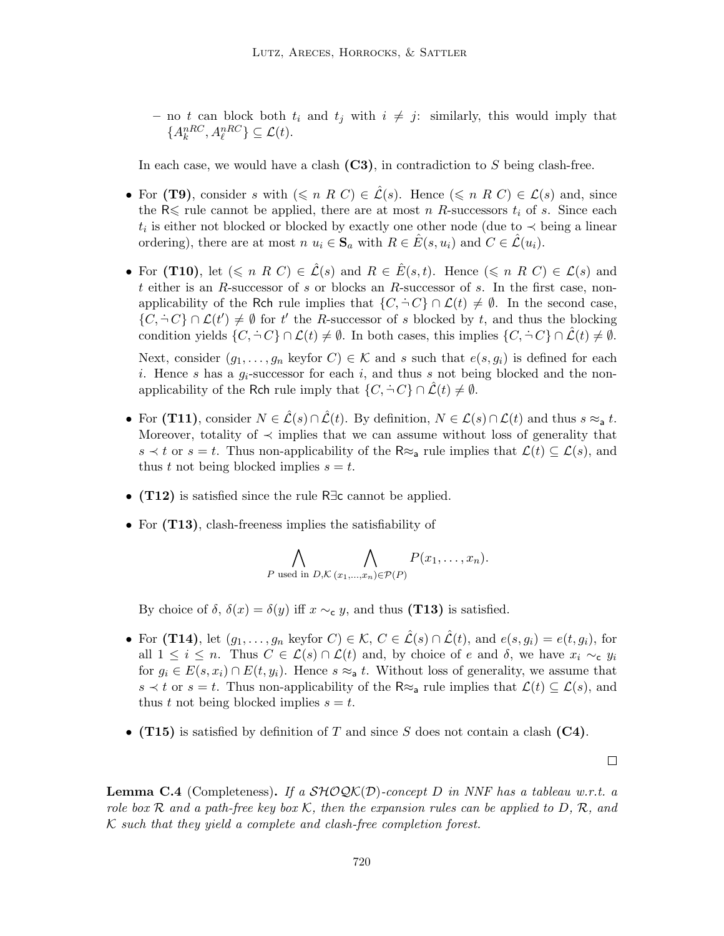– no t can block both  $t_i$  and  $t_j$  with  $i \neq j$ : similarly, this would imply that  $\{A_k^{nRC}, A_\ell^{nRC}\} \subseteq \mathcal{L}(t).$ 

In each case, we would have a clash  $(C3)$ , in contradiction to S being clash-free.

- For (T9), consider s with  $(\leq n \ R \ C) \in \mathcal{L}(s)$ . Hence  $(\leq n \ R \ C) \in \mathcal{L}(s)$  and, since the  $R \leq$  rule cannot be applied, there are at most n R-successors  $t_i$  of s. Since each  $t_i$  is either not blocked or blocked by exactly one other node (due to  $\prec$  being a linear ordering), there are at most  $n u_i \in \mathbf{S}_a$  with  $R \in \hat{E}(s, u_i)$  and  $C \in \mathcal{L}(u_i)$ .
- For (T10), let  $(\leq n \ R \ C) \in \hat{\mathcal{L}}(s)$  and  $R \in \hat{E}(s,t)$ . Hence  $(\leq n \ R \ C) \in \mathcal{L}(s)$  and t either is an R-successor of s or blocks an R-successor of s. In the first case, nonapplicability of the Rch rule implies that  $\{C, \dot{\neg} C\} \cap \mathcal{L}(t) \neq \emptyset$ . In the second case,  $\{C, \dot{\neg} C\} \cap \mathcal{L}(t') \neq \emptyset$  for t' the R-successor of s blocked by t, and thus the blocking condition yields  $\{C, \dot{\neg} C\} \cap \mathcal{L}(t) \neq \emptyset$ . In both cases, this implies  $\{C, \dot{\neg} C\} \cap \mathcal{L}(t) \neq \emptyset$ .

Next, consider  $(g_1, \ldots, g_n \text{ keyfor } C) \in \mathcal{K}$  and s such that  $e(s, g_i)$  is defined for each i. Hence s has a  $g_i$ -successor for each i, and thus s not being blocked and the nonapplicability of the Rch rule imply that  $\{C, \dot{\neg} C\} \cap \mathcal{L}(t) \neq \emptyset$ .

- For (T11), consider  $N \in \mathcal{L}(s) \cap \mathcal{L}(t)$ . By definition,  $N \in \mathcal{L}(s) \cap \mathcal{L}(t)$  and thus  $s \approx_{\text{a}} t$ . Moreover, totality of  $\prec$  implies that we can assume without loss of generality that s  $\lt t$  or  $s = t$ . Thus non-applicability of the R≈<sub>a</sub> rule implies that  $\mathcal{L}(t) \subseteq \mathcal{L}(s)$ , and thus t not being blocked implies  $s = t$ .
- (T12) is satisfied since the rule R∃c cannot be applied.
- For  $(T13)$ , clash-freeness implies the satisfiability of

$$
\bigwedge_{P \text{ used in } D, \mathcal{K}} \bigwedge_{(x_1, \ldots, x_n) \in \mathcal{P}(P)} P(x_1, \ldots, x_n).
$$

By choice of  $\delta$ ,  $\delta(x) = \delta(y)$  iff  $x \sim_{\mathbf{c}} y$ , and thus (T13) is satisfied.

- For (T14), let  $(g_1, \ldots, g_n \text{ keyfor } C) \in \mathcal{K}, C \in \hat{\mathcal{L}}(s) \cap \hat{\mathcal{L}}(t), \text{ and } e(s, g_i) = e(t, g_i), \text{ for }$ all  $1 \leq i \leq n$ . Thus  $C \in \mathcal{L}(s) \cap \mathcal{L}(t)$  and, by choice of e and  $\delta$ , we have  $x_i \sim_{\mathbf{c}} y_i$ for  $g_i \in E(s, x_i) \cap E(t, y_i)$ . Hence  $s \approx_a t$ . Without loss of generality, we assume that s  $\lt t$  or  $s = t$ . Thus non-applicability of the R≈<sub>a</sub> rule implies that  $\mathcal{L}(t) \subseteq \mathcal{L}(s)$ , and thus t not being blocked implies  $s = t$ .
- (T15) is satisfied by definition of T and since S does not contain a clash (C4).

**Lemma C.4** (Completeness). If a  $\mathcal{SHOQK}(D)$ -concept D in NNF has a tableau w.r.t. a role box R and a path-free key box K, then the expansion rules can be applied to D, R, and  $K$  such that they yield a complete and clash-free completion forest.

 $\Box$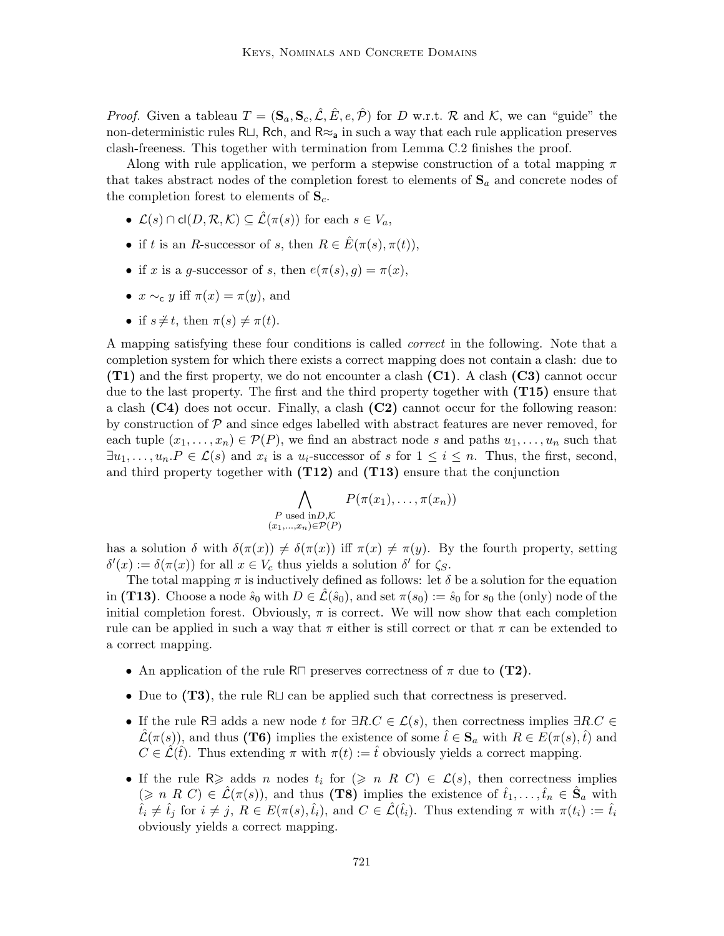*Proof.* Given a tableau  $T = (\mathbf{S}_a, \mathbf{S}_c, \mathcal{L}, \mathcal{L}, \mathcal{L}, e, \mathcal{P})$  for D w.r.t. R and K, we can "guide" the non-deterministic rules R $\Box$ , Rch, and R≈<sub>a</sub> in such a way that each rule application preserves clash-freeness. This together with termination from Lemma C.2 finishes the proof.

Along with rule application, we perform a stepwise construction of a total mapping  $\pi$ that takes abstract nodes of the completion forest to elements of  $S_a$  and concrete nodes of the completion forest to elements of  $S_c$ .

- $\mathcal{L}(s) \cap \text{cl}(D, \mathcal{R}, \mathcal{K}) \subseteq \mathcal{\hat{L}}(\pi(s))$  for each  $s \in V_a$ ,
- if t is an R-successor of s, then  $R \in \hat{E}(\pi(s), \pi(t)),$
- if x is a g-successor of s, then  $e(\pi(s), g) = \pi(x)$ ,
- $x \sim_c y$  iff  $\pi(x) = \pi(y)$ , and
- if  $s \neq t$ , then  $\pi(s) \neq \pi(t)$ .

A mapping satisfying these four conditions is called correct in the following. Note that a completion system for which there exists a correct mapping does not contain a clash: due to (T1) and the first property, we do not encounter a clash (C1). A clash (C3) cannot occur due to the last property. The first and the third property together with  $(T15)$  ensure that a clash  $(C4)$  does not occur. Finally, a clash  $(C2)$  cannot occur for the following reason: by construction of  $\mathcal P$  and since edges labelled with abstract features are never removed, for each tuple  $(x_1, \ldots, x_n) \in \mathcal{P}(P)$ , we find an abstract node s and paths  $u_1, \ldots, u_n$  such that  $\exists u_1, \ldots, u_n \ldotp P \in \mathcal{L}(s)$  and  $x_i$  is a  $u_i$ -successor of s for  $1 \leq i \leq n$ . Thus, the first, second, and third property together with  $(T12)$  and  $(T13)$  ensure that the conjunction

$$
\bigwedge_{\substack{P \text{ used in } D, \mathcal{K} \\ (x_1, \dots, x_n) \in \mathcal{P}(P)}} P(\pi(x_1), \dots, \pi(x_n))
$$

has a solution  $\delta$  with  $\delta(\pi(x)) \neq \delta(\pi(x))$  iff  $\pi(x) \neq \pi(y)$ . By the fourth property, setting  $\delta'(x) := \delta(\pi(x))$  for all  $x \in V_c$  thus yields a solution  $\delta'$  for  $\zeta_s$ .

The total mapping  $\pi$  is inductively defined as follows: let  $\delta$  be a solution for the equation in (T13). Choose a node  $\hat{s}_0$  with  $D \in \mathcal{L}(\hat{s}_0)$ , and set  $\pi(s_0) := \hat{s}_0$  for  $s_0$  the (only) node of the initial completion forest. Obviously,  $\pi$  is correct. We will now show that each completion rule can be applied in such a way that  $\pi$  either is still correct or that  $\pi$  can be extended to a correct mapping.

- An application of the rule R $\sqcap$  preserves correctness of  $\pi$  due to (T2).
- Due to  $(T3)$ , the rule R $\sqcup$  can be applied such that correctness is preserved.
- If the rule R∃ adds a new node t for  $\exists R.C \in \mathcal{L}(s)$ , then correctness implies  $\exists R.C \in$  $\mathcal{L}(\pi(s))$ , and thus (T6) implies the existence of some  $\hat{t} \in \mathbf{S}_a$  with  $R \in E(\pi(s), \hat{t})$  and  $C \in \hat{\mathcal{L}}(\hat{t})$ . Thus extending  $\pi$  with  $\pi(t) := \hat{t}$  obviously yields a correct mapping.
- If the rule R $\geq$  adds n nodes  $t_i$  for  $(\geq n \ R \ C) \in \mathcal{L}(s)$ , then correctness implies  $(\geq n \ R \ C) \in \mathcal{L}(\pi(s)),$  and thus (T8) implies the existence of  $\hat{t}_1, \ldots, \hat{t}_n \in \hat{S}_a$  with  $\hat{t}_i \neq \hat{t}_j$  for  $i \neq j$ ,  $R \in E(\pi(s),\hat{t}_i)$ , and  $C \in \hat{\mathcal{L}}(\hat{t}_i)$ . Thus extending  $\pi$  with  $\pi(t_i) := \hat{t}_i$ obviously yields a correct mapping.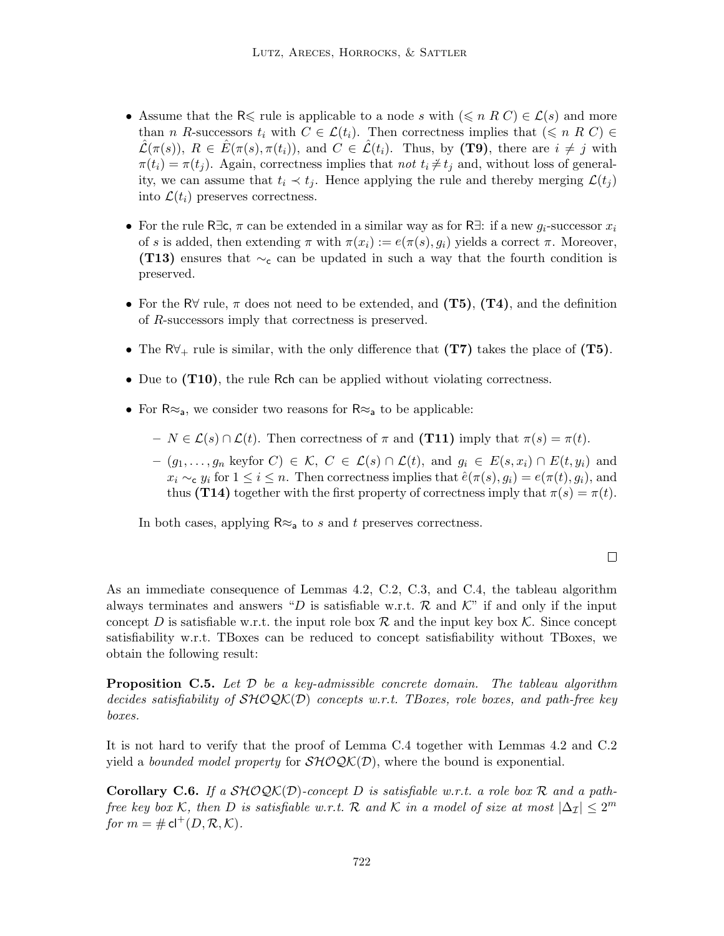- Assume that the R $\leq$  rule is applicable to a node s with  $(\leq n R C) \in \mathcal{L}(s)$  and more than n R-successors  $t_i$  with  $C \in \mathcal{L}(t_i)$ . Then correctness implies that  $(\leq n \ R \ C) \in$  $\mathcal{L}(\pi(s)), R \in E(\pi(s), \pi(t_i)),$  and  $C \in \mathcal{L}(t_i)$ . Thus, by (T9), there are  $i \neq j$  with  $\pi(t_i) = \pi(t_j)$ . Again, correctness implies that not  $t_i \neq t_j$  and, without loss of generality, we can assume that  $t_i \prec t_j$ . Hence applying the rule and thereby merging  $\mathcal{L}(t_j)$ into  $\mathcal{L}(t_i)$  preserves correctness.
- For the rule R∃c,  $\pi$  can be extended in a similar way as for R∃: if a new  $g_i$ -successor  $x_i$ of s is added, then extending  $\pi$  with  $\pi(x_i) := e(\pi(s), g_i)$  yields a correct  $\pi$ . Moreover, (T13) ensures that  $\sim_c$  can be updated in such a way that the fourth condition is preserved.
- For the R $\forall$  rule,  $\pi$  does not need to be extended, and (T5), (T4), and the definition of R-successors imply that correctness is preserved.
- The  $\mathsf{R} \mathsf{V}_+$  rule is similar, with the only difference that  $(\mathbf{T7})$  takes the place of  $(\mathbf{T5})$ .
- Due to (T10), the rule Rch can be applied without violating correctness.
- For  $R \approx_a$ , we consider two reasons for  $R \approx_a$  to be applicable:
	- $N \in \mathcal{L}(s) \cap \mathcal{L}(t)$ . Then correctness of  $\pi$  and (T11) imply that  $\pi(s) = \pi(t)$ .
	- $-(g_1,\ldots,g_n \text{ keyfor } C) \in \mathcal{K}, C \in \mathcal{L}(s) \cap \mathcal{L}(t), \text{ and } g_i \in E(s,x_i) \cap E(t,y_i) \text{ and }$  $x_i \sim_\mathbf{c} y_i$  for  $1 \leq i \leq n$ . Then correctness implies that  $\hat{e}(\pi(s), g_i) = e(\pi(t), g_i)$ , and thus (T14) together with the first property of correctness imply that  $\pi(s) = \pi(t)$ .

In both cases, applying  $\mathsf{R} \approx_{\mathsf{a}}$  to s and t preserves correctness.

### $\Box$

As an immediate consequence of Lemmas 4.2, C.2, C.3, and C.4, the tableau algorithm always terminates and answers "D is satisfiable w.r.t. R and  $\mathcal{K}$ " if and only if the input concept D is satisfiable w.r.t. the input role box  $\mathcal R$  and the input key box  $\mathcal K$ . Since concept satisfiability w.r.t. TBoxes can be reduced to concept satisfiability without TBoxes, we obtain the following result:

**Proposition C.5.** Let  $\mathcal{D}$  be a key-admissible concrete domain. The tableau algorithm decides satisfiability of  $\mathcal{SHOQK}(D)$  concepts w.r.t. TBoxes, role boxes, and path-free key boxes.

It is not hard to verify that the proof of Lemma C.4 together with Lemmas 4.2 and C.2 yield a *bounded model property* for  $\mathcal{SHOQK}(\mathcal{D})$ , where the bound is exponential.

**Corollary C.6.** If a  $\mathcal{SHOQK}(D)$ -concept D is satisfiable w.r.t. a role box R and a pathfree key box K, then D is satisfiable w.r.t. R and K in a model of size at most  $|\Delta_{\mathcal{I}}| \leq 2^m$ for  $m = \# \mathsf{cl}^+(D, \mathcal{R}, \mathcal{K}).$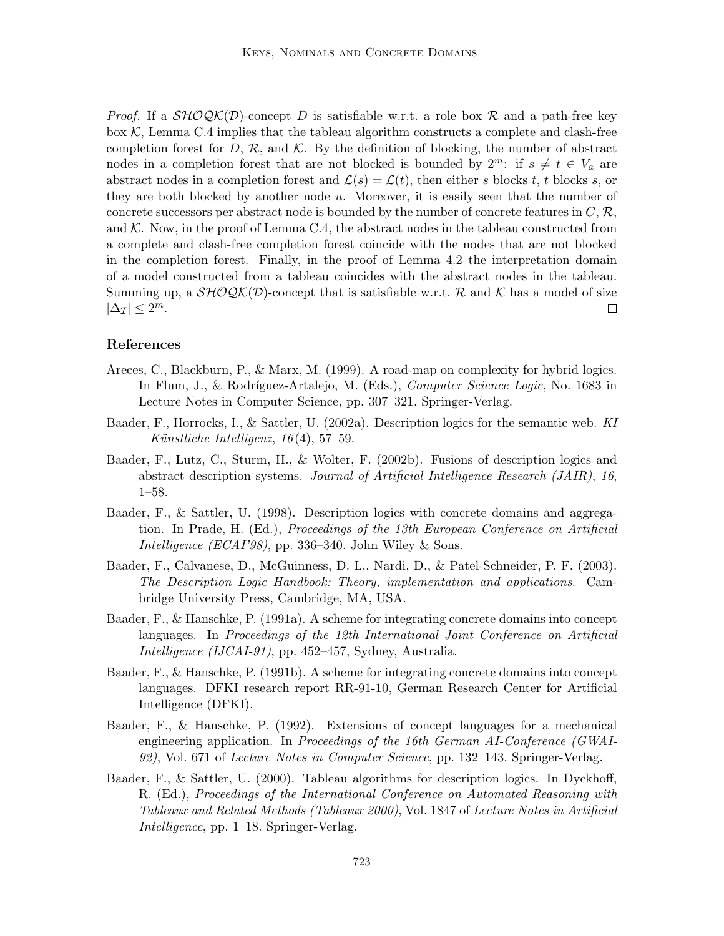*Proof.* If a  $\mathcal{SHOQK}(D)$ -concept D is satisfiable w.r.t. a role box R and a path-free key box  $K$ , Lemma C.4 implies that the tableau algorithm constructs a complete and clash-free completion forest for D,  $\mathcal{R}$ , and  $\mathcal{K}$ . By the definition of blocking, the number of abstract nodes in a completion forest that are not blocked is bounded by  $2^m$ : if  $s \neq t \in V_a$  are abstract nodes in a completion forest and  $\mathcal{L}(s) = \mathcal{L}(t)$ , then either s blocks t, t blocks s, or they are both blocked by another node u. Moreover, it is easily seen that the number of concrete successors per abstract node is bounded by the number of concrete features in  $C, \mathcal{R},$ and  $K$ . Now, in the proof of Lemma C.4, the abstract nodes in the tableau constructed from a complete and clash-free completion forest coincide with the nodes that are not blocked in the completion forest. Finally, in the proof of Lemma 4.2 the interpretation domain of a model constructed from a tableau coincides with the abstract nodes in the tableau. Summing up, a  $\mathcal{SHOQK}(D)$ -concept that is satisfiable w.r.t. R and K has a model of size  $|\Delta_{\mathcal{I}}| \leq 2^m$ .  $\Box$ 

# References

- Areces, C., Blackburn, P., & Marx, M. (1999). A road-map on complexity for hybrid logics. In Flum, J., & Rodríguez-Artalejo, M. (Eds.), *Computer Science Logic*, No. 1683 in Lecture Notes in Computer Science, pp. 307–321. Springer-Verlag.
- Baader, F., Horrocks, I., & Sattler, U. (2002a). Description logics for the semantic web. KI  $– Künstliche Intelligence, 16(4), 57-59.$
- Baader, F., Lutz, C., Sturm, H., & Wolter, F. (2002b). Fusions of description logics and abstract description systems. Journal of Artificial Intelligence Research (JAIR), 16, 1–58.
- Baader, F., & Sattler, U. (1998). Description logics with concrete domains and aggregation. In Prade, H. (Ed.), Proceedings of the 13th European Conference on Artificial Intelligence (ECAI'98), pp. 336–340. John Wiley & Sons.
- Baader, F., Calvanese, D., McGuinness, D. L., Nardi, D., & Patel-Schneider, P. F. (2003). The Description Logic Handbook: Theory, implementation and applications. Cambridge University Press, Cambridge, MA, USA.
- Baader, F., & Hanschke, P. (1991a). A scheme for integrating concrete domains into concept languages. In Proceedings of the 12th International Joint Conference on Artificial Intelligence (IJCAI-91), pp. 452–457, Sydney, Australia.
- Baader, F., & Hanschke, P. (1991b). A scheme for integrating concrete domains into concept languages. DFKI research report RR-91-10, German Research Center for Artificial Intelligence (DFKI).
- Baader, F., & Hanschke, P. (1992). Extensions of concept languages for a mechanical engineering application. In Proceedings of the 16th German AI-Conference (GWAI-92), Vol. 671 of Lecture Notes in Computer Science, pp. 132–143. Springer-Verlag.
- Baader, F., & Sattler, U. (2000). Tableau algorithms for description logics. In Dyckhoff, R. (Ed.), Proceedings of the International Conference on Automated Reasoning with Tableaux and Related Methods (Tableaux 2000), Vol. 1847 of Lecture Notes in Artificial Intelligence, pp. 1–18. Springer-Verlag.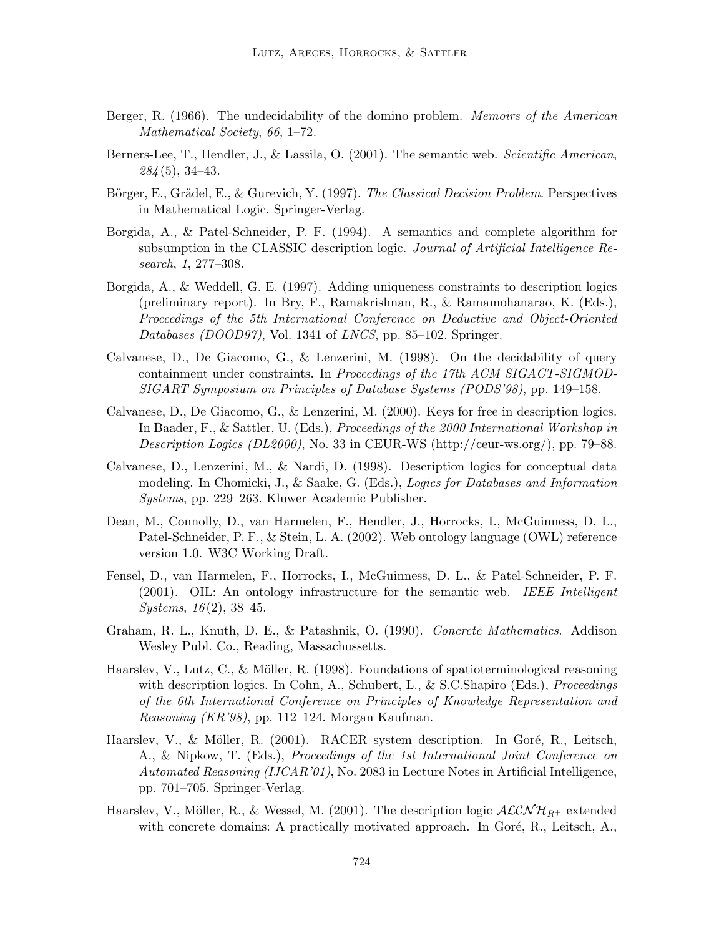- Berger, R. (1966). The undecidability of the domino problem. *Memoirs of the American* Mathematical Society, 66, 1–72.
- Berners-Lee, T., Hendler, J., & Lassila, O. (2001). The semantic web. Scientific American,  $284(5)$ , 34-43.
- Börger, E., Grädel, E., & Gurevich, Y. (1997). The Classical Decision Problem. Perspectives in Mathematical Logic. Springer-Verlag.
- Borgida, A., & Patel-Schneider, P. F. (1994). A semantics and complete algorithm for subsumption in the CLASSIC description logic. Journal of Artificial Intelligence Research, 1, 277–308.
- Borgida, A., & Weddell, G. E. (1997). Adding uniqueness constraints to description logics (preliminary report). In Bry, F., Ramakrishnan, R., & Ramamohanarao, K. (Eds.), Proceedings of the 5th International Conference on Deductive and Object-Oriented Databases (DOOD97), Vol. 1341 of LNCS, pp. 85–102. Springer.
- Calvanese, D., De Giacomo, G., & Lenzerini, M. (1998). On the decidability of query containment under constraints. In Proceedings of the 17th ACM SIGACT-SIGMOD-SIGART Symposium on Principles of Database Systems (PODS'98), pp. 149–158.
- Calvanese, D., De Giacomo, G., & Lenzerini, M. (2000). Keys for free in description logics. In Baader, F., & Sattler, U. (Eds.), Proceedings of the 2000 International Workshop in Description Logics (DL2000), No. 33 in CEUR-WS (http://ceur-ws.org/), pp. 79–88.
- Calvanese, D., Lenzerini, M., & Nardi, D. (1998). Description logics for conceptual data modeling. In Chomicki, J., & Saake, G. (Eds.), Logics for Databases and Information Systems, pp. 229–263. Kluwer Academic Publisher.
- Dean, M., Connolly, D., van Harmelen, F., Hendler, J., Horrocks, I., McGuinness, D. L., Patel-Schneider, P. F., & Stein, L. A. (2002). Web ontology language (OWL) reference version 1.0. W3C Working Draft.
- Fensel, D., van Harmelen, F., Horrocks, I., McGuinness, D. L., & Patel-Schneider, P. F. (2001). OIL: An ontology infrastructure for the semantic web. IEEE Intelligent  $Systems, 16(2), 38–45.$
- Graham, R. L., Knuth, D. E., & Patashnik, O. (1990). Concrete Mathematics. Addison Wesley Publ. Co., Reading, Massachussetts.
- Haarslev, V., Lutz, C., & Möller, R. (1998). Foundations of spatioterminological reasoning with description logics. In Cohn, A., Schubert, L., & S.C.Shapiro (Eds.), *Proceedings* of the 6th International Conference on Principles of Knowledge Representation and Reasoning (KR'98), pp. 112–124. Morgan Kaufman.
- Haarslev, V., & Möller, R. (2001). RACER system description. In Goré, R., Leitsch, A., & Nipkow, T. (Eds.), Proceedings of the 1st International Joint Conference on Automated Reasoning (IJCAR'01), No. 2083 in Lecture Notes in Artificial Intelligence, pp. 701–705. Springer-Verlag.
- Haarslev, V., Möller, R., & Wessel, M. (2001). The description logic  $\mathcal{ALCNH}_{R+}$  extended with concrete domains: A practically motivated approach. In Goré, R., Leitsch, A.,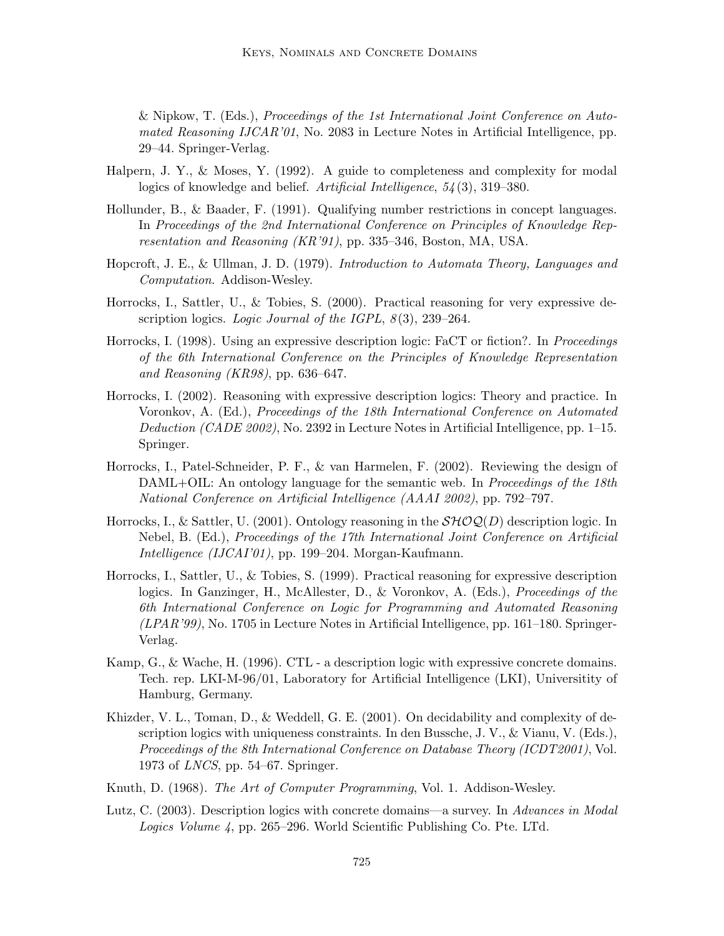& Nipkow, T. (Eds.), Proceedings of the 1st International Joint Conference on Automated Reasoning IJCAR'01, No. 2083 in Lecture Notes in Artificial Intelligence, pp. 29–44. Springer-Verlag.

- Halpern, J. Y., & Moses, Y. (1992). A guide to completeness and complexity for modal logics of knowledge and belief. Artificial Intelligence, 54 (3), 319–380.
- Hollunder, B., & Baader, F. (1991). Qualifying number restrictions in concept languages. In Proceedings of the 2nd International Conference on Principles of Knowledge Representation and Reasoning (KR'91), pp. 335–346, Boston, MA, USA.
- Hopcroft, J. E., & Ullman, J. D. (1979). Introduction to Automata Theory, Languages and Computation. Addison-Wesley.
- Horrocks, I., Sattler, U., & Tobies, S. (2000). Practical reasoning for very expressive description logics. Logic Journal of the IGPL,  $8(3)$ , 239–264.
- Horrocks, I. (1998). Using an expressive description logic: FaCT or fiction?. In *Proceedings* of the 6th International Conference on the Principles of Knowledge Representation and Reasoning (KR98), pp. 636–647.
- Horrocks, I. (2002). Reasoning with expressive description logics: Theory and practice. In Voronkov, A. (Ed.), Proceedings of the 18th International Conference on Automated Deduction (CADE 2002), No. 2392 in Lecture Notes in Artificial Intelligence, pp. 1–15. Springer.
- Horrocks, I., Patel-Schneider, P. F., & van Harmelen, F. (2002). Reviewing the design of DAML+OIL: An ontology language for the semantic web. In *Proceedings of the 18th* National Conference on Artificial Intelligence (AAAI 2002), pp. 792–797.
- Horrocks, I., & Sattler, U. (2001). Ontology reasoning in the  $\mathcal{SHOQ}(D)$  description logic. In Nebel, B. (Ed.), Proceedings of the 17th International Joint Conference on Artificial Intelligence (IJCAI'01), pp. 199–204. Morgan-Kaufmann.
- Horrocks, I., Sattler, U., & Tobies, S. (1999). Practical reasoning for expressive description logics. In Ganzinger, H., McAllester, D., & Voronkov, A. (Eds.), *Proceedings of the* 6th International Conference on Logic for Programming and Automated Reasoning  $(LPAR'39)$ , No. 1705 in Lecture Notes in Artificial Intelligence, pp. 161–180. Springer-Verlag.
- Kamp, G., & Wache, H. (1996). CTL a description logic with expressive concrete domains. Tech. rep. LKI-M-96/01, Laboratory for Artificial Intelligence (LKI), Universitity of Hamburg, Germany.
- Khizder, V. L., Toman, D., & Weddell, G. E. (2001). On decidability and complexity of description logics with uniqueness constraints. In den Bussche, J. V., & Vianu, V. (Eds.), Proceedings of the 8th International Conference on Database Theory (ICDT2001), Vol. 1973 of LNCS, pp. 54–67. Springer.
- Knuth, D. (1968). The Art of Computer Programming, Vol. 1. Addison-Wesley.
- Lutz, C. (2003). Description logics with concrete domains—a survey. In Advances in Modal Logics Volume 4, pp. 265–296. World Scientific Publishing Co. Pte. LTd.